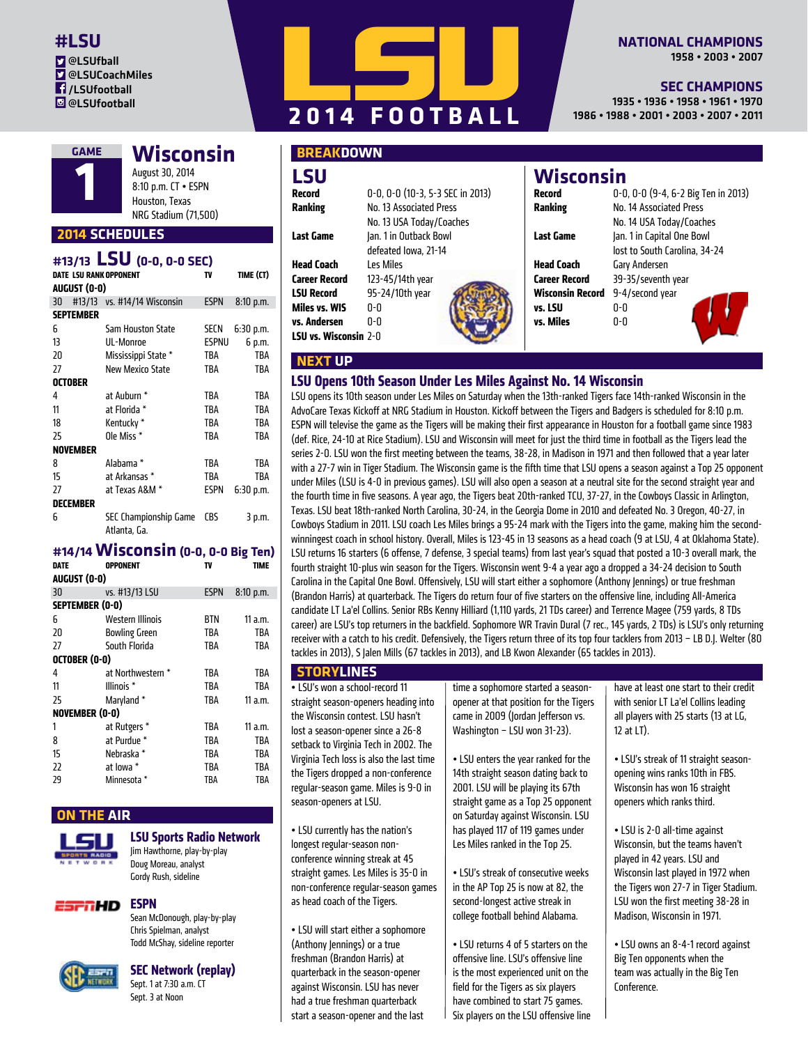## **#LSU**

**D** @LSUfball **D** @LSUCoachMiles **H**/LSUfootball **a** @LSUfootball

**1 GAME**

**Wisconsin** August 30, 2014 8:10 p.m. CT • ESPN

Houston, Texas NRG Stadium (71,500)

#### **2014 SCHEDULES**

|                | #13/13 LSU (0-0, 0-0 SEC) |                                       |             |             |  |  |  |
|----------------|---------------------------|---------------------------------------|-------------|-------------|--|--|--|
|                |                           | DATE LSU RANK OPPONENT                | TV          | TIME (CT)   |  |  |  |
|                | AUGUST (0-0)              |                                       |             |             |  |  |  |
| 30             |                           | #13/13 vs. #14/14 Wisconsin           | <b>ESPN</b> | $8:10$ p.m. |  |  |  |
|                | <b>SEPTEMBER</b>          |                                       |             |             |  |  |  |
| ĥ              |                           | Sam Houston State                     | SECN        | $6:30$ p.m. |  |  |  |
| 13             |                           | UL-Monroe                             | ESPNU       | 6 p.m.      |  |  |  |
| 20             |                           | Mississippi State *                   | TBA         | TBA         |  |  |  |
| 27             |                           | <b>New Mexico State</b>               | TBA         | TBA         |  |  |  |
| <b>OCTOBER</b> |                           |                                       |             |             |  |  |  |
| 4              |                           | at Auburn *                           | TBA         | TBA         |  |  |  |
| 11             |                           | at Florida *                          | TBA         | TBA         |  |  |  |
| 18             |                           | Kentucky *                            | TBA         | TBA         |  |  |  |
| 25             |                           | Ole Miss *                            | TBA         | TBA         |  |  |  |
|                | NOVEMBER                  |                                       |             |             |  |  |  |
| 8              |                           | Alabama *                             | TBA         | TBA         |  |  |  |
| 15             |                           | at Arkansas *                         | TBA         | TBA         |  |  |  |
| 77             |                           | at Texas A&M *                        | <b>ESPN</b> | 6:30 p.m.   |  |  |  |
|                | DECEMBER                  |                                       |             |             |  |  |  |
| ĥ              |                           | SEC Championship Game<br>Atlanta, Ga. | CBS         | 3 p.m.      |  |  |  |

# **#14/14 Wisconsin (0-0, 0-0 Big Ten)**

**OPPONENT AUGUST (0-0)**  30 vs. #13/13 LSU ESPN 8:10 p.m. **SEPTEMBER (0-0)**  6 Western Illinois BTN 11 a.m. 20 Bowling Green TBA TBA 27 South Florida TBA TBA **OCTOBER (0-0)**<br>4 at Northwestern \* TBA TBA 11 Illinois \* TBA TBA 25 Maryland \* TBA 11 a.m. **NOVEMBER (0-0)**  1 at Rutgers \* TBA 11 a.m. 8 at Purdue \* TBA TBA 15 Nebraska \* TBA TBA 22 at Iowa \* TBA TBA 29 Minnesota \* TBA TBA

#### **ON THE AIR**



#### **LSU Sports Radio Network**

Jim Hawthorne, play-by-play Doug Moreau, analyst Gordy Rush, sideline



Sean McDonough, play-by-play Chris Spielman, analyst Todd McShay, sideline reporter



**SEC Network (replay)** Sept. 1 at 7:30 a.m. CT Sept. 3 at Noon



#### **BREAKDOWN**

| LSU                   |                                  |  |
|-----------------------|----------------------------------|--|
| Record                | 0-0, 0-0 (10-3, 5-3 SEC in 2013) |  |
| Ranking               | No. 13 Associated Press          |  |
|                       | No. 13 USA Today/Coaches         |  |
| <b>Last Game</b>      | Jan. 1 in Outback Bowl           |  |
|                       | defeated Iowa, 21-14             |  |
| Head Coach            | Les Miles                        |  |
| <b>Career Record</b>  | 123-45/14th year                 |  |
| <b>LSU Record</b>     | 95-24/10th year                  |  |
| <b>Miles vs. WIS</b>  | በ-በ                              |  |
| vs. Andersen          | n-n                              |  |
| LSU vs. Wisconsin 2-0 |                                  |  |
|                       |                                  |  |

#### **NEXT UP**

#### **LSU Opens 10th Season Under Les Miles Against No. 14 Wisconsin**

LSU opens its 10th season under Les Miles on Saturday when the 13th-ranked Tigers face 14th-ranked Wisconsin in the AdvoCare Texas Kickoff at NRG Stadium in Houston. Kickoff between the Tigers and Badgers is scheduled for 8:10 p.m. ESPN will televise the game as the Tigers will be making their first appearance in Houston for a football game since 1983 (def. Rice, 24-10 at Rice Stadium). LSU and Wisconsin will meet for just the third time in football as the Tigers lead the series 2-0. LSU won the first meeting between the teams, 38-28, in Madison in 1971 and then followed that a year later with a 27-7 win in Tiger Stadium. The Wisconsin game is the fifth time that LSU opens a season against a Top 25 opponent under Miles (LSU is 4-0 in previous games). LSU will also open a season at a neutral site for the second straight year and the fourth time in five seasons. A year ago, the Tigers beat 20th-ranked TCU, 37-27, in the Cowboys Classic in Arlington, Texas. LSU beat 18th-ranked North Carolina, 30-24, in the Georgia Dome in 2010 and defeated No. 3 Oregon, 40-27, in Cowboys Stadium in 2011. LSU coach Les Miles brings a 95-24 mark with the Tigers into the game, making him the secondwinningest coach in school history. Overall, Miles is 123-45 in 13 seasons as a head coach (9 at LSU, 4 at Oklahoma State). LSU returns 16 starters (6 offense, 7 defense, 3 special teams) from last year's squad that posted a 10-3 overall mark, the fourth straight 10-plus win season for the Tigers. Wisconsin went 9-4 a year ago a dropped a 34-24 decision to South Carolina in the Capital One Bowl. Offensively, LSU will start either a sophomore (Anthony Jennings) or true freshman (Brandon Harris) at quarterback. The Tigers do return four of five starters on the offensive line, including All-America candidate LT La'el Collins. Senior RBs Kenny Hilliard (1,110 yards, 21 TDs career) and Terrence Magee (759 yards, 8 TDs career) are LSU's top returners in the backfield. Sophomore WR Travin Dural (7 rec., 145 yards, 2 TDs) is LSU's only returning receiver with a catch to his credit. Defensively, the Tigers return three of its top four tacklers from 2013 – LB D.J. Welter (80 tackles in 2013), S Jalen Mills (67 tackles in 2013), and LB Kwon Alexander (65 tackles in 2013).

#### **STORYLINES**

• LSU's won a school-record 11 straight season-openers heading into the Wisconsin contest. LSU hasn't lost a season-opener since a 26-8 setback to Virginia Tech in 2002. The Virginia Tech loss is also the last time the Tigers dropped a non-conference regular-season game. Miles is 9-0 in season-openers at LSU.

• LSU currently has the nation's longest regular-season nonconference winning streak at 45 straight games. Les Miles is 35-0 in non-conference regular-season games as head coach of the Tigers.

• LSU will start either a sophomore (Anthony Jennings) or a true freshman (Brandon Harris) at quarterback in the season-opener against Wisconsin. LSU has never had a true freshman quarterback start a season-opener and the last

time a sophomore started a seasonopener at that position for the Tigers came in 2009 (Jordan Jefferson vs. Washington – LSU won 31-23).

• LSU enters the year ranked for the 14th straight season dating back to 2001. LSU will be playing its 67th straight game as a Top 25 opponent on Saturday against Wisconsin. LSU has played 117 of 119 games under Les Miles ranked in the Top 25.

• LSU's streak of consecutive weeks in the AP Top 25 is now at 82, the second-longest active streak in college football behind Alabama.

• LSU returns 4 of 5 starters on the offensive line. LSU's offensive line is the most experienced unit on the field for the Tigers as six players have combined to start 75 games. Six players on the LSU offensive line **National Champions** 

1958 • 2003 • 2007

#### **SEC Champions**

1935 • 1936 • 1958 • 1961 • 1970

# **Wisconsin**

| 0-0, 0-0 (9-4, 6-2 Big Ten in 2013) |
|-------------------------------------|
| No. 14 Associated Press             |
| No. 14 USA Today/Coaches            |
| Jan. 1 in Capital One Bowl          |
| lost to South Carolina, 34-24       |
| Gary Andersen                       |
| 39-35/seventh year                  |
| 9-4/second year                     |
| 0-0                                 |
| 0-0                                 |
|                                     |
|                                     |

have at least one start to their credit with senior LT La'el Collins leading all players with 25 starts (13 at LG,

• LSU's streak of 11 straight seasonopening wins ranks 10th in FBS. Wisconsin has won 16 straight openers which ranks third.

• LSU is 2-0 all-time against Wisconsin, but the teams haven't played in 42 years. LSU and Wisconsin last played in 1972 when the Tigers won 27-7 in Tiger Stadium. LSU won the first meeting 38-28 in Madison, Wisconsin in 1971.

• LSU owns an 8-4-1 record against Big Ten opponents when the team was actually in the Big Ten

Conference.

12 at LT).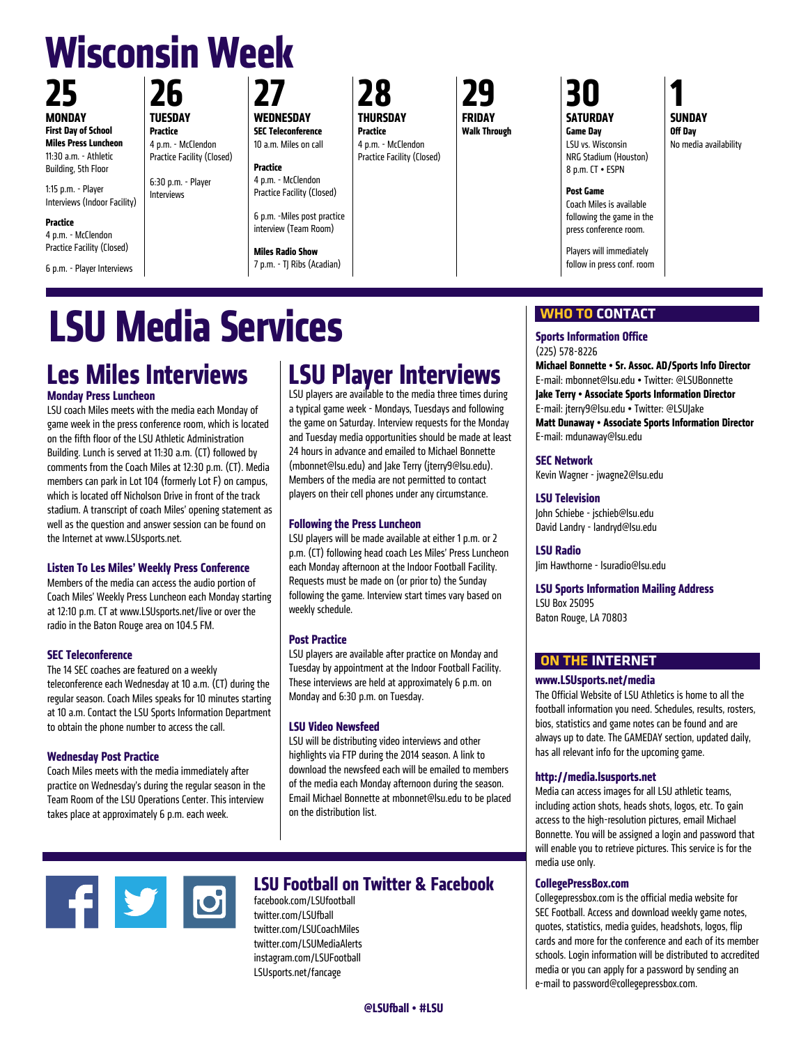# **Wisconsin Week**

**26**

**Practice**

Interviews

# **25 Monday**

**First Day of School Miles Press Luncheon** 11:30 a.m. - Athletic Building, 5th Floor

1:15 p.m. - Player Interviews (Indoor Facility)

**Practice** 4 p.m. - McClendon Practice Facility (Closed)

6 p.m. - Player Interviews

**TUESday** 4 p.m. - McClendon Practice Facility (Closed) **27 WEDNESday SEC Teleconference** 10 a.m. Miles on call

6:30 p.m. - Player **Practice** 4 p.m. - McClendon Practice Facility (Closed)

> 6 p.m. -Miles post practice interview (Team Room)

**Miles Radio Show** 7 p.m. - TJ Ribs (Acadian) **THURSday** 4 p.m. - McClendon

**28**

**Practice**

Practice Facility (Closed)

**29 FRIday Walk Through** 

## **30 SATURDAY**

**Game Day** LSU vs. Wisconsin NRG Stadium (Houston) 8 p.m. CT • ESPN

**1 SUNday Off Day** No media availability

#### **Post Game**

Coach Miles is available following the game in the press conference room.

Players will immediately follow in press conf. room

#### **WHO TO CONTACT**

(225) 578-8226

**Michael Bonnette • Sr. Assoc. AD/Sports Info Director** E-mail: mbonnet@lsu.edu • Twitter: @LSUBonnette **Jake Terry • Associate Sports Information Director**  E-mail: jterry9@lsu.edu • Twitter: @LSUJake **Matt Dunaway • Associate Sports Information Director**  E-mail: mdunaway@lsu.edu

**SEC Network**

Kevin Wagner - jwagne2@lsu.edu

**LSU Television** John Schiebe - jschieb@lsu.edu David Landry - landryd@lsu.edu

**LSU Radio**  Jim Hawthorne - lsuradio@lsu.edu

**LSU Sports Information Mailing Address**

LSU Box 25095 Baton Rouge, LA 70803

#### **ON THE INTERNET**

#### **www.LSUsports.net/media**

The Official Website of LSU Athletics is home to all the football information you need. Schedules, results, rosters, bios, statistics and game notes can be found and are always up to date. The GAMEDAY section, updated daily, has all relevant info for the upcoming game.

#### **http://media.lsusports.net**

Media can access images for all LSU athletic teams, including action shots, heads shots, logos, etc. To gain access to the high-resolution pictures, email Michael Bonnette. You will be assigned a login and password that will enable you to retrieve pictures. This service is for the media use only.

#### **CollegePressBox.com**

Collegepressbox.com is the official media website for SEC Football. Access and download weekly game notes, quotes, statistics, media guides, headshots, logos, flip cards and more for the conference and each of its member schools. Login information will be distributed to accredited media or you can apply for a password by sending an e-mail to password@collegepressbox.com.

# **LSU Media Services**

# **Les Miles Interviews**

#### **Monday Press Luncheon**

LSU coach Miles meets with the media each Monday of game week in the press conference room, which is located on the fifth floor of the LSU Athletic Administration Building. Lunch is served at 11:30 a.m. (CT) followed by comments from the Coach Miles at 12:30 p.m. (CT). Media members can park in Lot 104 (formerly Lot F) on campus, which is located off Nicholson Drive in front of the track stadium. A transcript of coach Miles' opening statement as well as the question and answer session can be found on the Internet at www.LSUsports.net.

#### **Listen To Les Miles' Weekly Press Conference**

Members of the media can access the audio portion of Coach Miles' Weekly Press Luncheon each Monday starting at 12:10 p.m. CT at www.LSUsports.net/live or over the radio in the Baton Rouge area on 104.5 FM.

#### **SEC Teleconference**

The 14 SEC coaches are featured on a weekly teleconference each Wednesday at 10 a.m. (CT) during the regular season. Coach Miles speaks for 10 minutes starting at 10 a.m. Contact the LSU Sports Information Department to obtain the phone number to access the call.

#### **Wednesday Post Practice**

Coach Miles meets with the media immediately after practice on Wednesday's during the regular season in the Team Room of the LSU Operations Center. This interview takes place at approximately 6 p.m. each week.

# **LSU Player Interviews**

LSU players are available to the media three times during a typical game week - Mondays, Tuesdays and following the game on Saturday. Interview requests for the Monday and Tuesday media opportunities should be made at least 24 hours in advance and emailed to Michael Bonnette (mbonnet@lsu.edu) and Jake Terry (jterry9@lsu.edu). Members of the media are not permitted to contact players on their cell phones under any circumstance.

#### **Following the Press Luncheon**

LSU players will be made available at either 1 p.m. or 2 p.m. (CT) following head coach Les Miles' Press Luncheon each Monday afternoon at the Indoor Football Facility. Requests must be made on (or prior to) the Sunday following the game. Interview start times vary based on weekly schedule.

#### **Post Practice**

LSU players are available after practice on Monday and Tuesday by appointment at the Indoor Football Facility. These interviews are held at approximately 6 p.m. on Monday and 6:30 p.m. on Tuesday.

#### **LSU Video Newsfeed**

LSU will be distributing video interviews and other highlights via FTP during the 2014 season. A link to download the newsfeed each will be emailed to members of the media each Monday afternoon during the season. Email Michael Bonnette at mbonnet@lsu.edu to be placed on the distribution list.



## **LSU Football on Twitter & Facebook**

facebook.com/LSUfootball twitter.com/LSUfball twitter.com/LSUCoachMiles twitter.com/LSUMediaAlerts instagram.com/LSUFootball LSUsports.net/fancage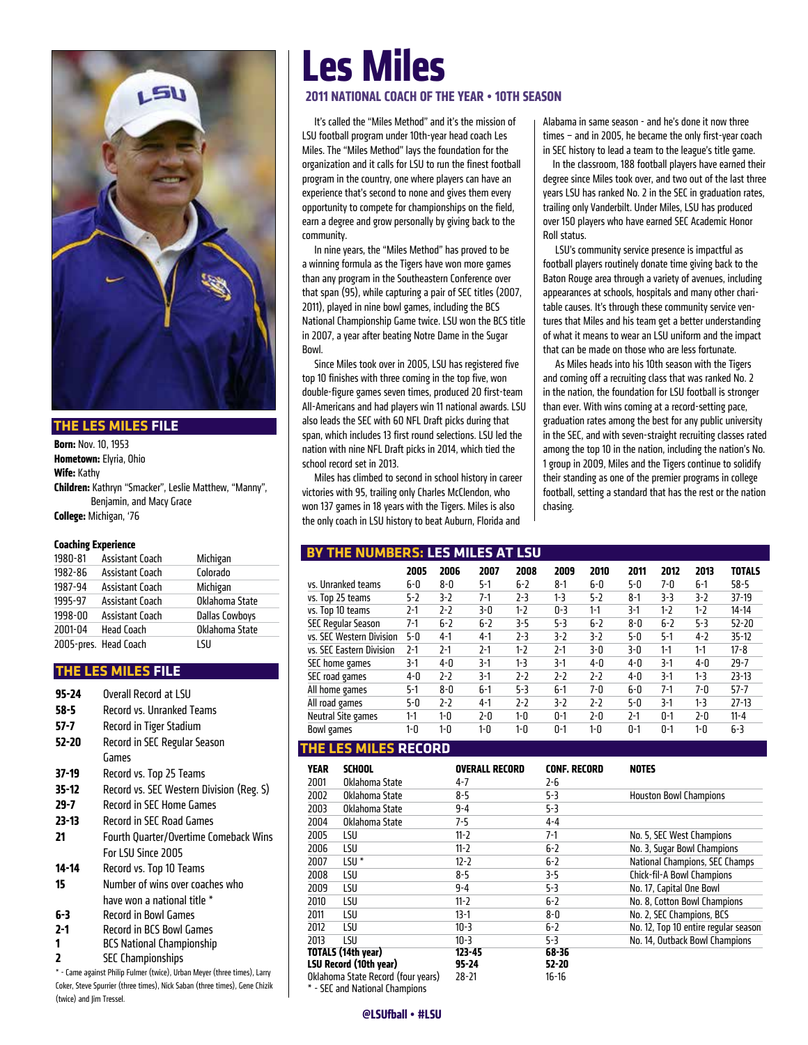

#### **THE LES MILES FILE**

**Born:** Nov. 10, 1953 **Hometown:** Elyria, Ohio **Wife:** Kathy **Children:** Kathryn "Smacker", Leslie Matthew, "Manny", Benjamin, and Macy Grace **College:** Michigan, '76

#### **Coaching Experience**

| 1980-81 | Assistant Coach       | Michigan              |
|---------|-----------------------|-----------------------|
| 1982-86 | Assistant Coach       | Colorado              |
| 1987-94 | Assistant Coach       | Michigan              |
| 1995-97 | Assistant Coach       | Oklahoma State        |
| 1998-00 | Assistant Coach       | <b>Dallas Cowboys</b> |
| 2001-04 | <b>Head Coach</b>     | Oklahoma State        |
|         | 2005-pres. Head Coach | lsu                   |

#### **THE LES MILES FILE**

- **95-24** Overall Record at LSU
- **58-5** Record vs. Unranked Teams
- **57-7** Record in Tiger Stadium **52-20** Record in SEC Regular Season
- Games
- **37-19** Record vs. Top 25 Teams
- **35-12** Record vs. SEC Western Division (Reg. S)
- **29-7** Record in SEC Home Games<br>**23-13** Record in SEC Road Games
- **23-13** Record in SEC Road Games
- **21** Fourth Quarter/Overtime Comeback Wins For LSU Since 2005
- **14-14** Record vs. Top 10 Teams
- **15** Number of wins over coaches who have won a national title \*
- **6-3** Record in Bowl Games<br>**2-1** Record in BCS Bowl Ga
- **2-1** Record in BCS Bowl Games
- **1** BCS National Championship
- **2** SEC Championships

\* - Came against Philip Fulmer (twice), Urban Meyer (three times), Larry Coker, Steve Spurrier (three times), Nick Saban (three times), Gene Chizik (twice) and Jim Tressel.

# **Les Miles 2011 NATIONAL COACH OF THE YEAR • 10TH SEASON**

 It's called the "Miles Method" and it's the mission of LSU football program under 10th-year head coach Les Miles. The "Miles Method" lays the foundation for the organization and it calls for LSU to run the finest football program in the country, one where players can have an experience that's second to none and gives them every opportunity to compete for championships on the field, earn a degree and grow personally by giving back to the community.

 In nine years, the "Miles Method" has proved to be a winning formula as the Tigers have won more games than any program in the Southeastern Conference over that span (95), while capturing a pair of SEC titles (2007, 2011), played in nine bowl games, including the BCS National Championship Game twice. LSU won the BCS title in 2007, a year after beating Notre Dame in the Sugar Bowl.

 Since Miles took over in 2005, LSU has registered five top 10 finishes with three coming in the top five, won double-figure games seven times, produced 20 first-team All-Americans and had players win 11 national awards. LSU also leads the SEC with 60 NFL Draft picks during that span, which includes 13 first round selections. LSU led the nation with nine NFL Draft picks in 2014, which tied the school record set in 2013.

 Miles has climbed to second in school history in career victories with 95, trailing only Charles McClendon, who won 137 games in 18 years with the Tigers. Miles is also the only coach in LSU history to beat Auburn, Florida and

#### **BY THE NUMBERS: LES MILES AT LSU**

|                          | 2005    | 2006    | 2007    | 2008    | 2009    | 2010    | 2011    | 2012    | 2013    | <b>TOTALS</b> |
|--------------------------|---------|---------|---------|---------|---------|---------|---------|---------|---------|---------------|
| vs. Unranked teams       | 6-0     | 8-0     | $5-1$   | $6-2$   | $8-1$   | 6-0     | 5-0     | 7-0     | $6-1$   | $58 - 5$      |
| vs. Top 25 teams         | $5-2$   | 3-2     | 7-1     | $2 - 3$ | $1 - 3$ | $5-2$   | $8-1$   | $3-3$   | 3-2     | $37-19$       |
| vs. Top 10 teams         | $2-1$   | 2-2     | 3-0     | $1 - 2$ | $0 - 3$ | $1 - 1$ | $3-1$   | $1 - 2$ | $1 - 2$ | $14 - 14$     |
| SEC Regular Season       | 7-1     | $6 - 2$ | $6 - 2$ | $3 - 5$ | $5-3$   | $6 - 2$ | 8-0     | $6-2$   | $5-3$   | $52 - 20$     |
| vs. SEC Western Division | 5-0     | $4-1$   | $4-1$   | $2 - 3$ | $3-2$   | $3-2$   | 5-0     | $5-1$   | $4 - 2$ | $35-12$       |
| vs. SEC Eastern Division | $2 - 1$ | $2 - 1$ | 2-1     | $1 - 2$ | $2 - 1$ | 3-0     | 3-0     | $1 - 1$ | $1 - 1$ | $17 - 8$      |
| SEC home games           | $3-1$   | $4 - 0$ | $3-1$   | $1 - 3$ | $3-1$   | $4-0$   | $4 - 0$ | $3-1$   | $4 - 0$ | $29 - 7$      |
| SEC road games           | 4-0     | $2 - 2$ | $3-1$   | $2 - 2$ | $2 - 2$ | $2 - 2$ | $4-0$   | $3-1$   | 1-3     | $23-13$       |
| All home games           | $5-1$   | 8-0     | $6-1$   | $5-3$   | $6-1$   | 7-0     | 6-0     | $7-1$   | 7-0     | $57 - 7$      |
| All road games           | 5-0     | $2-2$   | $4-1$   | $2 - 2$ | $3-2$   | $2 - 2$ | 5-0     | $3-1$   | 1-3     | $27-13$       |
| Neutral Site games       | $1 - 1$ | 1-0     | $2 - 0$ | $1-0$   | $0 - 1$ | $2 - 0$ | $2 - 1$ | $0 - 1$ | $2 - 0$ | $11 - 4$      |
| Bowl games               | $1-0$   | 1-0     | 1-0     | $1-0$   | $0 - 1$ | 1-0     | $0 - 1$ | $0 - 1$ | 1-0     | $6 - 3$       |

#### **THE LES MILES RECORD**

| <b>YEAR</b>                        | <b>SCHOOL</b>      | <b>OVERALL RECORD</b> | <b>CONF. RECORD</b> | <b>NOTES</b>                         |
|------------------------------------|--------------------|-----------------------|---------------------|--------------------------------------|
| 2001                               | Oklahoma State     | 4-7                   | $2 - 6$             |                                      |
| 2002                               | Oklahoma State     | $8 - 5$               | $5-3$               | <b>Houston Bowl Champions</b>        |
| 2003                               | Oklahoma State     | $9 - 4$               | $5-3$               |                                      |
| 2004                               | Oklahoma State     | 7-5                   | $4 - 4$             |                                      |
| 2005                               | LSU                | $11 - 2$              | $7-1$               | No. 5, SEC West Champions            |
| 2006                               | LSU                | $11 - 2$              | $6-2$               | No. 3, Sugar Bowl Champions          |
| 2007                               | $LSU^*$            | $12 - 2$              | $6-2$               | National Champions, SEC Champs       |
| 2008                               | LSU                | $8 - 5$               | $3 - 5$             | Chick-fil-A Bowl Champions           |
| 2009                               | LSU                | $9 - 4$               | $5-3$               | No. 17, Capital One Bowl             |
| 2010                               | LSU                | $11 - 2$              | $6-2$               | No. 8, Cotton Bowl Champions         |
| 2011                               | LSU                | $13-1$                | 8-0                 | No. 2, SEC Champions, BCS            |
| 2012                               | LSU                | $10-3$                | $6-2$               | No. 12, Top 10 entire regular season |
| 2013                               | LSU                | $10 - 3$              | $5-3$               | No. 14, Outback Bowl Champions       |
|                                    | TOTALS (14th year) | $123 - 45$            | 68-36               |                                      |
| LSU Record (10th year)             |                    | $95 - 24$             | $52 - 20$           |                                      |
| Oklahoma State Record (four years) |                    | $28 - 21$             | $16-16$             |                                      |

\* - SECand National Champions

Alabama in same season - and he's done it now three times – and in 2005, he became the only first-year coach in SEC history to lead a team to the league's title game.

 In the classroom, 188 football players have earned their degree since Miles took over, and two out of the last three years LSU has ranked No. 2 in the SEC in graduation rates, trailing only Vanderbilt. Under Miles, LSU has produced over 150 players who have earned SEC Academic Honor Roll status.

 LSU's community service presence is impactful as football players routinely donate time giving back to the Baton Rouge area through a variety of avenues, including appearances at schools, hospitals and many other charitable causes. It's through these community service ventures that Miles and his team get a better understanding of what it means to wear an LSU uniform and the impact that can be made on those who are less fortunate.

 As Miles heads into his 10th season with the Tigers and coming off a recruiting class that was ranked No. 2 in the nation, the foundation for LSU football is stronger than ever. With wins coming at a record-setting pace, graduation rates among the best for any public university in the SEC, and with seven-straight recruiting classes rated among the top 10 in the nation, including the nation's No. 1 group in 2009, Miles and the Tigers continue to solidify their standing as one of the premier programs in college football, setting a standard that has the rest or the nation chasing.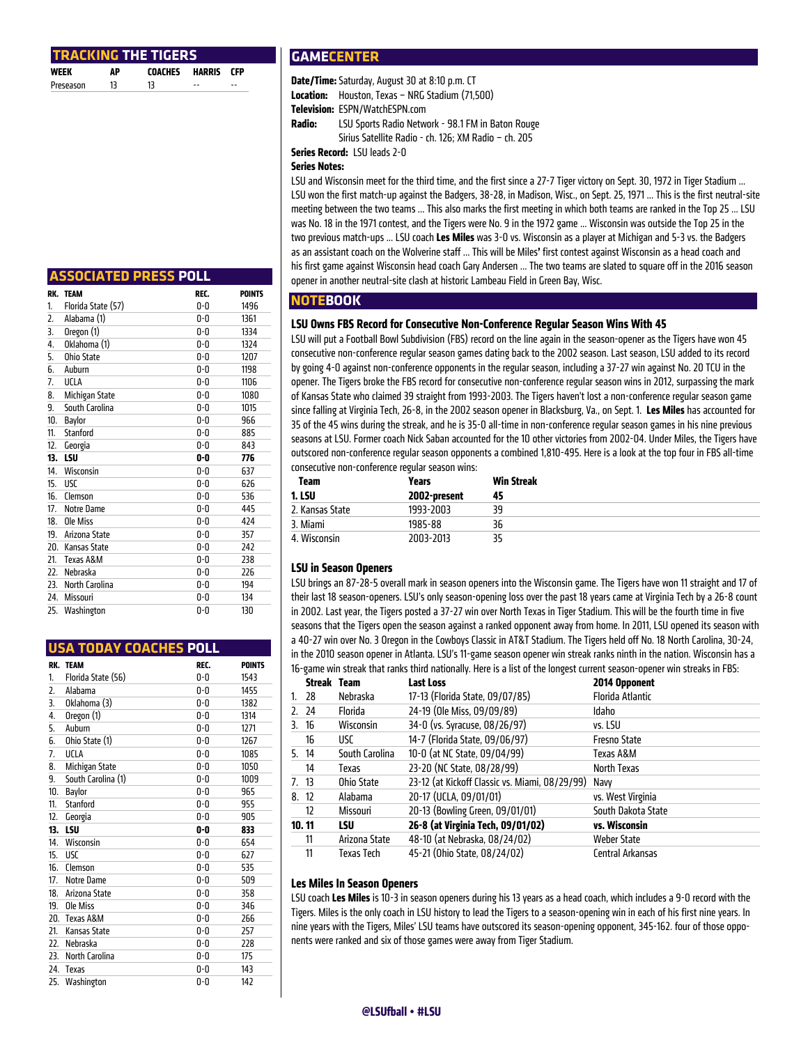|      |    | <b>TRACKING THE TIGERS</b> |  |
|------|----|----------------------------|--|
| WEEK | ۸D | COACHEC HADDIC             |  |

| <b>WEEK</b> | AP | <b>COACHES</b> | <b>HARRIS</b> | <b>CFP</b> |
|-------------|----|----------------|---------------|------------|
| Preseason   | 13 |                | --            | --         |

#### **ASSOCIATED PRESS POLL**

| RK.             | <b>TEAM</b>         | REC.  | <b>POINTS</b> |
|-----------------|---------------------|-------|---------------|
| 1.              | Florida State (57)  | 0-0   | 1496          |
| 2.              | Alabama (1)         | 0-0   | 1361          |
| З.              | Oregon (1)          | 0-0   | 1334          |
| 4.              | Oklahoma (1)        | 0-0   | 1324          |
| 5.              | <b>Ohio State</b>   | 0-0   | 1207          |
| 6.              | Auburn              | 0-0   | 1198          |
| 7.              | UCLA                | 0-0   | 1106          |
| 8.              | Michigan State      | 0-0   | 1080          |
| 9.              | South Carolina      | 0-0   | 1015          |
| 10.             | Baylor              | 0-0   | 966           |
| 11.             | Stanford            | 0-0   | 885           |
| 12.             | Georgia             | 0-0   | 843           |
| 13.             | LSU                 | 0-0   | 776           |
| 14.             | Wisconsin           | 0-0   | 637           |
| 15.             | <b>USC</b>          | 0-0   | 626           |
| 16.             | Clemson             | $0-0$ | 536           |
| 17 <sub>1</sub> | Notre Dame          | 0-0   | 445           |
| 18.             | Ole Miss            | 0-0   | 424           |
| 19.             | Arizona State       | 0-0   | 357           |
| 20.             | <b>Kansas State</b> | 0-0   | 242           |
| 21.             | Texas A&M           | 0-0   | 238           |
| 22.             | Nebraska            | 0-0   | 226           |
| 23.             | North Carolina      | $0-0$ | 194           |
| 24.             | Missouri            | 0-0   | 134           |
| 25.             | Washington          | 0-0   | 130           |

#### **USA TODAY COACHES POLL**

| RK. | <b>TEAM</b>        | REC.  | <b>POINTS</b> |
|-----|--------------------|-------|---------------|
| 1.  | Florida State (56) | 0-0   | 1543          |
| 2.  | Alabama            | 0-0   | 1455          |
| 3.  | Oklahoma (3)       | $0-0$ | 1382          |
| 4.  | Oregon (1)         | 0-0   | 1314          |
| 5.  | Auburn             | $0-0$ | 1271          |
| 6.  | Ohio State (1)     | $0-0$ | 1267          |
| 7.  | UCLA               | $0-0$ | 1085          |
| 8.  | Michigan State     | $0-0$ | 1050          |
| 9.  | South Carolina (1) | 0-0   | 1009          |
| 10. | Baylor             | $0-0$ | 965           |
| 11. | Stanford           | $0-0$ | 955           |
| 12. | Georgia            | $0-0$ | 905           |
| 13. | LSU                | 0-0   | 833           |
| 14. | Wisconsin          | $0-0$ | 654           |
| 15. | <b>USC</b>         | 0-0   | 627           |
| 16. | Clemson            | 0-0   | 535           |
| 17. | Notre Dame         | $0-0$ | 509           |
| 18. | Arizona State      | $0-0$ | 358           |
| 19. | Ole Miss           | $0-0$ | 346           |
| 20. | Texas A&M          | $0-0$ | 266           |
| 21. | Kansas State       | $0-0$ | 257           |
| 22. | Nebraska           | 0-0   | 228           |
|     |                    |       |               |
| 23. | North Carolina     | 0-0   | 175           |
| 24. | Texas              | 0-0   | 143           |

#### **GAMECENTER**

**Date/Time:**Saturday, August 30 at 8:10 p.m. CT **Location:** Houston, Texas – NRG Stadium (71,500) **Television:** ESPN/WatchESPN.com **Radio:** LSU Sports Radio Network - 98.1 FM in Baton Rouge

Sirius Satellite Radio - ch. 126; XM Radio – ch. 205

**Series Record:** LSU leads 2-0

**Series Notes:**

LSU and Wisconsin meet for the third time, and the first since a 27-7 Tiger victory on Sept. 30, 1972 in Tiger Stadium … LSU won the first match-up against the Badgers, 38-28, in Madison, Wisc., on Sept. 25, 1971 ... This is the first neutral-site meeting between the two teams ... This also marks the first meeting in which both teams are ranked in the Top 25 ... LSU was No. 18 in the 1971 contest, and the Tigers were No. 9 in the 1972 game ... Wisconsin was outside the Top 25 in the two previous match-ups ... LSU coach **Les Miles** was 3-0 vs. Wisconsin as a player at Michigan and 5-3 vs. the Badgers as an assistant coach on the Wolverine staff ... This will be Miles**'** first contest against Wisconsin as a head coach and his first game against Wisconsin head coach Gary Andersen ... The two teams are slated to square off in the 2016 season opener in another neutral-site clash at historic Lambeau Field in Green Bay, Wisc.

#### **NOTEBOOK**

#### **LSU Owns FBS Record for Consecutive Non-Conference Regular Season Wins With 45**

LSU will put a Football Bowl Subdivision (FBS) record on the line again in the season-opener as the Tigers have won 45 consecutive non-conference regular season games dating back to the 2002 season. Last season, LSU added to its record by going 4-0 against non-conference opponents in the regular season, including a 37-27 win against No. 20 TCU in the opener. The Tigers broke the FBS record for consecutive non-conference regular season wins in 2012, surpassing the mark of Kansas State who claimed 39 straight from 1993-2003. The Tigers haven't lost a non-conference regular season game since falling at Virginia Tech, 26-8, in the 2002 season opener in Blacksburg, Va., on Sept. 1. **Les Miles** has accounted for 35 of the 45 wins during the streak, and he is 35-0 all-time in non-conference regular season games in his nine previous seasons at LSU. Former coach Nick Saban accounted for the 10 other victories from 2002-04. Under Miles, the Tigers have outscored non-conference regular season opponents a combined 1,810-495. Here is a look at the top four in FBS all-time consecutive non-conference regular season wins:

| Team            | Years        | <b>Win Streak</b> |
|-----------------|--------------|-------------------|
| 1. LSU          | 2002-present | 45                |
| 2. Kansas State | 1993-2003    | 39                |
| 3. Miami        | 1985-88      | 36                |
| 4. Wisconsin    | 2003-2013    | 35                |

#### **LSU in Season Openers**

LSU brings an 87-28-5 overall mark in season openers into the Wisconsin game. The Tigers have won 11 straight and 17 of their last 18 season-openers. LSU's only season-opening loss over the past 18 years came at Virginia Tech by a 26-8 count in 2002. Last year, the Tigers posted a 37-27 win over North Texas in Tiger Stadium. This will be the fourth time in five seasons that the Tigers open the season against a ranked opponent away from home. In 2011, LSU opened its season with a 40-27 win over No. 3 Oregon in the Cowboys Classic in AT&T Stadium. The Tigers held off No. 18 North Carolina, 30-24, in the 2010 season opener in Atlanta. LSU's 11-game season opener win streak ranks ninth in the nation. Wisconsin has a 16-game win streak that ranks third nationally. Here is a list of the longest current season-opener win streaks in FBS:

|                    |                   | is fame not seem matematically come increments increased a motor me is interested canonic season opener non-second or |                         |
|--------------------|-------------------|-----------------------------------------------------------------------------------------------------------------------|-------------------------|
| <b>Streak Team</b> |                   | <b>Last Loss</b>                                                                                                      | 2014 Opponent           |
| 1. 28              | Nebraska          | 17-13 (Florida State, 09/07/85)                                                                                       | <b>Florida Atlantic</b> |
| 2. 24              | Florida           | 24-19 (Ole Miss, 09/09/89)                                                                                            | Idaho                   |
| 3. 16              | Wisconsin         | 34-0 (vs. Syracuse, 08/26/97)                                                                                         | vs. LSU                 |
| 16                 | usc               | 14-7 (Florida State, 09/06/97)                                                                                        | <b>Fresno State</b>     |
| 5. 14              | South Carolina    | 10-0 (at NC State, 09/04/99)                                                                                          | Texas A&M               |
| 14                 | Texas             | 23-20 (NC State, 08/28/99)                                                                                            | North Texas             |
| 7. 13              | <b>Ohio State</b> | 23-12 (at Kickoff Classic vs. Miami, 08/29/99)                                                                        | Navy                    |
| 8. 12              | Alabama           | 20-17 (UCLA, 09/01/01)                                                                                                | vs. West Virginia       |
| 12                 | Missouri          | 20-13 (Bowling Green, 09/01/01)                                                                                       | South Dakota State      |
| 10. 11             | LSU               | 26-8 (at Virginia Tech, 09/01/02)                                                                                     | vs. Wisconsin           |
| 11                 | Arizona State     | 48-10 (at Nebraska, 08/24/02)                                                                                         | <b>Weber State</b>      |
| 11                 | Texas Tech        | 45-21 (Ohio State, 08/24/02)                                                                                          | Central Arkansas        |
|                    |                   |                                                                                                                       |                         |

#### **Les Miles In Season Openers**

LSU coach **Les Miles** is 10-3 in season openers during his 13 years as a head coach, which includes a 9-0 record with the Tigers. Miles is the only coach in LSU history to lead the Tigers to a season-opening win in each of his first nine years. In nine years with the Tigers, Miles' LSU teams have outscored its season-opening opponent, 345-162. four of those opponents were ranked and six of those games were away from Tiger Stadium.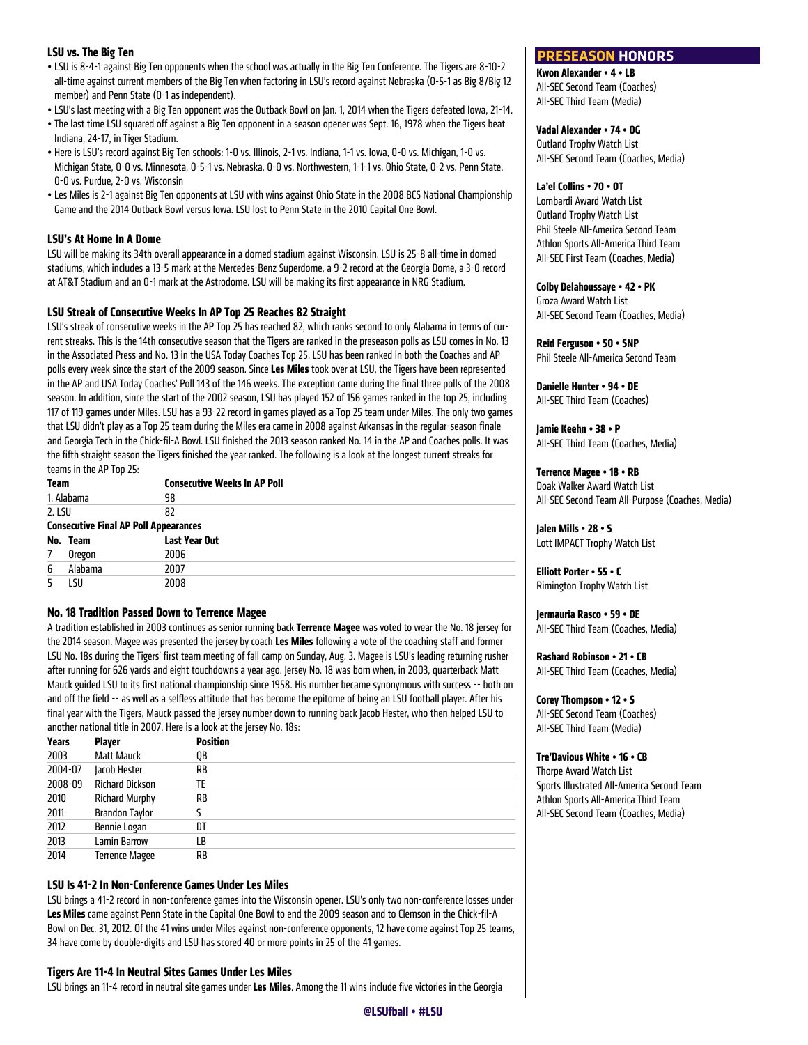#### **LSU vs. The Big Ten**

- LSU is 8-4-1 against Big Ten opponents when the school was actually in the Big Ten Conference. The Tigers are 8-10-2 all-time against current members of the Big Ten when factoring in LSU's record against Nebraska (0-5-1 as Big 8/Big 12 member) and Penn State (0-1 as independent).
- LSU's last meeting with a Big Ten opponent was the Outback Bowl on Jan. 1, 2014 when the Tigers defeated Iowa, 21-14.
- The last time LSU squared off against a Big Ten opponent in a season opener was Sept. 16, 1978 when the Tigers beat Indiana, 24-17, in Tiger Stadium.
- Here is LSU's record against Big Ten schools: 1-0 vs. Illinois, 2-1 vs. Indiana, 1-1 vs. Iowa, 0-0 vs. Michigan, 1-0 vs. Michigan State, 0-0 vs. Minnesota, 0-5-1 vs. Nebraska, 0-0 vs. Northwestern, 1-1-1 vs. Ohio State, 0-2 vs. Penn State, 0-0 vs. Purdue, 2-0 vs. Wisconsin
- Les Miles is 2-1 against Big Ten opponents at LSU with wins against Ohio State in the 2008 BCS National Championship Game and the 2014 Outback Bowl versus Iowa. LSU lost to Penn State in the 2010 Capital One Bowl.

#### **LSU's At Home In A Dome**

LSU will be making its 34th overall appearance in a domed stadium against Wisconsin. LSU is 25-8 all-time in domed stadiums, which includes a 13-5 mark at the Mercedes-Benz Superdome, a 9-2 record at the Georgia Dome, a 3-0 record at AT&T Stadium and an 0-1 mark at the Astrodome. LSU will be making its first appearance in NRG Stadium.

#### **LSU Streak of Consecutive Weeks In AP Top 25 Reaches 82 Straight**

LSU's streak of consecutive weeks in the AP Top 25 has reached 82, which ranks second to only Alabama in terms of current streaks. This is the 14th consecutive season that the Tigers are ranked in the preseason polls as LSU comes in No. 13 in the Associated Press and No. 13 in the USA Today Coaches Top 25. LSU has been ranked in both the Coaches and AP polls every week since the start of the 2009 season. Since **Les Miles** took over at LSU, the Tigers have been represented in the AP and USA Today Coaches' Poll 143 of the 146 weeks. The exception came during the final three polls of the 2008 season. In addition, since the start of the 2002 season, LSU has played 152 of 156 games ranked in the top 25, including 117 of 119 games under Miles. LSU has a 93-22 record in games played as a Top 25 team under Miles. The only two games that LSU didn't play as a Top 25 team during the Miles era came in 2008 against Arkansas in the regular-season finale and Georgia Tech in the Chick-fil-A Bowl. LSU finished the 2013 season ranked No. 14 in the AP and Coaches polls. It was the fifth straight season the Tigers finished the year ranked. The following is a look at the longest current streaks for teams in the AP Top 25:

| <b>Team</b> |                                              | <b>Consecutive Weeks In AP Poll</b> |  |  |
|-------------|----------------------------------------------|-------------------------------------|--|--|
| 1. Alabama  |                                              | 98                                  |  |  |
| 2. LSU      |                                              | 82                                  |  |  |
|             | <b>Consecutive Final AP Poll Appearances</b> |                                     |  |  |
|             | No. Team                                     | Last Year Out                       |  |  |
| 7           | Oregon                                       | 2006                                |  |  |
| 6           | Alabama                                      | 2007                                |  |  |
| 5           | lsu                                          | 2008                                |  |  |

#### **No. 18 Tradition Passed Down to Terrence Magee**

A tradition established in 2003 continues as senior running back **Terrence Magee** was voted to wear the No. 18 jersey for the 2014 season. Magee was presented the jersey by coach **Les Miles** following a vote of the coaching staff and former LSU No. 18s during the Tigers' first team meeting of fall camp on Sunday, Aug. 3. Magee is LSU's leading returning rusher after running for 626 yards and eight touchdowns a year ago. Jersey No. 18 was born when, in 2003, quarterback Matt Mauck guided LSU to its first national championship since 1958. His number became synonymous with success -- both on and off the field -- as well as a selfless attitude that has become the epitome of being an LSU football player. After his final year with the Tigers, Mauck passed the jersey number down to running back Jacob Hester, who then helped LSU to another national title in 2007. Here is a look at the jersey No. 18s:

| Years   | Player                 | <b>Position</b> |
|---------|------------------------|-----------------|
| 2003    | <b>Matt Mauck</b>      | OВ              |
| 2004-07 | Jacob Hester           | RB              |
| 2008-09 | <b>Richard Dickson</b> | TE              |
| 2010    | <b>Richard Murphy</b>  | RB              |
| 2011    | <b>Brandon Taylor</b>  |                 |
| 2012    | Bennie Logan           | DT              |
| 2013    | <b>Lamin Barrow</b>    | LB              |
| 2014    | <b>Terrence Magee</b>  | RB              |

#### **LSU Is 41-2 In Non-Conference Games Under Les Miles**

LSU brings a 41-2 record in non-conference games into the Wisconsin opener. LSU's only two non-conference losses under **Les Miles** came against Penn State in the Capital One Bowl to end the 2009 season and to Clemson in the Chick-fil-A Bowl on Dec. 31, 2012. Of the 41 wins under Miles against non-conference opponents, 12 have come against Top 25 teams, 34 have come by double-digits and LSU has scored 40 or more points in 25 of the 41 games.

#### **Tigers Are 11-4 In Neutral Sites Games Under Les Miles**

LSU brings an 11-4 record in neutral site games under **Les Miles**. Among the 11 wins include five victories in the Georgia

#### **PRESEASON HONORS**

**Kwon Alexander • 4 • LB**  All-SEC Second Team (Coaches) All-SEC Third Team (Media)

#### **Vadal Alexander • 74 • OG**

Outland Trophy Watch List All-SEC Second Team (Coaches, Media)

#### **La'el Collins • 70 • OT**

Lombardi Award Watch List Outland Trophy Watch List Phil Steele All-America Second Team Athlon Sports All-America Third Team All-SEC First Team (Coaches, Media)

#### **Colby Delahoussaye • 42 • PK**

Groza Award Watch List All-SEC Second Team (Coaches, Media)

**Reid Ferguson • 50 • SNP**  Phil Steele All-America Second Team

**Danielle Hunter • 94 • DE**  All-SEC Third Team (Coaches)

**Jamie Keehn • 38 • P**  All-SEC Third Team (Coaches, Media)

#### **Terrence Magee • 18 • RB**

Doak Walker Award Watch List All-SEC Second Team All-Purpose (Coaches, Media)

**Jalen Mills • 28 • S**  Lott IMPACT Trophy Watch List

**Elliott Porter • 55 • C**  Rimington Trophy Watch List

**Jermauria Rasco • 59 • DE**  All-SEC Third Team (Coaches, Media)

**Rashard Robinson • 21 • CB**  All-SEC Third Team (Coaches, Media)

**Corey Thompson • 12 • S**  All-SEC Second Team (Coaches) All-SEC Third Team (Media)

#### **Tre'Davious White • 16 • CB**

Thorpe Award Watch List Sports Illustrated All-America Second Team Athlon Sports All-America Third Team All-SEC Second Team (Coaches, Media)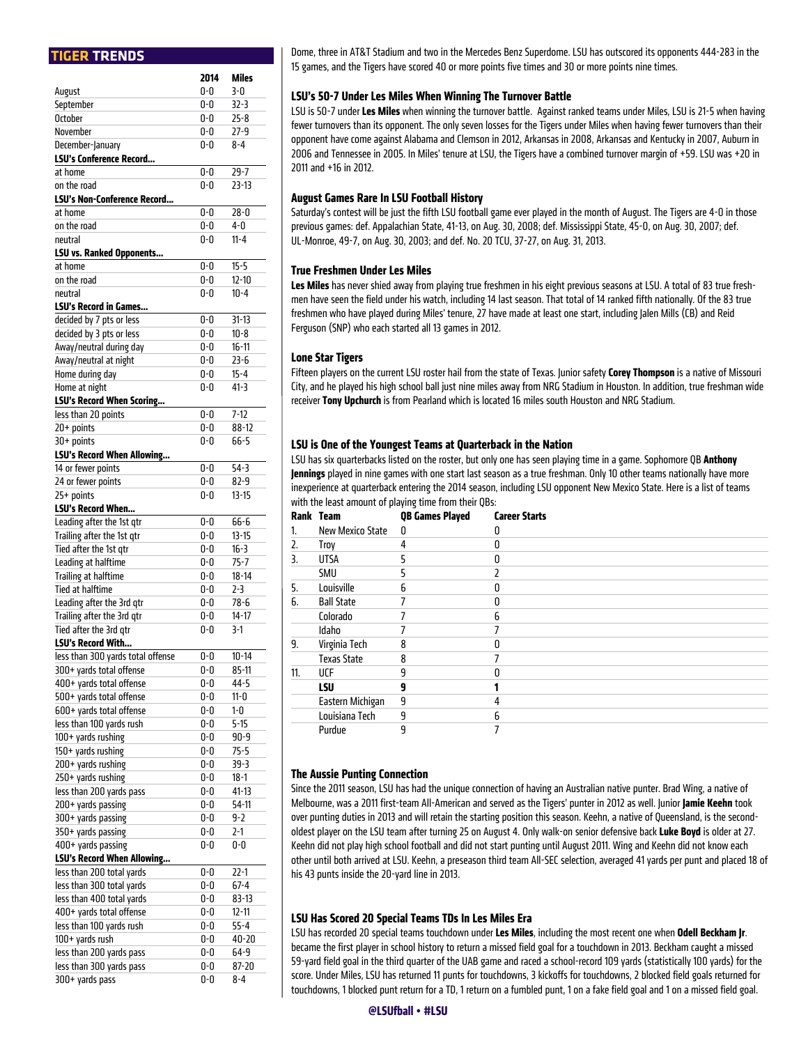#### **TIGER TRENDS**

|                                                 | 2014       | Miles                |
|-------------------------------------------------|------------|----------------------|
| August                                          | 0-0        | 3-0                  |
| September                                       | 0-0        | 32-3                 |
| October                                         | 0-0        | $25 - 8$             |
| November                                        | 0-0        | $27 - 9$             |
| December-January                                | 0-0        | 8-4                  |
| LSU's Conference Record                         |            |                      |
| at home                                         | 0-0        | $29 - 7$             |
| on the road<br>LSU's Non-Conference Record      | 0-0        | $23-13$              |
| at home                                         | 0-0        | 28-0                 |
| on the road                                     | 0-0        | 4-0                  |
| neutral                                         | 0-0        | $11 - 4$             |
| LSU vs. Ranked Opponents                        |            |                      |
| at home                                         | 0-0        | $15 - 5$             |
| on the road                                     | 0-0        | 12-10                |
| neutral                                         | 0-0        | $10 - 4$             |
| <b>LSU's Record in Games</b>                    |            |                      |
| decided by 7 pts or less                        | 0-0        | 31-13                |
| decided by 3 pts or less                        | 0-0        | $10 - 8$             |
| Away/neutral during day                         | 0-0        | $16 - 11$            |
| Away/neutral at night                           | 0-0        | 23-6                 |
| Home during day<br>Home at night                | 0-0<br>n-n | 15-4<br>$41 - 3$     |
| <b>LSU's Record When Scoring</b>                |            |                      |
| less than 20 points                             | 0-0        | $7-12$               |
| $20 + points$                                   | 0-0        | 88-12                |
| $30+$ points                                    | 0-0        | 66-5                 |
| LSU's Record When Allowing                      |            |                      |
| 14 or fewer points                              | 0-0        | 54-3                 |
| 24 or fewer points                              | 0-0        | 82-9                 |
| 25+ points                                      | 0-0        | $13 - 15$            |
| LSU's Record When                               |            |                      |
| Leading after the 1st qtr                       | 0-0        | 66-6                 |
| Trailing after the 1st qtr                      | 0-0        | 13-15                |
| Tied after the 1st gtr                          | 0-0        | 16-3                 |
| Leading at halftime                             | 0-0        | 75-7                 |
| Trailing at halftime<br><b>Tied at halftime</b> | 0-0<br>0-0 | $18 - 14$<br>$2 - 3$ |
| Leading after the 3rd qtr                       | 0-0        | 78-6                 |
| Trailing after the 3rd qtr                      | 0-0        | $14 - 17$            |
| Tied after the 3rd qtr                          | 0-0        | $3-1$                |
| LSU's Record With                               |            |                      |
| less than 300 yards total offense               | 0-0        | $10 - 14$            |
| 300+ yards total offense                        | 0-0        | 85-11                |
| 400+ yards total offense                        | 0-0        | 44-5                 |
| 500+ yards total offense                        | $0-0$      | 11-0                 |
| 600+ yards total offense                        | 0-0        | 1-0                  |
| less than 100 yards rush                        | 0-0        | 5-15                 |
| 100+ yards rushing                              | 0-0        | 90-9                 |
| 150+ yards rushing                              | 0-0        | 75-5                 |
| 200+ yards rushing                              | $0-0$      | $39 - 3$             |
| 250+ yards rushing<br>less than 200 yards pass  | 0-0<br>0-0 | 18-1<br>41-13        |
| 200+ yards passing                              | 0-0        | 54-11                |
| 300+ yards passing                              | 0-0        | $9-2$                |
| 350+ yards passing                              | 0-0        | $2-1$                |
| 400+ yards passing                              | 0-0        | 0-0                  |
| LSU's Record When Allowing                      |            |                      |
| less than 200 total yards                       | $0-0$      | $22 - 1$             |
| less than 300 total yards                       | 0-0        | $67 - 4$             |
| less than 400 total yards                       | 0-0        | 83-13                |
| 400+ yards total offense                        | 0-0        | 12-11                |
| less than 100 yards rush                        | 0-0        | 55-4                 |
| 100+ yards rush                                 | 0-0        | $40 - 20$            |
| less than 200 yards pass                        | 0-0        | 64-9                 |
| less than 300 yards pass                        | 0-0        | 87-20                |
| 300+ vards pass                                 | $0-0$      | $8 - 4$              |

Dome, three in AT&T Stadium and two in the Mercedes Benz Superdome. LSU has outscored its opponents 444-283 in the 15 games, and the Tigers have scored 40 or more points five times and 30 or more points nine times.

#### **LSU's 50-7 Under Les Miles When Winning The Turnover Battle**

LSU is 50-7 under **Les Miles** when winning the turnover battle. Against ranked teams under Miles, LSU is 21-5 when having fewer turnovers than its opponent. The only seven losses for the Tigers under Miles when having fewer turnovers than their opponent have come against Alabama and Clemson in 2012, Arkansas in 2008, Arkansas and Kentucky in 2007, Auburn in 2006 and Tennessee in 2005. In Miles' tenure at LSU, the Tigers have a combined turnover margin of +59. LSU was +20 in 2011 and +16 in 2012.

#### **August Games Rare In LSU Football History**

Saturday's contest will be just the fifth LSU football game ever played in the month of August. The Tigers are 4-0 in those previous games: def. Appalachian State, 41-13, on Aug. 30, 2008; def. Mississippi State, 45-0, on Aug. 30, 2007; def. UL-Monroe, 49-7, on Aug. 30, 2003; and def. No. 20 TCU, 37-27, on Aug. 31, 2013.

#### **True Freshmen Under Les Miles**

**Les Miles** has never shied away from playing true freshmen in his eight previous seasons at LSU. A total of 83 true freshmen have seen the field under his watch, including 14 last season. That total of 14 ranked fifth nationally. Of the 83 true freshmen who have played during Miles' tenure, 27 have made at least one start, including Jalen Mills (CB) and Reid Ferguson (SNP) who each started all 13 games in 2012.

#### **Lone Star Tigers**

Fifteen players on the current LSU roster hail from the state of Texas. Junior safety **Corey Thompson** is a native of Missouri City, and he played his high school ball just nine miles away from NRG Stadium in Houston. In addition, true freshman wide receiver **Tony Upchurch** is from Pearland which is located 16 miles south Houston and NRG Stadium.

#### **LSU is One of the Youngest Teams at Quarterback in the Nation**

LSU has six quarterbacks listed on the roster, but only one has seen playing time in a game. Sophomore QB **Anthony Jennings** played in nine games with one start last season as a true freshman. Only 10 other teams nationally have more inexperience at quarterback entering the 2014 season, including LSU opponent New Mexico State. Here is a list of teams with the least amount of playing time from their QBs:

|     | <b>Rank Team</b>   | <b>QB Games Played</b> | <b>Career Starts</b> |
|-----|--------------------|------------------------|----------------------|
| 1.  | New Mexico State   | n                      | 0                    |
| 2.  | Troy               | 4                      | 0                    |
| 3.  | <b>UTSA</b>        | 5                      | 0                    |
|     | <b>SMU</b>         | 5                      |                      |
| 5.  | Louisville         | ĥ                      | N                    |
| 6.  | <b>Ball State</b>  |                        | U                    |
|     | Colorado           |                        | 6                    |
|     | Idaho              |                        |                      |
| 9.  | Virginia Tech      | 8                      | Ŋ                    |
|     | <b>Texas State</b> | 8                      |                      |
| 11. | UCF                | ٩                      | 0                    |
|     | <b>LSU</b>         | 9                      |                      |
|     | Eastern Michigan   | 9                      | 4                    |
|     | Louisiana Tech     | 9                      | 6                    |
|     | Purdue             | 9                      |                      |

#### **The Aussie Punting Connection**

Since the 2011 season, LSU has had the unique connection of having an Australian native punter. Brad Wing, a native of Melbourne, was a 2011 first-team All-American and served as the Tigers' punter in 2012 as well. Junior **Jamie Keehn** took over punting duties in 2013 and will retain the starting position this season. Keehn, a native of Queensland, is the secondoldest player on the LSU team after turning 25 on August 4. Only walk-on senior defensive back **Luke Boyd** is older at 27. Keehn did not play high school football and did not start punting until August 2011. Wing and Keehn did not know each other until both arrived at LSU. Keehn, a preseason third team All-SEC selection, averaged 41 yards per punt and placed 18 of his 43 punts inside the 20-yard line in 2013.

#### **LSU Has Scored 20 Special Teams TDs In Les Miles Era**

LSU has recorded 20 special teams touchdown under **Les Miles**, including the most recent one when **Odell Beckham Jr**. became the first player in school history to return a missed field goal for a touchdown in 2013. Beckham caught a missed 59-yard field goal in the third quarter of the UAB game and raced a school-record 109 yards (statistically 100 yards) for the score. Under Miles, LSU has returned 11 punts for touchdowns, 3 kickoffs for touchdowns, 2 blocked field goals returned for touchdowns, 1 blocked punt return for a TD, 1 return on a fumbled punt, 1 on a fake field goal and 1 on a missed field goal.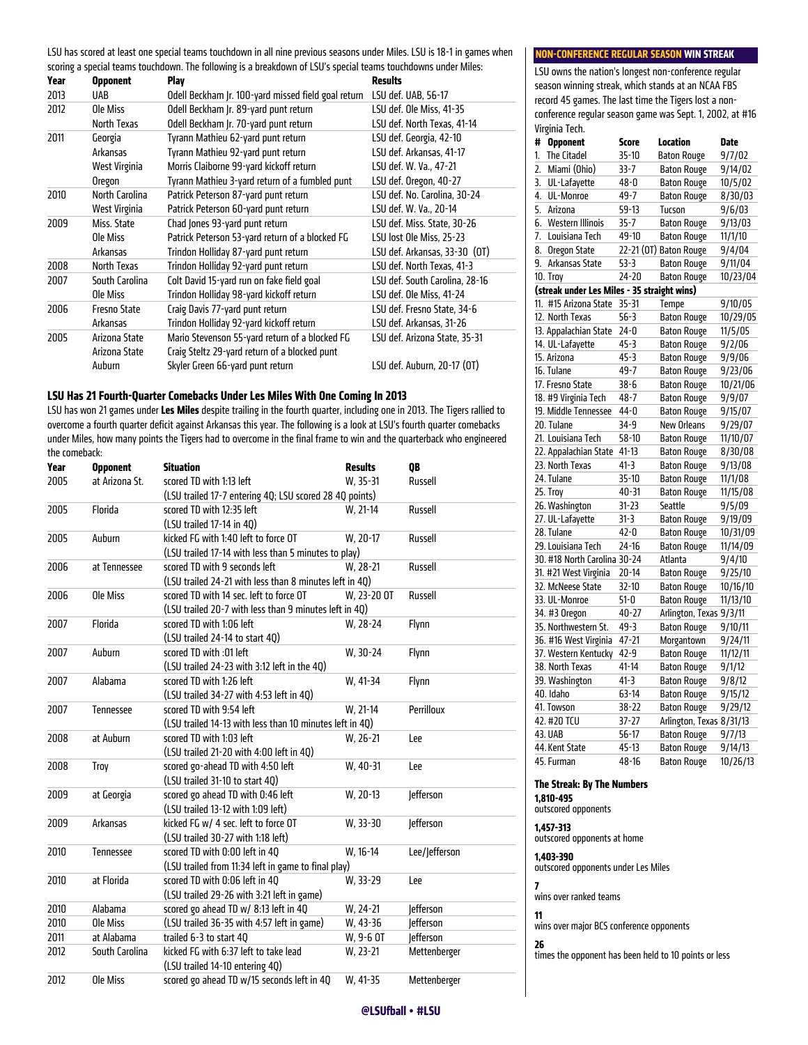LSU has scored at least one special teams touchdown in all nine previous seasons under Miles. LSU is 18-1 in games when scoring a special teams touchdown. The following is a breakdown of LSU's special teams touchdowns under Miles:

| Year | <b>Opponent</b>     | Play                                                | <b>Results</b>                 |
|------|---------------------|-----------------------------------------------------|--------------------------------|
| 2013 | UAB                 | Odell Beckham Jr. 100-yard missed field goal return | LSU def. UAB, 56-17            |
| 2012 | Ole Miss            | Odell Beckham Jr. 89-yard punt return               | LSU def. Ole Miss, 41-35       |
|      | North Texas         | Odell Beckham Jr. 70-yard punt return               | LSU def. North Texas, 41-14    |
| 2011 | Georgia             | Tyrann Mathieu 62-yard punt return                  | LSU def. Georgia, 42-10        |
|      | Arkansas            | Tyrann Mathieu 92-yard punt return                  | LSU def. Arkansas, 41-17       |
|      | West Virginia       | Morris Claiborne 99-yard kickoff return             | LSU def. W. Va., 47-21         |
|      | Oregon              | Tyrann Mathieu 3-yard return of a fumbled punt      | LSU def. Oregon, 40-27         |
| 2010 | North Carolina      | Patrick Peterson 87-yard punt return                | LSU def. No. Carolina, 30-24   |
|      | West Virginia       | Patrick Peterson 60-yard punt return                | LSU def. W. Va., 20-14         |
| 2009 | Miss. State         | Chad Jones 93-yard punt return                      | LSU def. Miss. State, 30-26    |
|      | Ole Miss            | Patrick Peterson 53-yard return of a blocked FG     | LSU lost Ole Miss, 25-23       |
|      | Arkansas            | Trindon Holliday 87-yard punt return                | LSU def. Arkansas, 33-30 (OT)  |
| 2008 | North Texas         | Trindon Holliday 92-yard punt return                | LSU def. North Texas, 41-3     |
| 2007 | South Carolina      | Colt David 15-yard run on fake field goal           | LSU def. South Carolina, 28-16 |
|      | Ole Miss            | Trindon Holliday 98-yard kickoff return             | LSU def. Ole Miss, 41-24       |
| 2006 | <b>Fresno State</b> | Craig Davis 77-yard punt return                     | LSU def. Fresno State, 34-6    |
|      | Arkansas            | Trindon Holliday 92-yard kickoff return             | LSU def. Arkansas, 31-26       |
| 2005 | Arizona State       | Mario Stevenson 55-yard return of a blocked FG      | LSU def. Arizona State, 35-31  |
|      | Arizona State       | Craig Steltz 29-yard return of a blocked punt       |                                |
|      | Auburn              | Skyler Green 66-yard punt return                    | LSU def. Auburn, 20-17 (OT)    |

#### **LSU Has 21 Fourth-Quarter Comebacks Under Les Miles With One Coming In 2013**

LSU has won 21 games under **Les Miles** despite trailing in the fourth quarter, including one in 2013. The Tigers rallied to overcome a fourth quarter deficit against Arkansas this year. The following is a look at LSU's fourth quarter comebacks under Miles, how many points the Tigers had to overcome in the final frame to win and the quarterback who engineered the comeback:

| Year | <b>Opponent</b> | <b>Situation</b>                                         | <b>Results</b> | QB            |
|------|-----------------|----------------------------------------------------------|----------------|---------------|
| 2005 | at Arizona St.  | scored TD with 1:13 left                                 | W. 35-31       | Russell       |
|      |                 | (LSU trailed 17-7 entering 4Q; LSU scored 28 4Q points)  |                |               |
| 2005 | Florida         | scored TD with 12:35 left                                | W. 21-14       | Russell       |
|      |                 | (LSU trailed 17-14 in 40)                                |                |               |
| 2005 | Auburn          | kicked FG with 1:40 left to force OT                     | W. 20-17       | Russell       |
|      |                 | (LSU trailed 17-14 with less than 5 minutes to play)     |                |               |
| 2006 | at Tennessee    | scored TD with 9 seconds left                            | W. 28-21       | Russell       |
|      |                 | (LSU trailed 24-21 with less than 8 minutes left in 40)  |                |               |
| 2006 | Ole Miss        | scored TD with 14 sec. left to force OT                  | W. 23-20 OT    | Russell       |
|      |                 | (LSU trailed 20-7 with less than 9 minutes left in 40)   |                |               |
| 2007 | Florida         | scored TD with 1:06 left                                 | W, 28-24       | Flynn         |
|      |                 | (LSU trailed 24-14 to start 40)                          |                |               |
| 2007 | Auburn          | scored TD with :01 left                                  | W. 30-24       | Flynn         |
|      |                 | (LSU trailed 24-23 with 3:12 left in the 4Q)             |                |               |
| 2007 | Alabama         | scored TD with 1:26 left                                 | W. 41-34       | Flynn         |
|      |                 | (LSU trailed 34-27 with 4:53 left in 4Q)                 |                |               |
| 2007 | Tennessee       | scored TD with 9:54 left                                 | W. 21-14       | Perrilloux    |
|      |                 | (LSU trailed 14-13 with less than 10 minutes left in 4Q) |                |               |
| 2008 | at Auburn       | scored TD with 1:03 left                                 | W, 26-21       | Lee           |
|      |                 | (LSU trailed 21-20 with 4:00 left in 4Q)                 |                |               |
| 2008 | Troy            | scored go-ahead TD with 4:50 left                        | W, 40-31       | Lee           |
|      |                 | (LSU trailed 31-10 to start 4Q)                          |                |               |
| 2009 | at Georgia      | scored go ahead TD with 0:46 left                        | W, 20-13       | lefferson     |
|      |                 | (LSU trailed 13-12 with 1:09 left)                       |                |               |
| 2009 | Arkansas        | kicked FG w/ 4 sec. left to force OT                     | W, 33-30       | Jefferson     |
|      |                 | (LSU trailed 30-27 with 1:18 left)                       |                |               |
| 2010 | Tennessee       | scored TD with 0:00 left in 40                           | W, 16-14       | Lee/Jefferson |
|      |                 | (LSU trailed from 11:34 left in game to final play)      |                |               |
| 2010 | at Florida      | scored TD with 0:06 left in 40                           | W, 33-29       | Lee           |
|      |                 | (LSU trailed 29-26 with 3:21 left in game)               |                |               |
| 2010 | Alabama         | scored go ahead TD w/ 8:13 left in 4Q                    | W, 24-21       | Jefferson     |
| 2010 | Ole Miss        | (LSU trailed 36-35 with 4:57 left in game)               | W, 43-36       | lefferson     |
| 2011 | at Alabama      | trailed 6-3 to start 40                                  | W, 9-6 OT      | Jefferson     |
| 2012 | South Carolina  | kicked FG with 6:37 left to take lead                    | W, 23-21       | Mettenberger  |
|      |                 | (LSU trailed 14-10 entering 4Q)                          |                |               |
| 2012 | Ole Miss        | scored go ahead TD w/15 seconds left in 4Q               | W, 41-35       | Mettenberger  |

**NON-CONFERENCE REGULAR SEASON WIN STREAK**

LSU owns the nation's longest non-conference regular season winning streak, which stands at an NCAA FBS record 45 games. The last time the Tigers lost a nonconference regular season game was Sept. 1, 2002, at #16 Virginia Tech.

| #                | <b>Opponent</b>                             | <b>Score</b> | Location                 | <b>Date</b> |
|------------------|---------------------------------------------|--------------|--------------------------|-------------|
| 1.               | <b>The Citadel</b>                          | 35-10        | <b>Baton Rouge</b>       | 9/7/02      |
| $\overline{2}$ . | Miami (Ohio)                                | 33-7         | <b>Baton Rouge</b>       | 9/14/02     |
| З.               | UL-Lafayette                                | $48 - 0$     | <b>Baton Rouge</b>       | 10/5/02     |
| 4.               | UL-Monroe                                   | 49-7         | <b>Baton Rouge</b>       | 8/30/03     |
| 5.               | Arizona                                     | 59-13        | Tucson                   | 9/6/03      |
| 6.               | <b>Western Illinois</b>                     | $35-7$       | <b>Baton Rouge</b>       | 9/13/03     |
| 7.               | Louisiana Tech                              | 49-10        | <b>Baton Rouge</b>       | 11/1/10     |
| 8.               | Oregon State                                |              | 22-21 (OT) Baton Rouge   | 9/4/04      |
| 9.               | Arkansas State                              | $53-3$       | <b>Baton Rouge</b>       | 9/11/04     |
|                  | 10. Troy                                    | $24 - 20$    | <b>Baton Rouge</b>       | 10/23/04    |
|                  | (streak under Les Miles - 35 straight wins) |              |                          |             |
|                  | 11. #15 Arizona State                       | $35 - 31$    | Tempe                    | 9/10/05     |
|                  | 12. North Texas                             | $56-3$       | <b>Baton Rouge</b>       | 10/29/05    |
|                  | 13. Appalachian State                       | $24 - 0$     | <b>Baton Rouge</b>       | 11/5/05     |
|                  | 14. UL-Lafayette                            | 45-3         | <b>Baton Rouge</b>       | 9/2/06      |
|                  | 15. Arizona                                 | $45 - 3$     | <b>Baton Rouge</b>       | 9/9/06      |
|                  | 16. Tulane                                  | 49-7         | <b>Baton Rouge</b>       | 9/23/06     |
|                  | 17. Fresno State                            | 38-6         | <b>Baton Rouge</b>       | 10/21/06    |
|                  | 18. #9 Virginia Tech                        | 48-7         | <b>Baton Rouge</b>       | 9/9/07      |
|                  | 19. Middle Tennessee                        | $44 - 0$     | <b>Baton Rouge</b>       | 9/15/07     |
|                  | 20. Tulane                                  | 34-9         | <b>New Orleans</b>       | 9/29/07     |
|                  | 21. Louisiana Tech                          | $58-10$      | <b>Baton Rouge</b>       | 11/10/07    |
|                  | 22. Appalachian State                       | 41-13        | <b>Baton Rouge</b>       | 8/30/08     |
|                  | 23. North Texas                             | $41 - 3$     | <b>Baton Rouge</b>       | 9/13/08     |
|                  | 24. Tulane                                  | $35 - 10$    | <b>Baton Rouge</b>       | 11/1/08     |
|                  | 25. Troy                                    | $40 - 31$    | <b>Baton Rouge</b>       | 11/15/08    |
|                  | 26. Washington                              | $31 - 23$    | Seattle                  | 9/5/09      |
|                  | 27. UL-Lafayette                            | $31-3$       | <b>Baton Rouge</b>       | 9/19/09     |
|                  | 28. Tulane                                  | $42 - 0$     | <b>Baton Rouge</b>       | 10/31/09    |
|                  | 29. Louisiana Tech                          | $24 - 16$    | <b>Baton Rouge</b>       | 11/14/09    |
|                  | 30. #18 North Carolina                      | $30 - 24$    | Atlanta                  | 9/4/10      |
|                  | 31. #21 West Virginia                       | $20 - 14$    | <b>Baton Rouge</b>       | 9/25/10     |
|                  | 32. McNeese State                           | 32-10        | <b>Baton Rouge</b>       | 10/16/10    |
|                  | 33. UL-Monroe                               | $51-0$       | <b>Baton Rouge</b>       | 11/13/10    |
|                  | 34. #3 Oregon                               | $40 - 27$    | Arlington, Texas         | 9/3/11      |
|                  | 35. Northwestern St.                        | 49-3         | <b>Baton Rouge</b>       | 9/10/11     |
|                  | 36. #16 West Virginia                       | $47 - 21$    | Morgantown               | 9/24/11     |
|                  | 37. Western Kentucky                        | $42-9$       | <b>Baton Rouge</b>       | 11/12/11    |
|                  | 38. North Texas                             | 41-14        | <b>Baton Rouge</b>       | 9/1/12      |
|                  | 39. Washington                              | $41 - 3$     | <b>Baton Rouge</b>       | 9/8/12      |
|                  | 40. Idaho                                   | 63-14        | <b>Baton Rouge</b>       | 9/15/12     |
|                  | 41. Towson                                  | $38 - 22$    | <b>Baton Rouge</b>       | 9/29/12     |
|                  | 42. #20 TCU                                 | $37 - 27$    | Arlington, Texas 8/31/13 |             |
|                  | 43. UAB                                     | 56-17        | <b>Baton Rouge</b>       | 9/7/13      |
|                  | 44. Kent State                              | 45-13        | <b>Baton Rouge</b>       | 9/14/13     |
|                  | 45. Furman                                  | $48 - 16$    | <b>Baton Rouge</b>       | 10/26/13    |
|                  | The Streak: By The Numbers                  |              |                          |             |

**1,810-495** outscored opponents

**1,457-313** outscored opponents at home **1,403-390**

outscored opponents under Les Miles

**7** wins over ranked teams

**11**

wins over major BCS conference opponents

**26** times the opponent has been held to 10 points or less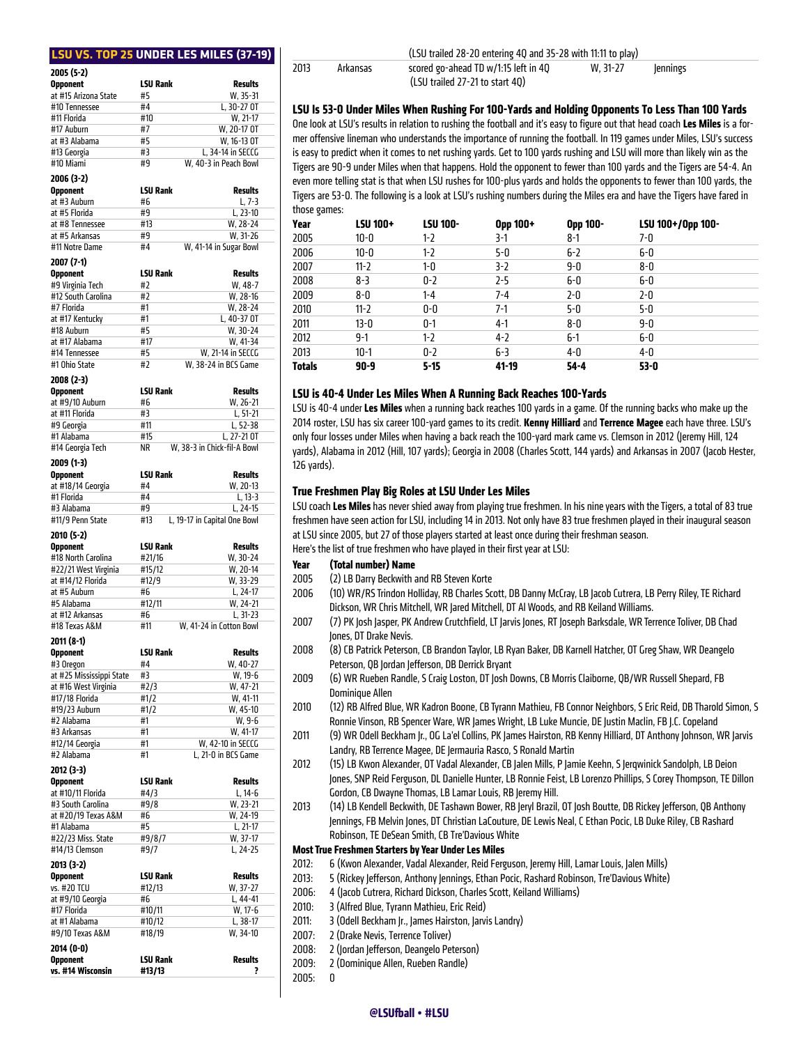#### **LSU VS. TOP 25 UNDER LES MILES (37-19)**

|                          |                 | LSU VS. TUP 25 UNDER LES MILES (37-19) |
|--------------------------|-----------------|----------------------------------------|
| 2005 (5-2)               |                 |                                        |
| <b>Opponent</b>          | <b>LSU Rank</b> | <b>Results</b>                         |
| at #15 Arizona State     | #5              | W, 35-31                               |
| #10 Tennessee            | #4              | L, $30 - 27$ OT                        |
| #11 Florida              | #10             | W. 21-17                               |
| #17 Auburn               | #7              | W, 20-17 OT                            |
| at #3 Alabama            | #5              | W. 16-13 OT                            |
| #13 Georgia              | #3              | L, 34-14 in SECCG                      |
| #10 Miami                | #9              | W, 40-3 in Peach Bowl                  |
| 2006 (3-2)               |                 |                                        |
| <b>Opponent</b>          | <b>LSU Rank</b> | <b>Results</b>                         |
| at #3 Auburn             | #6              | $L, 7-3$                               |
| at #5 Florida            | #9              | $L, 23 - 10$                           |
| at #8 Tennessee          | #13             | W. 28-24                               |
| at #5 Arkansas           | #9              | W, 31-26                               |
| #11 Notre Dame           | #4              | W, 41-14 in Sugar Bowl                 |
| 2007 (7-1)               |                 |                                        |
| <b>Opponent</b>          | LSU Rank        | <b>Results</b>                         |
| #9 Virginia Tech         | #2              | W, 48-7                                |
| #12 South Carolina       | #2              | W, 28-16                               |
| #7 Florida               | #1              | W, 28-24                               |
| at #17 Kentucky          | #1              | L, 40-37 OT                            |
| #18 Auburn               | #5              | W, 30-24                               |
| at #17 Alabama           | #17             | W, 41-34                               |
| #14 Tennessee            | #5              | W, 21-14 in SECCG                      |
| #1 Ohio State            | #2              | W. 38-24 in BCS Game                   |
|                          |                 |                                        |
| 2008 (2-3)               |                 |                                        |
| <b>Opponent</b>          | LSU Rank        | <b>Results</b>                         |
| at #9/10 Auburn          | #6              | W. 26-21                               |
| at #11 Florida           | #3              | L, 51-21                               |
| #9 Georgia               | #11             | L, 52-38                               |
| #1 Alabama               | #15             | $L. 27 - 210T$                         |
| #14 Georgia Tech         | ΝR              | W. 38-3 in Chick-fil-A Bowl            |
| 2009 (1-3)               |                 |                                        |
| <b>Opponent</b>          | LSU Rank        | <b>Results</b>                         |
| at #18/14 Georgia        | #4              | W, 20-13                               |
| #1 Florida               | #4              | L, 13-3                                |
| #3 Alabama               | #9              | L, 24-15                               |
| #11/9 Penn State         | #13             | L, 19-17 in Capital One Bowl           |
|                          |                 |                                        |
| 2010 (5-2)               |                 |                                        |
| <b>Opponent</b>          | <b>LSU Rank</b> | <b>Results</b>                         |
| #18 North Carolina       | #21/16          | W, 30-24                               |
| #22/21 West Virginia     | #15/12          | W, 20-14                               |
| at #14/12 Florida        | #12/9           | W, 33-29                               |
| at #5 Auburn             | #6              | L, 24-17                               |
| #5 Alabama               | #12/11          | W, 24-21                               |
| at #12 Arkansas          | #6              | L, 31-23                               |
| #18 Texas A&M            | #11             | W. 41-24 in Cotton Bowl                |
| 2011 (8-1)               |                 |                                        |
| <b>Opponent</b>          | LSU Rank        | <b>Results</b>                         |
| #3 Oregon                | #4              | W, 40-27                               |
| at #25 Mississippi State | #3              | W, 19-6                                |
| at #16 West Virginia     | #2/3            | W, 47-21                               |
| #17/18 Florida           | #1/2            | W, 41-11                               |
| #19/23 Auburn            | #1/2            | W, 45-10                               |
| #2 Alabama               | #1              | W, 9-6                                 |
| #3 Arkansas              | #1              | W, 41-17                               |
| #12/14 Georgia           | #1              | W, 42-10 in SECCG                      |
| #2 Alabama               | #1              | L, 21-0 in BCS Game                    |
| 2012 (3-3)               |                 |                                        |
| <b>Opponent</b>          | LSU Rank        | <b>Results</b>                         |
| at #10/11 Florida        | #4/3            | L, 14-6                                |
| #3 South Carolina        | #9/8            | W, 23-21                               |
| at #20/19 Texas A&M      | #6              | W, 24-19                               |
| #1 Alabama               | #5              | L, 21-17                               |
| #22/23 Miss. State       | #9/8/7          | W, 37-17                               |
| #14/13 Clemson           | #9/7            | L, 24-25                               |
|                          |                 |                                        |
| 2013 (3-2)               |                 |                                        |
| <b>Opponent</b>          | LSU Rank        | Results                                |
| vs. #20 TCU              | #12/13          | W, 37-27                               |
| at #9/10 Georgia         | #6              | L, 44-41                               |
| #17 Florida              | #10/11          | W, 17-6                                |
| at #1 Alabama            | #10/12          | L, 38-17                               |
| #9/10 Texas A&M          | #18/19          | W, 34-10                               |
| 2014 (0-0)               |                 |                                        |
| <b>Opponent</b>          | LSU Rank        | Results                                |
| vs. #14 Wisconsin        | #13/13          | ?                                      |

| (LSU trailed 28-20 entering 4Q and 35-28 with 11:11 to play) |          |                                                                         |          |          |  |  |
|--------------------------------------------------------------|----------|-------------------------------------------------------------------------|----------|----------|--|--|
| 2013                                                         | Arkansas | scored go-ahead TD w/1:15 left in 40<br>(LSU trailed 27-21 to start 40) | W. 31-27 | lennings |  |  |

#### **LSU Is 53-0 Under Miles When Rushing For 100-Yards and Holding Opponents To Less Than 100 Yards**

One look at LSU's results in relation to rushing the football and it's easy to figure out that head coach **Les Miles** is a former offensive lineman who understands the importance of running the football. In 119 games under Miles, LSU's success is easy to predict when it comes to net rushing yards. Get to 100 yards rushing and LSU will more than likely win as the Tigers are 90-9 under Miles when that happens. Hold the opponent to fewer than 100 yards and the Tigers are 54-4. An even more telling stat is that when LSU rushes for 100-plus yards and holds the opponents to fewer than 100 yards, the Tigers are 53-0. The following is a look at LSU's rushing numbers during the Miles era and have the Tigers have fared in those games:

| Year          | <b>LSU 100+</b> | <b>LSU 100-</b> | Opp 100+ | Opp 100- | LSU 100+/0pp 100- |
|---------------|-----------------|-----------------|----------|----------|-------------------|
| 2005          | $10 - 0$        | 1-2             | 3-1      | $8-1$    | 7-0               |
| 2006          | $10 - 0$        | $1 - 2$         | $5-0$    | $6-2$    | 6-0               |
| 2007          | $11 - 2$        | $1-0$           | $3-2$    | 9-0      | 8-0               |
| 2008          | $8-3$           | $0 - 2$         | $2 - 5$  | 6-0      | 6-0               |
| 2009          | 8-0             | 1-4             | $7 - 4$  | $2 - 0$  | $2 - 0$           |
| 2010          | $11 - 2$        | 0-0             | 7-1      | 5-0      | 5-0               |
| 2011          | $13 - 0$        | $0 - 1$         | $4-1$    | 8-0      | 9-0               |
| 2012          | $9-1$           | $1 - 2$         | $4 - 2$  | $6-1$    | 6-0               |
| 2013          | $10-1$          | $0 - 2$         | 6-3      | 4-0      | 4-0               |
| <b>Totals</b> | $90-9$          | 5-15            | 41-19    | $54 - 4$ | $53-0$            |

#### **LSU is 40-4 Under Les Miles When A Running Back Reaches 100-Yards**

LSU is 40-4 under **Les Miles** when a running back reaches 100 yards in a game. Of the running backs who make up the 2014 roster, LSU has six career 100-yard games to its credit. **Kenny Hilliard** and **Terrence Magee** each have three. LSU's only four losses under Miles when having a back reach the 100-yard mark came vs. Clemson in 2012 (Jeremy Hill, 124 yards), Alabama in 2012 (Hill, 107 yards); Georgia in 2008 (Charles Scott, 144 yards) and Arkansas in 2007 (Jacob Hester, 126 yards).

#### **True Freshmen Play Big Roles at LSU Under Les Miles**

LSU coach **Les Miles** has never shied away from playing true freshmen. In his nine years with the Tigers, a total of 83 true freshmen have seen action for LSU, including 14 in 2013. Not only have 83 true freshmen played in their inaugural season at LSU since 2005, but 27 of those players started at least once during their freshman season.

Here's the list of true freshmen who have played in their first year at LSU: **Year (Total number) Name** 

| #15/12             | W, 20-14                |       |                                                                                                                 |
|--------------------|-------------------------|-------|-----------------------------------------------------------------------------------------------------------------|
| #12/9              | W, 33-29                | 2005  | (2) LB Darry Beckwith and RB Steven Korte                                                                       |
| #6                 | L, 24-17                | 2006  | (10) WR/RS Trindon Holliday, RB Charles Scott, DB Danny McCray, LB Jacob Cutrera, LB Perry Riley, TE Richard    |
| #12/11             | W. 24-21                |       | Dickson, WR Chris Mitchell, WR Jared Mitchell, DT Al Woods, and RB Keiland Williams.                            |
| #6                 | $L, 31-23$              | 2007  | (7) PK Josh Jasper, PK Andrew Crutchfield, LT Jarvis Jones, RT Joseph Barksdale, WR Terrence Toliver, DB Chad   |
| #11                | W. 41-24 in Cotton Bowl |       | Jones, DT Drake Nevis.                                                                                          |
|                    |                         |       |                                                                                                                 |
| <b>LSU Rank</b>    | <b>Results</b>          | 2008  | (8) CB Patrick Peterson, CB Brandon Taylor, LB Ryan Baker, DB Karnell Hatcher, OT Greg Shaw, WR Deangelo        |
| #4                 | W, 40-27                |       | Peterson, QB Jordan Jefferson, DB Derrick Bryant                                                                |
| #3                 | W, 19-6                 | 2009  | (6) WR Rueben Randle, S Craig Loston, DT Josh Downs, CB Morris Claiborne, OB/WR Russell Shepard, FB             |
| #2/3               | W. 47-21                |       | Dominique Allen                                                                                                 |
| # $1/2$<br># $1/2$ | W. 41-11<br>W, 45-10    | 2010  | (12) RB Alfred Blue, WR Kadron Boone, CB Tyrann Mathieu, FB Connor Neighbors, S Eric Reid, DB Tharold Simon, S  |
| #1                 | W, 9-6                  |       | Ronnie Vinson, RB Spencer Ware, WR James Wright, LB Luke Muncie, DE Justin Maclin, FB J.C. Copeland             |
| #1                 | W. 41-17                | 2011  |                                                                                                                 |
| #1                 | W, 42-10 in SECCG       |       | (9) WR Odell Beckham Jr., OG La'el Collins, PK James Hairston, RB Kenny Hilliard, DT Anthony Johnson, WR Jarvis |
| #1                 | L, 21-0 in BCS Game     |       | Landry, RB Terrence Magee, DE Jermauria Rasco, S Ronald Martin                                                  |
|                    |                         | 2012  | (15) LB Kwon Alexander, OT Vadal Alexander, CB Jalen Mills, P Jamie Keehn, S Jerqwinick Sandolph, LB Deion      |
| <b>LSU Rank</b>    | <b>Results</b>          |       | Jones, SNP Reid Ferguson, DL Danielle Hunter, LB Ronnie Feist, LB Lorenzo Phillips, S Corey Thompson, TE Dillon |
| #4/3               | $L, 14-6$               |       | Gordon, CB Dwayne Thomas, LB Lamar Louis, RB Jeremy Hill.                                                       |
| #9/8               | W, 23-21                | 2013  | (14) LB Kendell Beckwith, DE Tashawn Bower, RB Jeryl Brazil, OT Josh Boutte, DB Rickey Jefferson, QB Anthony    |
| #6                 | W. 24-19                |       | Jennings, FB Melvin Jones, DT Christian LaCouture, DE Lewis Neal, C Ethan Pocic, LB Duke Riley, CB Rashard      |
| #5                 | L, 21-17                |       | Robinson, TE DeSean Smith, CB Tre'Davious White                                                                 |
| #9/8/7             | W. 37-17                |       |                                                                                                                 |
| #9/7               | L, 24-25                |       | Most True Freshmen Starters by Year Under Les Miles                                                             |
|                    |                         | 2012: | 6 (Kwon Alexander, Vadal Alexander, Reid Ferguson, Jeremy Hill, Lamar Louis, Jalen Mills)                       |
| <b>LSU Rank</b>    | <b>Results</b>          | 2013: | 5 (Rickey Jefferson, Anthony Jennings, Ethan Pocic, Rashard Robinson, Tre'Davious White)                        |
| #12/13             | W. 37-27                | 2006: | 4 (Jacob Cutrera, Richard Dickson, Charles Scott, Keiland Williams)                                             |
| #6<br>#10/11       | $L, 44-41$<br>W. 17-6   | 2010: | 3 (Alfred Blue, Tyrann Mathieu, Eric Reid)                                                                      |
| #10/12             | L, 38-17                | 2011: | 3 (Odell Beckham Jr., James Hairston, Jarvis Landry)                                                            |
| #18/19             | W. 34-10                | 2007: | 2 (Drake Nevis, Terrence Toliver)                                                                               |
|                    |                         |       |                                                                                                                 |

- 2008: 2 (Jordan Jefferson, Deangelo Peterson)
- 2009: 2 (Dominique Allen, Rueben Randle)
- 2005: 0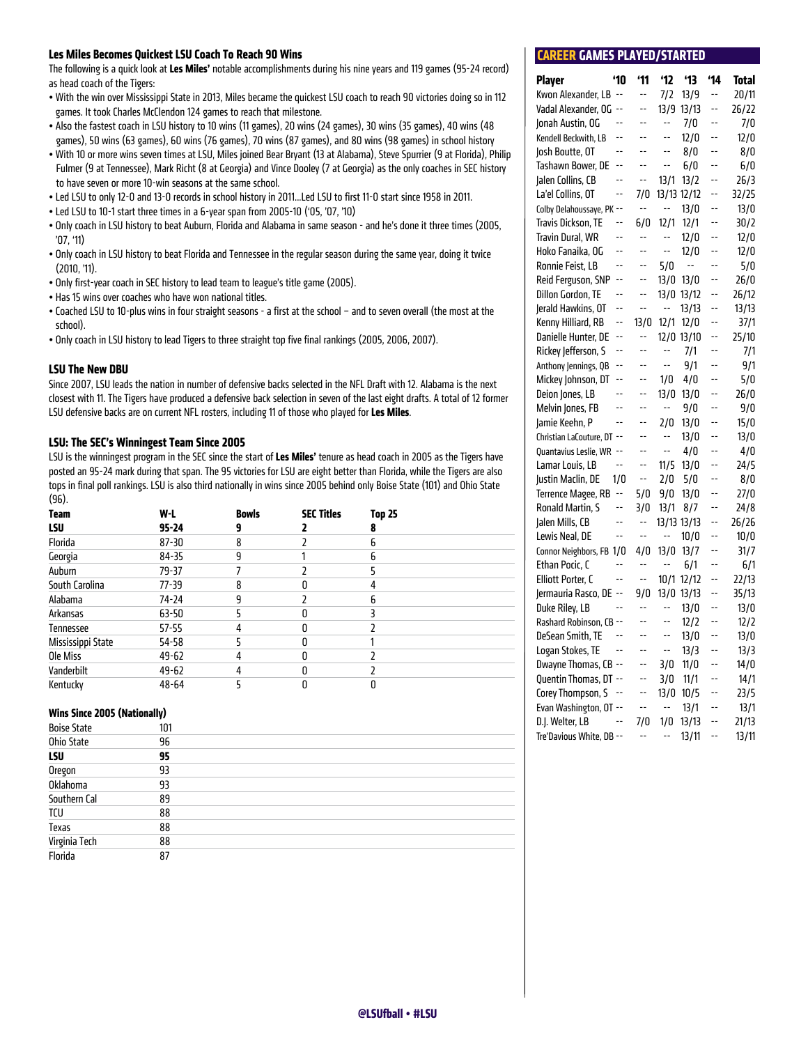#### **Les Miles Becomes Quickest LSU Coach To Reach 90 Wins**

The following is a quick look at **Les Miles'** notable accomplishments during his nine years and 119 games (95-24 record) as head coach of the Tigers:

- With the win over Mississippi State in 2013, Miles became the quickest LSU coach to reach 90 victories doing so in 112 games. It took Charles McClendon 124 games to reach that milestone.
- Also the fastest coach in LSU history to 10 wins (11 games), 20 wins (24 games), 30 wins (35 games), 40 wins (48 games), 50 wins (63 games), 60 wins (76 games), 70 wins (87 games), and 80 wins (98 games) in school history
- With 10 or more wins seven times at LSU, Miles joined Bear Bryant (13 at Alabama), Steve Spurrier (9 at Florida), Philip Fulmer (9 at Tennessee), Mark Richt (8 at Georgia) and Vince Dooley (7 at Georgia) as the only coaches in SEC history to have seven or more 10-win seasons at the same school.
- Led LSU to only 12-0 and 13-0 records in school history in 2011...Led LSU to first 11-0 start since 1958 in 2011.
- Led LSU to 10-1 start three times in a 6-year span from 2005-10 ('05, '07, '10)
- Only coach in LSU history to beat Auburn, Florida and Alabama in same season and he's done it three times (2005, '07, '11)
- Only coach in LSU history to beat Florida and Tennessee in the regular season during the same year, doing it twice (2010, '11).
- Only first-year coach in SEC history to lead team to league's title game (2005).
- Has 15 wins over coaches who have won national titles.
- Coached LSU to 10-plus wins in four straight seasons a first at the school and to seven overall (the most at the school).
- Only coach in LSU history to lead Tigers to three straight top five final rankings (2005, 2006, 2007).

#### **LSU The New DBU**

Since 2007, LSU leads the nation in number of defensive backs selected in the NFL Draft with 12. Alabama is the next closest with 11. The Tigers have produced a defensive back selection in seven of the last eight drafts. A total of 12 former LSU defensive backs are on current NFL rosters, including 11 of those who played for **Les Miles**.

#### **LSU: The SEC's Winningest Team Since 2005**

LSU is the winningest program in the SEC since the start of **Les Miles'** tenure as head coach in 2005 as the Tigers have posted an 95-24 mark during that span. The 95 victories for LSU are eight better than Florida, while the Tigers are also tops in final poll rankings. LSU is also third nationally in wins since 2005 behind only Boise State (101) and Ohio State (96).

| <b>Team</b>       | W-L       | <b>Bowls</b> | <b>SEC Titles</b> | <b>Top 25</b> |  |
|-------------------|-----------|--------------|-------------------|---------------|--|
| LSU               | $95 - 24$ |              |                   | 8             |  |
| Florida           | $87 - 30$ | 8            |                   | 6             |  |
| Georgia           | 84-35     | n            |                   | b             |  |
| Auburn            | 79-37     |              |                   |               |  |
| South Carolina    | 77-39     | 8            |                   |               |  |
| Alabama           | 74-24     |              |                   | 6             |  |
| Arkansas          | 63-50     |              |                   |               |  |
| Tennessee         | $57 - 55$ | 4            |                   |               |  |
| Mississippi State | 54-58     |              |                   |               |  |
| Ole Miss          | $49 - 62$ | 4            |                   |               |  |
| Vanderbilt        | $49 - 62$ | 4            |                   |               |  |
| Kentucky          | 48-64     |              |                   |               |  |

#### **Wins Since 2005 (Nationally)**

| <b>Boise State</b> | 101 |  |
|--------------------|-----|--|
| <b>Ohio State</b>  | 96  |  |
| <b>LSU</b>         | 95  |  |
| Oregon             | 93  |  |
| Oklahoma           | 93  |  |
| Southern Cal       | 89  |  |
| tcu                | 88  |  |
| Texas              | 88  |  |
| Virginia Tech      | 88  |  |
| Florida            | 87  |  |

#### **CAREER GAMES PLAYED/STARTED**

| Player                                      | '10            | '11                            | '12                      | '13            | '14                      | Total         |
|---------------------------------------------|----------------|--------------------------------|--------------------------|----------------|--------------------------|---------------|
| Kwon Alexander, LB                          | --             | --                             | 7/2                      | 13/9           | --                       | 20/11         |
| Vadal Alexander, OG                         | --             | --                             | 13/9                     | 13/13          | --                       | 26/22         |
| Jonah Austin, OG                            | ۵.             | $-1$                           | --                       | 7/0            | $-$                      | 7/0           |
| Kendell Beckwith, LB                        | ٠.             | ٠.                             | --                       | 12/0           | --                       | 12/0          |
| Josh Boutte, OT                             | ۵.             | ۵.                             | Ξ.                       | 8/0            | $\overline{a}$           | 8/0           |
| Tashawn Bower, DE                           | $\overline{a}$ | $\overline{a}$                 | $\overline{a}$           | 6/0            | --                       | 6/0           |
| Jalen Collins, CB                           | ۵.             | $\overline{a}$                 | 13/1                     | 13/2           | --                       | 26/3          |
| La'el Collins, OT                           | --             | 7/0                            | 13/13                    | 12/12          | --                       | 32/25         |
| Colby Delahoussaye, PK --                   |                | --                             | --                       | 13/0           | --                       | 13/0          |
| Travis Dickson, TE                          | --             | 6/0                            | 12/1                     | 12/1           | --                       | 30/2          |
| Travin Dural, WR                            | ۵.             | --                             | --                       | 12/0           | --                       | 12/0          |
| Hoko Fanaika, OG                            | ۵.             | $\overline{\phantom{a}}$       | --                       | 12/0           | Ξ.                       | 12/0          |
| Ronnie Feist, LB                            | ۵.             | ۵.                             | 5/0                      | --             | --                       | 5/0           |
| Reid Ferguson, SNP                          | --             | --                             | 13/0                     | 13/0           | --                       | 26/0          |
| Dillon Gordon, TE                           | --             | $-$                            | 13/0                     | 13/12          | --                       | 26/12         |
| Jerald Hawkins, OT                          | --             | --                             | --                       | 13/13          | --                       | 13/13         |
| Kenny Hilliard, RB                          | --             | 13/0                           | 12/1                     | 12/0           | ٠.                       | 37/1          |
| Danielle Hunter, DE                         | ٠.             | --                             | 12/0                     | 13/10          | --                       | 25/10         |
| Rickey Jefferson, S                         | ۵.             | $\overline{a}$                 | --                       | 7/1            | --                       | 7/1           |
| Anthony Jennings, QB                        | ۵.             | ۵.                             | $\overline{\phantom{a}}$ | 9/1            | ٠.                       | 9/1           |
| Mickey Johnson, DT                          | Ξ.             | Ξ.                             | 1/0                      | 4/0            | ٠.                       | 5/0           |
| Deion Jones, LB                             | --             | ٠.                             | 13/0                     | 13/0           | ٠.                       | 26/0          |
| Melvin Jones, FB                            | Ξ.             | Ξ.                             | --                       | 9/0            | --                       | 9/0           |
| Jamie Keehn, P                              | ۵.             | $-$                            | 2/0                      | 13/0           | ۵.                       | 15/0          |
| Christian LaCouture, DT                     | $\ddotsc$      | --                             | --                       | 13/0           | --                       | 13/0          |
| Quantavius Leslie, WR                       | --             | --                             | --                       | 4/0            | --                       | 4/0           |
| Lamar Louis, LB                             | $\overline{a}$ | --                             | 11/5                     | 13/0           | --                       | 24/5          |
| Justin Maclin, DE                           | 1/0            | --                             | 2/0                      | 5/0            | --                       | 8/0           |
| Terrence Magee, RB                          | --             | 5/0                            | 9/0                      | 13/0           | --                       | 27/0          |
| Ronald Martin, S                            | --             | 3/0                            | 13/1                     | 8/7            | $\overline{a}$           | 24/8          |
| Jalen Mills, CB                             | ۵.             | --                             | 13/13                    | 13/13          | --                       | 26/26         |
| Lewis Neal, DE                              | ۵.             | $\overline{a}$                 | --                       | 10/0           | --                       | 10/0          |
| Connor Neighbors, FB 1/0                    | --             | 4/0                            | 13/0                     | 13/7           | --                       | 31/7          |
| Ethan Pocic, C                              | $\overline{a}$ | --<br>$\overline{\phantom{a}}$ | --                       | 6/1            | --<br>٠.                 | 6/1           |
| <b>Elliott Porter, C</b>                    | $\overline{a}$ |                                | 10/1                     | 12/12          | Ξ.                       | 22/13         |
| Jermauria Rasco, DE                         | --             | 9/0<br>                        | 13/0<br>--               | 13/13          | --                       | 35/13         |
| Duke Riley, LB                              |                | --                             | --                       | 13/0           |                          | 13/0          |
| Rashard Robinson, CB --                     | --             | $-1$                           | --                       | 12/2           | ۰.<br>--                 | 12/2          |
| DeSean Smith, TE                            | --             | --                             | --                       | 13/0           |                          | 13/0          |
| Logan Stokes, TE                            |                | ٠.                             |                          | 13/3           | --<br>٠.                 | 13/3          |
| Dwayne Thomas, CB --                        | --             | ٠.                             | 3/0                      | 11/0           | ٠.                       | 14/0          |
| Quentin Thomas, DT                          | --             | ۵.                             | 3/0                      | 11/1           | $\overline{\phantom{a}}$ | 14/1          |
| Corey Thompson, S<br>Evan Washington, OT -- |                | --                             | 13/0<br>--               | 10/5<br>13/1   | ٠.                       | 23/5          |
| D.J. Welter, LB                             | --             | 7/0                            | 1/0                      |                | $-$                      | 13/1<br>21/13 |
| Tre'Davious White, DB --                    |                | ٠.                             | $\overline{\phantom{a}}$ | 13/13<br>13/11 | $-$                      | 13/11         |
|                                             |                |                                |                          |                |                          |               |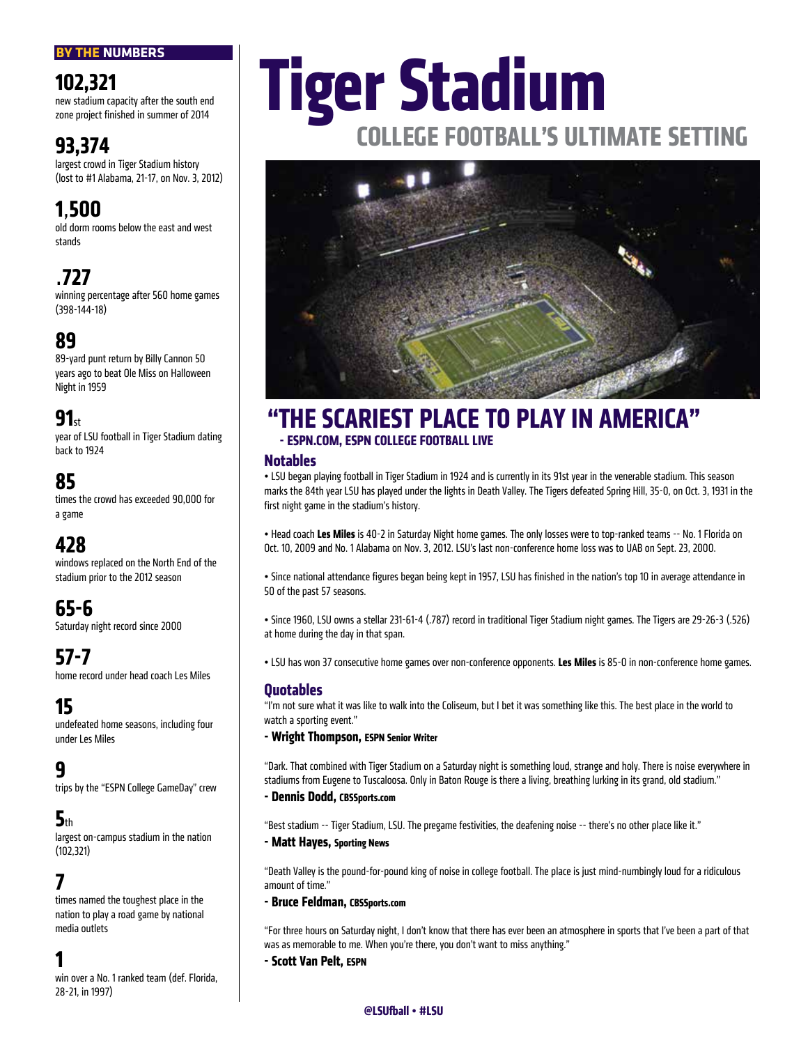#### **BY THE NUMBERS**

# **102,321**

new stadium capacity after the south end zone project finished in summer of 2014

# **93,374**

largest crowd in Tiger Stadium history (lost to #1 Alabama, 21-17, on Nov. 3, 2012)

# **1**,**500**

old dorm rooms below the east and west stands

# .**727**

winning percentage after 560 home games (398-144-18)

# **89**

89-yard punt return by Billy Cannon 50 years ago to beat Ole Miss on Halloween Night in 1959

## **91**st

year of LSU football in Tiger Stadium dating back to 1924

# **85**

times the crowd has exceeded 90,000 for a game

# **428**

windows replaced on the North End of the stadium prior to the 2012 season

**65-6**

Saturday night record since 2000

**57-7**  home record under head coach Les Miles

**15** undefeated home seasons, including four under Les Miles

**9** trips by the "ESPN College GameDay" crew

**5**th largest on-campus stadium in the nation (102,321)

# **7**

times named the toughest place in the nation to play a road game by national media outlets

## **1**

win over a No. 1 ranked team (def. Florida, 28-21, in 1997)

# **Tiger Stadium College Football's Ultimate Setting**



# **"The Scariest place to play in america" - ESPN.com, ESPN COLLEGE FOOTBALL LIVE**

#### **Notables**

• LSU began playing football in Tiger Stadium in 1924 and is currently in its 91st year in the venerable stadium. This season marks the 84th year LSU has played under the lights in Death Valley. The Tigers defeated Spring Hill, 35-0, on Oct. 3, 1931 in the first night game in the stadium's history.

• Head coach **Les Miles** is 40-2 in Saturday Night home games. The only losses were to top-ranked teams -- No. 1 Florida on Oct. 10, 2009 and No. 1 Alabama on Nov. 3, 2012. LSU's last non-conference home loss was to UAB on Sept. 23, 2000.

• Since national attendance figures began being kept in 1957, LSU has finished in the nation's top 10 in average attendance in 50 of the past 57 seasons.

• Since 1960, LSU owns a stellar 231-61-4 (.787) record in traditional Tiger Stadium night games. The Tigers are 29-26-3 (.526) at home during the day in that span.

• LSU has won 37 consecutive home games over non-conference opponents. **Les Miles** is 85-0 in non-conference home games.

#### **Quotables**

"I'm not sure what it was like to walk into the Coliseum, but I bet it was something like this. The best place in the world to watch a sporting event."

#### **- Wright Thompson, ESPN Senior Writer**

"Dark. That combined with Tiger Stadium on a Saturday night is something loud, strange and holy. There is noise everywhere in stadiums from Eugene to Tuscaloosa. Only in Baton Rouge is there a living, breathing lurking in its grand, old stadium."

#### **- Dennis Dodd, CBSSports.com**

"Best stadium -- Tiger Stadium, LSU. The pregame festivities, the deafening noise -- there's no other place like it."

#### **- Matt Hayes, Sporting News**

"Death Valley is the pound-for-pound king of noise in college football. The place is just mind-numbingly loud for a ridiculous amount of time."

#### **- Bruce Feldman, CBSSports.com**

"For three hours on Saturday night, I don't know that there has ever been an atmosphere in sports that I've been a part of that was as memorable to me. When you're there, you don't want to miss anything."

#### **- Scott Van Pelt, ESPN**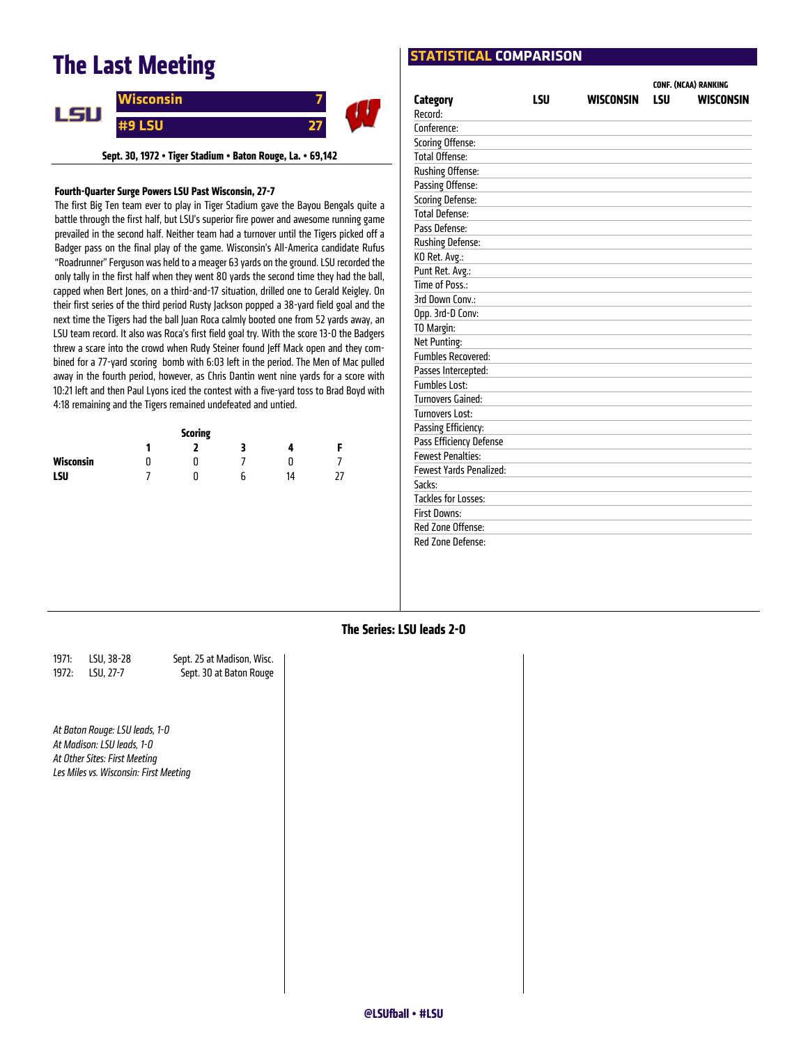# **The Last Meeting**



**Sept. 30, 1972 • Tiger Stadium • Baton Rouge, La. • 69,142**

#### **Fourth-Quarter Surge Powers LSU Past Wisconsin, 27-7**

The first Big Ten team ever to play in Tiger Stadium gave the Bayou Bengals quite a battle through the first half, but LSU's superior fire power and awesome running game prevailed in the second half. Neither team had a turnover until the Tigers picked off a Badger pass on the final play of the game. Wisconsin's All-America candidate Rufus "Roadrunner" Ferguson was held to a meager 63 yards on the ground. LSU recorded the only tally in the first half when they went 80 yards the second time they had the ball, capped when Bert Jones, on a third-and-17 situation, drilled one to Gerald Keigley. On their first series of the third period Rusty Jackson popped a 38-yard field goal and the next time the Tigers had the ball Juan Roca calmly booted one from 52 yards away, an LSU team record. It also was Roca's first field goal try. With the score 13-0 the Badgers threw a scare into the crowd when Rudy Steiner found Jeff Mack open and they combined for a 77-yard scoring bomb with 6:03 left in the period. The Men of Mac pulled away in the fourth period, however, as Chris Dantin went nine yards for a score with 10:21 left and then Paul Lyons iced the contest with a five-yard toss to Brad Boyd with 4:18 remaining and the Tigers remained undefeated and untied.

|           | <b>Scoring</b> |   |    |  |
|-----------|----------------|---|----|--|
|           |                |   |    |  |
| Wisconsin |                |   |    |  |
| LSU       |                | b | 14 |  |

|                                |     |           |     | LUNI. (NLAA) KANKINU |
|--------------------------------|-----|-----------|-----|----------------------|
| Category                       | LSU | WISCONSIN | LSU | WISCONSIN            |
| Record:                        |     |           |     |                      |
| Conference:                    |     |           |     |                      |
| <b>Scoring Offense:</b>        |     |           |     |                      |
| <b>Total Offense:</b>          |     |           |     |                      |
| Rushing Offense:               |     |           |     |                      |
| Passing Offense:               |     |           |     |                      |
| <b>Scoring Defense:</b>        |     |           |     |                      |
| <b>Total Defense:</b>          |     |           |     |                      |
| Pass Defense:                  |     |           |     |                      |
| Rushing Defense:               |     |           |     |                      |
| KO Ret. Avg.:                  |     |           |     |                      |
| Punt Ret. Avg.:                |     |           |     |                      |
| Time of Poss.:                 |     |           |     |                      |
| 3rd Down Conv.:                |     |           |     |                      |
| Opp. 3rd-D Conv:               |     |           |     |                      |
| TO Margin:                     |     |           |     |                      |
| Net Punting:                   |     |           |     |                      |
| <b>Fumbles Recovered:</b>      |     |           |     |                      |
| Passes Intercepted:            |     |           |     |                      |
| <b>Fumbles Lost:</b>           |     |           |     |                      |
| <b>Turnovers Gained:</b>       |     |           |     |                      |
| <b>Turnovers Lost:</b>         |     |           |     |                      |
| Passing Efficiency:            |     |           |     |                      |
| Pass Efficiency Defense        |     |           |     |                      |
| <b>Fewest Penalties:</b>       |     |           |     |                      |
| <b>Fewest Yards Penalized:</b> |     |           |     |                      |
| Sacks:                         |     |           |     |                      |
| <b>Tackles for Losses:</b>     |     |           |     |                      |
| <b>First Downs:</b>            |     |           |     |                      |
| Red Zone Offense:              |     |           |     |                      |
| Red Zone Defense:              |     |           |     |                      |
|                                |     |           |     |                      |

**STATISTICAL COMPARISON** 

**CONF. (NCAA) RANKING**

**The Series: LSU leads 2-0**

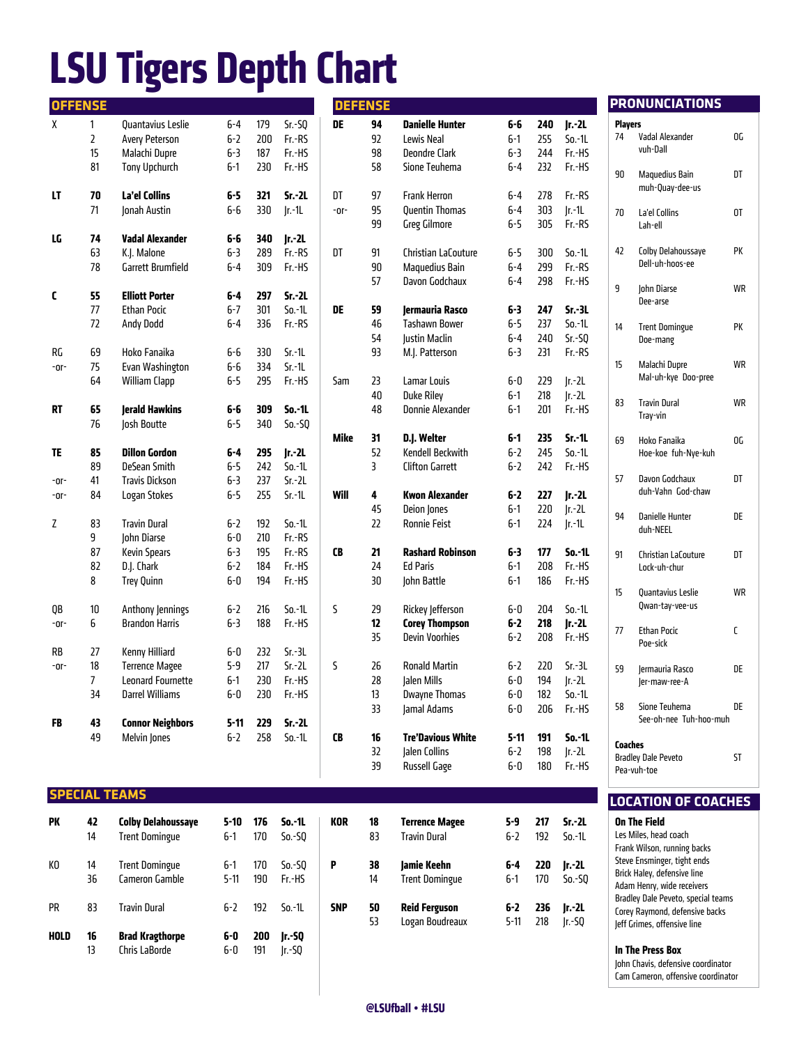# **LSU Tigers Depth Chart**

|           | <b>OFFENSE</b> |                                                |                |     |           |             | <b>DEFENSE</b> |                                                |                    |            |                    |                | <b>PRONUNCIATIONS</b>                                      |           |
|-----------|----------------|------------------------------------------------|----------------|-----|-----------|-------------|----------------|------------------------------------------------|--------------------|------------|--------------------|----------------|------------------------------------------------------------|-----------|
| X         | 1              | Quantavius Leslie                              | $6 - 4$        | 179 | $Sr.-SQ$  | <b>DE</b>   | 94             | <b>Danielle Hunter</b>                         | $6 - 6$            | 240        | $Jr.-2L$           | <b>Players</b> |                                                            |           |
|           | $\overline{2}$ | <b>Avery Peterson</b>                          | $6 - 2$        | 200 | Fr.-RS    |             | 92             | Lewis Neal                                     | $6-1$              | 255        | $So.-1L$           | 74             | Vadal Alexander                                            | OG        |
|           | 15             | Malachi Dupre                                  | $6 - 3$        | 187 | Fr.-HS    |             | 98             | <b>Deondre Clark</b>                           | $6 - 3$            | 244        | Fr.-HS             |                | vuh-Dall                                                   |           |
|           | 81             | <b>Tony Upchurch</b>                           | $6-1$          | 230 | Fr.-HS    |             | 58             | Sione Teuhema                                  | $6 - 4$            | 232        | Fr.-HS             |                |                                                            |           |
|           |                |                                                |                |     |           |             |                |                                                |                    |            |                    | 90             | <b>Maquedius Bain</b>                                      | DT        |
| LT        | 70             | <b>La'el Collins</b>                           | $6 - 5$        | 321 | $Sr.-2L$  | DT          | 97             | <b>Frank Herron</b>                            | $6 - 4$            | 278        | Fr.-RS             |                | muh-Quay-dee-us                                            |           |
|           | 71             | Jonah Austin                                   | $6 - 6$        | 330 | $ r - 1 $ | -or-        | 95             | <b>Quentin Thomas</b>                          | $6 - 4$            | 303        | $ r - 1 $          | 70             | La'el Collins                                              | 0T        |
|           |                |                                                |                |     |           |             | 99             | <b>Greg Gilmore</b>                            | $6 - 5$            | 305        | Fr.-RS             |                | Lah-ell                                                    |           |
| LG        | 74             | <b>Vadal Alexander</b>                         | $6 - 6$        | 340 | $ r - 2l$ |             |                |                                                |                    |            |                    |                |                                                            |           |
|           | 63             | K.J. Malone                                    | $6 - 3$        | 289 | Fr.-RS    | DT          | 91             | Christian LaCouture                            | $6 - 5$            | 300        | $So.-1L$           | 42             | Colby Delahoussaye                                         | PK        |
|           | 78             | <b>Garrett Brumfield</b>                       | $6 - 4$        | 309 | Fr.-HS    |             | 90             | Maquedius Bain                                 | $6-4$              | 299        | Fr.-RS             |                | Dell-uh-hoos-ee                                            |           |
|           |                |                                                |                |     |           |             | 57             | Davon Godchaux                                 | $6 - 4$            | 298        | Fr.-HS             |                |                                                            |           |
| C         | 55             | <b>Elliott Porter</b>                          | $6 - 4$        | 297 | $Sr.-2L$  |             |                |                                                |                    |            |                    | 9              | John Diarse<br>Dee-arse                                    | WR        |
|           | 77             | <b>Ethan Pocic</b>                             | $6 - 7$        | 301 | $So.-1L$  | DE          | 59             | Jermauria Rasco                                | $6 - 3$            | 247        | $Sr.-3L$           |                |                                                            |           |
|           | 72             | Andy Dodd                                      | $6 - 4$        | 336 | Fr.-RS    |             | 46             | <b>Tashawn Bower</b>                           | $6-5$              | 237        | $So.-1L$           | 14             | <b>Trent Domingue</b>                                      | PK        |
|           |                |                                                |                |     |           |             | 54             | Justin Maclin                                  | $6 - 4$            | 240        | $Sr.-S0$           |                | Doe-mang                                                   |           |
| RG        | 69             | Hoko Fanaika                                   | $6-6$          | 330 | $Sr.-1L$  |             | 93             | M.J. Patterson                                 | $6 - 3$            | 231        | Fr.-RS             |                |                                                            |           |
| $-0r-$    | 75             | Evan Washington                                | $6 - 6$        | 334 | $Sr.-1L$  |             |                |                                                |                    |            |                    | 15             | Malachi Dupre                                              | <b>WR</b> |
|           | 64             | <b>William Clapp</b>                           | $6 - 5$        | 295 | Fr.-HS    | Sam         | 23             | Lamar Louis                                    | $6-0$              | 229        | $ r - 2L$          |                | Mal-uh-kye Doo-pree                                        |           |
|           |                |                                                |                |     |           |             | 40             | <b>Duke Riley</b>                              | $6-1$              | 218        | $ r - 2l$          | 83             | <b>Travin Dural</b>                                        | <b>WR</b> |
| <b>RT</b> | 65             | <b>Jerald Hawkins</b>                          | $6 - 6$        | 309 | $So. -11$ |             | 48             | Donnie Alexander                               | $6-1$              | 201        | Fr.-HS             |                | Tray-vin                                                   |           |
|           | 76             | Josh Boutte                                    | $6 - 5$        | 340 | $So.-S0$  |             |                |                                                |                    |            |                    |                |                                                            |           |
|           |                |                                                |                |     |           | <b>Mike</b> | 31             | D.J. Welter                                    | $6 - 1$            | 235        | $Sr.-1L$           | 69             | <b>Hoko Fanaika</b>                                        | OG        |
| TE.       | 85             | <b>Dillon Gordon</b>                           | $6 - 4$        | 295 | $ r - 2l$ |             | 52             | Kendell Beckwith                               | $6 - 2$            | 245        | $So.-1L$           |                | Hoe-koe fuh-Nye-kuh                                        |           |
|           | 89             | DeSean Smith                                   | $6-5$          | 242 | $So.-1L$  |             | 3              | <b>Clifton Garrett</b>                         | $6 - 2$            | 242        | Fr.-HS             |                |                                                            |           |
| -or-      | 41             | <b>Travis Dickson</b>                          | $6 - 3$        | 237 | $Sr.-2L$  |             |                |                                                |                    |            |                    | 57             | Davon Godchaux<br>duh-Vahn God-chaw                        | DT        |
| $-0r-$    | 84             | Logan Stokes                                   | $6 - 5$        | 255 | $Sr.-1L$  | Will        | 4              | <b>Kwon Alexander</b>                          | $6 - 2$            | 227        | $ r - 2l$          |                |                                                            |           |
|           |                |                                                |                |     |           |             | 45             | Deion Jones                                    | $6-1$              | 220        | $ r - 2l$          | 94             | <b>Danielle Hunter</b>                                     | DE        |
| Z         | 83             | <b>Travin Dural</b>                            | $6 - 2$        | 192 | $So.-1L$  |             | 22             | <b>Ronnie Feist</b>                            | $6-1$              | 224        | $ r - 1 $          |                | duh-NEEL                                                   |           |
|           | 9              | John Diarse                                    | $6-0$          | 210 | Fr.-RS    |             |                |                                                |                    |            |                    |                |                                                            |           |
|           | 87             | <b>Kevin Spears</b>                            | $6 - 3$        | 195 | Fr.-RS    | CB          | 21             | <b>Rashard Robinson</b>                        | $6 - 3$            | 177        | So.-1L             | 91             | Christian LaCouture                                        | DT        |
|           | 82             | D.J. Chark                                     | $6 - 2$        | 184 | Fr.-HS    |             | 24             | <b>Ed Paris</b>                                | $6-1$              | 208        | Fr.-HS             |                | Lock-uh-chur                                               |           |
|           | 8              | <b>Trey Quinn</b>                              | $6-0$          | 194 | Fr.-HS    |             | 30             | John Battle                                    | $6-1$              | 186        | Fr.-HS             | 15             | Quantavius Leslie                                          | <b>WR</b> |
|           |                |                                                |                |     |           |             |                |                                                |                    |            |                    |                | Qwan-tay-vee-us                                            |           |
| QB        | 10             | Anthony Jennings<br><b>Brandon Harris</b>      | 6-2<br>$6 - 3$ | 216 | $So.-1L$  | S           | 29             | Rickey Jefferson                               | $6-0$              | 204        | $So.-1L$           |                |                                                            |           |
| $-0r-$    | 6              |                                                |                | 188 | Fr.-HS    |             | 12<br>35       | <b>Corey Thompson</b><br><b>Devin Voorhies</b> | $6 - 2$<br>$6 - 2$ | 218<br>208 | $Jr.-2L$<br>Fr.-HS | 77             | <b>Ethan Pocic</b>                                         | C         |
| RB        | 27             |                                                | $6-0$          | 232 | $Sr.-3L$  |             |                |                                                |                    |            |                    |                | Poe-sick                                                   |           |
|           | 18             | <b>Kenny Hilliard</b><br><b>Terrence Magee</b> | $5 - 9$        | 217 | $Sr.-2L$  | S           | 26             | Ronald Martin                                  | $6 - 2$            | 220        | $Sr.-3L$           |                |                                                            |           |
| $-0r-$    | 7              | Leonard Fournette                              | 6-1            | 230 | Fr.-HS    |             | 28             | Jalen Mills                                    | 6-0                | 194        | $Jr.-2L$           | 59             | Jermauria Rasco                                            | <b>DE</b> |
|           | 34             | <b>Darrel Williams</b>                         | $6-0$          | 230 | Fr.-HS    |             | 13             | <b>Dwayne Thomas</b>                           | 6-0                | 182        | $So.-1L$           |                | Jer-maw-ree-A                                              |           |
|           |                |                                                |                |     |           |             | 33             | Jamal Adams                                    | $6-0$              | 206        | Fr.-HS             | 58             | Sione Teuhema                                              | DE        |
| FB        | 43             | <b>Connor Neighbors</b>                        | 5-11           | 229 | $Sr.-2L$  |             |                |                                                |                    |            |                    |                | See-oh-nee Tuh-hoo-muh                                     |           |
|           | 49             | <b>Melvin Jones</b>                            | $6 - 2$        | 258 | $So.-1L$  | CB          | 16             | <b>Tre'Davious White</b>                       | 5-11               | 191        | $So.-1L$           |                |                                                            |           |
|           |                |                                                |                |     |           |             | 32             | Jalen Collins                                  | $6 - 2$            | 198        | $Jr.-2L$           | <b>Coaches</b> |                                                            |           |
|           |                |                                                |                |     |           |             | 39             | Russell Gage                                   | $6-0$              | 180        | Fr.-HS             |                | <b>Bradley Dale Peveto</b>                                 | ST        |
|           |                |                                                |                |     |           |             |                |                                                |                    |            |                    |                | Pea-vuh-toe                                                |           |
|           |                | <b>SPECIAL TEAMS</b>                           |                |     |           |             |                |                                                |                    |            |                    |                | <b>LOCATION OF COACHES</b>                                 |           |
|           |                |                                                |                |     |           |             |                |                                                |                    |            |                    |                |                                                            |           |
| PK        | 42             | <b>Colby Delahoussaye</b>                      | $5-10$         | 176 | So.-1L    | <b>KOR</b>  | 18             | <b>Terrence Magee</b>                          | 5-9                | 217        | $Sr.-2L$           |                | <b>On The Field</b>                                        |           |
|           | 14             | <b>Trent Domingue</b>                          | $6-1$          | 170 | $So.-SQ$  |             | 83             | <b>Travin Dural</b>                            | $6 - 2$            | 192        | $So.-1L$           |                | Les Miles, head coach                                      |           |
|           |                |                                                |                |     |           |             |                |                                                |                    |            |                    |                | Frank Wilson, running backs<br>Steve Ensminger, tight ends |           |
| КO        | 14             | <b>Trent Domingue</b>                          | 6-1            | 170 | $So.-SQ$  | P           | 38             | Jamie Keehn                                    | 6-4                | 220        | Jr.-2L             |                | Brick Haley, defensive line                                |           |
|           | 36             | Cameron Gamble                                 | $5 - 11$       | 190 | Fr.-HS    |             | 14             | <b>Trent Domingue</b>                          | 6-1                | 170        | $So.-SQ$           |                | Adam Henry, wide receivers                                 |           |
|           |                |                                                |                |     |           |             |                |                                                |                    |            |                    |                | Bradley Dale Peveto, special teams                         |           |
| PR        | 83             | <b>Travin Dural</b>                            | $6 - 2$        | 192 | $So.-1L$  | <b>SNP</b>  | 50             | <b>Reid Ferguson</b>                           | $6 - 2$            | 236        | Jr.-2L             |                | Corey Raymond, defensive backs                             |           |
|           |                |                                                |                |     |           |             | 53             | Logan Boudreaux                                | $5 - 11$           | 218        | Jr.-SQ             |                | Jeff Grimes, offensive line                                |           |
| HOLD      | 16             | <b>Brad Kragthorpe</b>                         | $6-0$          | 200 | Jr.-SQ    |             |                |                                                |                    |            |                    |                |                                                            |           |
|           | 13             | Chris LaBorde                                  | $6-0$          | 191 | Jr.-SQ    |             |                |                                                |                    |            |                    |                | In The Press Box<br>John Chavis, defensive coordinator     |           |
|           |                |                                                |                |     |           |             |                |                                                |                    |            |                    |                | Cam Cameron, offensive coordinator                         |           |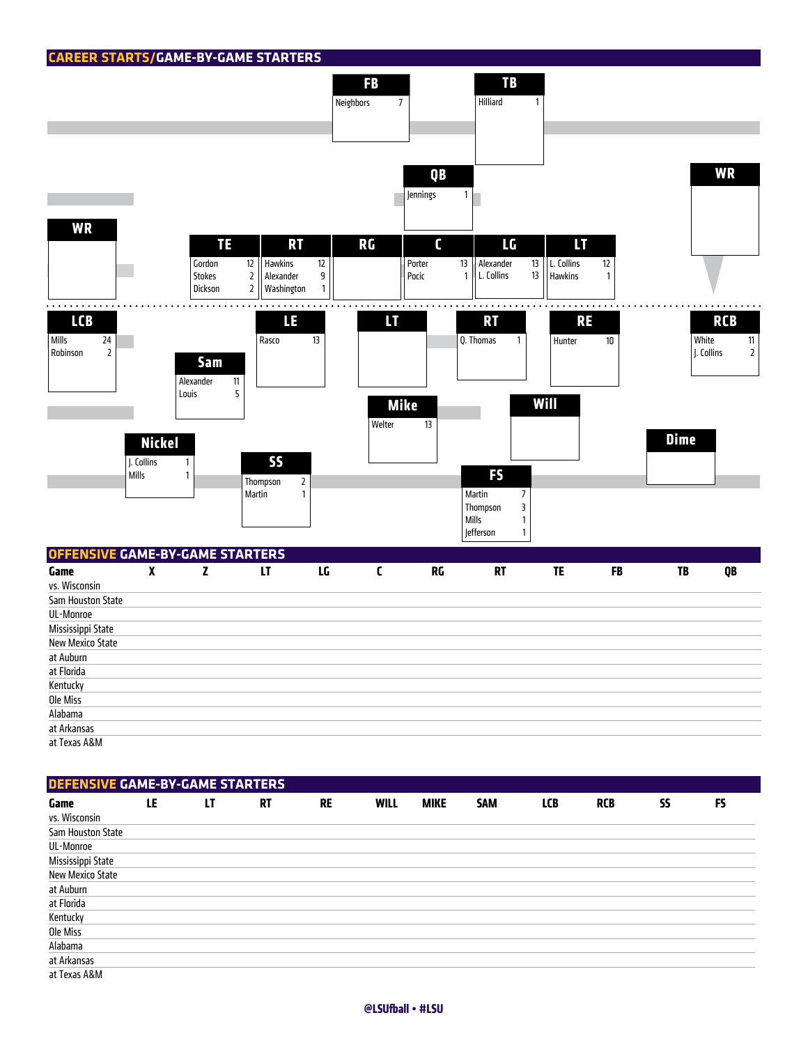

at Texas A&M

| DEFENSIVE GAME-BY-GAME STARTERS |    |    |           |           |             |             |            |            |            |    |    |  |  |
|---------------------------------|----|----|-----------|-----------|-------------|-------------|------------|------------|------------|----|----|--|--|
| Game                            | LE | LT | <b>RT</b> | <b>RE</b> | <b>WILL</b> | <b>MIKE</b> | <b>SAM</b> | <b>LCB</b> | <b>RCB</b> | SS | FS |  |  |
| vs. Wisconsin                   |    |    |           |           |             |             |            |            |            |    |    |  |  |
| Sam Houston State               |    |    |           |           |             |             |            |            |            |    |    |  |  |
| UL-Monroe                       |    |    |           |           |             |             |            |            |            |    |    |  |  |
| Mississippi State               |    |    |           |           |             |             |            |            |            |    |    |  |  |
| New Mexico State                |    |    |           |           |             |             |            |            |            |    |    |  |  |
| at Auburn                       |    |    |           |           |             |             |            |            |            |    |    |  |  |
| at Florida                      |    |    |           |           |             |             |            |            |            |    |    |  |  |
| Kentucky                        |    |    |           |           |             |             |            |            |            |    |    |  |  |
| Ole Miss                        |    |    |           |           |             |             |            |            |            |    |    |  |  |
| Alabama                         |    |    |           |           |             |             |            |            |            |    |    |  |  |
| at Arkansas                     |    |    |           |           |             |             |            |            |            |    |    |  |  |
| at Texas A&M                    |    |    |           |           |             |             |            |            |            |    |    |  |  |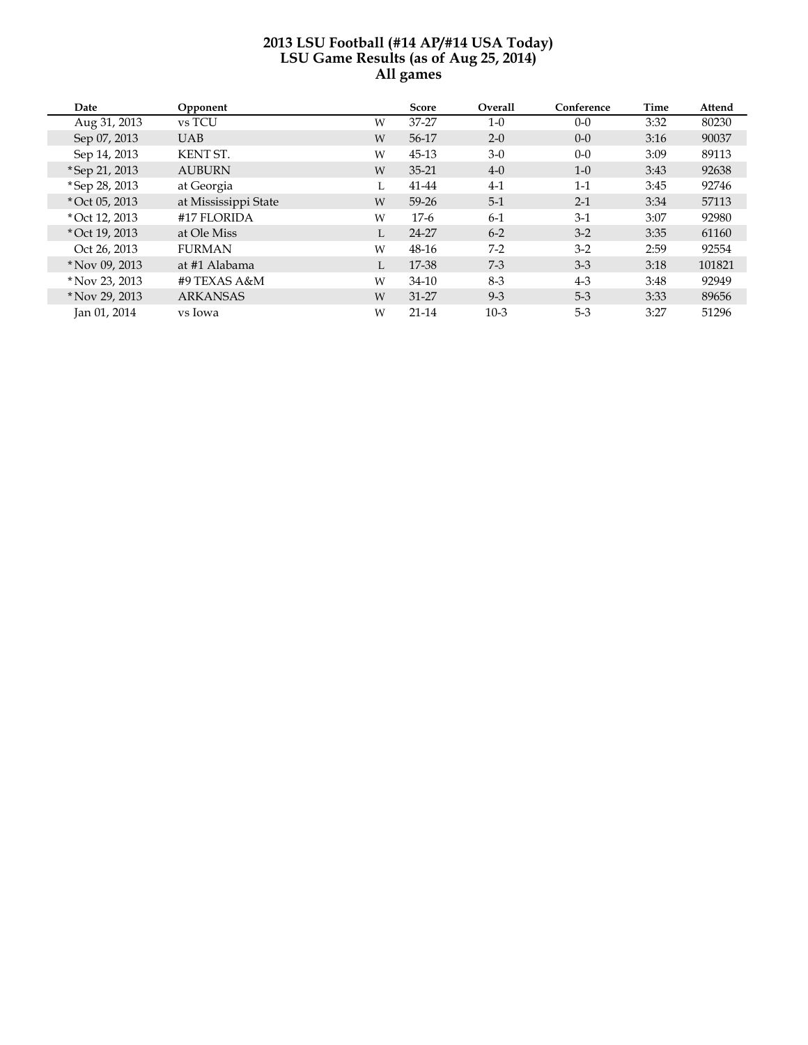#### **2013 LSU Football (#14 AP/#14 USA Today) LSU Game Results (as of Aug 25, 2014) All games**

| Date           | Opponent             |    | <b>Score</b> | Overall | Conference | Time | Attend |
|----------------|----------------------|----|--------------|---------|------------|------|--------|
| Aug 31, 2013   | vs TCU               | W  | 37-27        | $1-0$   | $0 - 0$    | 3:32 | 80230  |
| Sep 07, 2013   | <b>UAB</b>           | W  | 56-17        | $2 - 0$ | $0 - 0$    | 3:16 | 90037  |
| Sep 14, 2013   | KENT ST.             | W  | 45-13        | $3-0$   | $0-0$      | 3:09 | 89113  |
| *Sep 21, 2013  | <b>AUBURN</b>        | W  | $35 - 21$    | $4-0$   | $1-0$      | 3:43 | 92638  |
| *Sep 28, 2013  | at Georgia           | L  | 41-44        | $4 - 1$ | $1-1$      | 3:45 | 92746  |
| * Oct 05, 2013 | at Mississippi State | W  | $59 - 26$    | $5-1$   | $2-1$      | 3:34 | 57113  |
| * Oct 12, 2013 | #17 FLORIDA          | W  | $17-6$       | $6-1$   | $3-1$      | 3:07 | 92980  |
| * Oct 19, 2013 | at Ole Miss          | L. | 24-27        | $6 - 2$ | $3-2$      | 3:35 | 61160  |
| Oct 26, 2013   | <b>FURMAN</b>        | W  | 48-16        | $7-2$   | $3-2$      | 2:59 | 92554  |
| * Nov 09, 2013 | at #1 Alabama        | L  | 17-38        | $7 - 3$ | $3-3$      | 3:18 | 101821 |
| * Nov 23, 2013 | #9 TEXAS A&M         | W  | $34-10$      | $8-3$   | $4-3$      | 3:48 | 92949  |
| *Nov 29, 2013  | <b>ARKANSAS</b>      | W  | 31-27        | $9 - 3$ | $5-3$      | 3:33 | 89656  |
| Jan 01, 2014   | vs Iowa              | W  | $21 - 14$    | $10-3$  | $5 - 3$    | 3:27 | 51296  |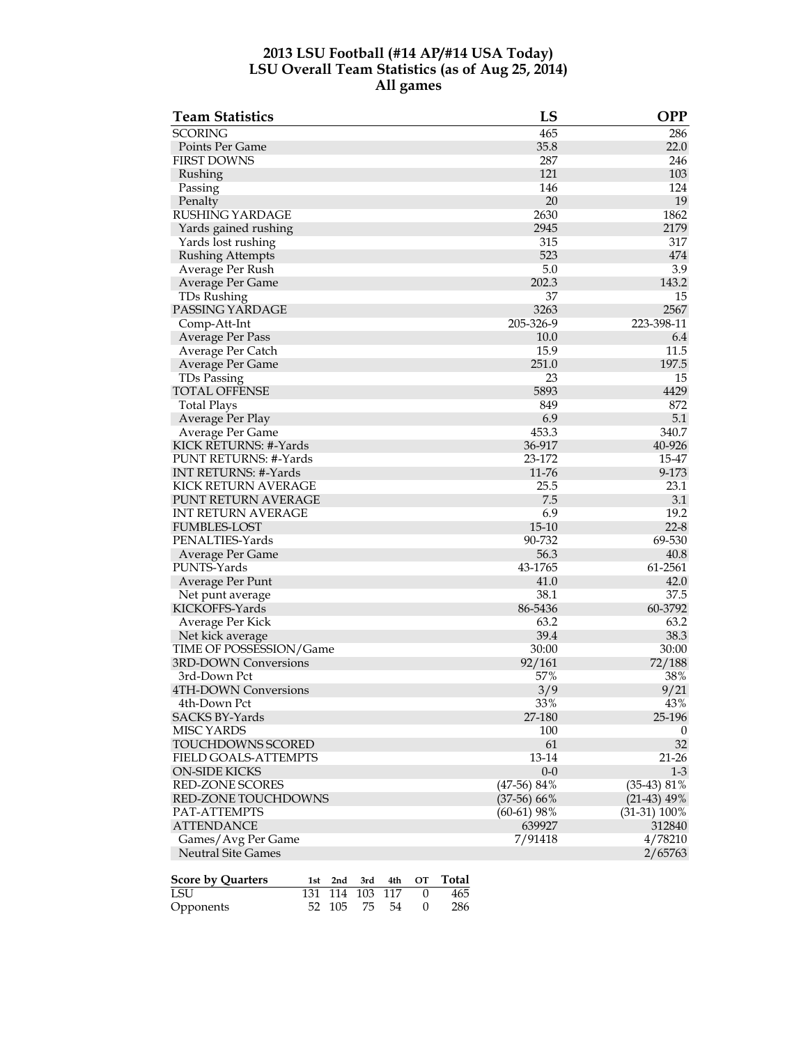#### **2013 LSU Football (#14 AP/#14 USA Today) LSU Overall Team Statistics (as of Aug 25, 2014) All games**

| <b>Team Statistics</b>                                                     | LS            | <b>OPP</b>     |
|----------------------------------------------------------------------------|---------------|----------------|
| <b>SCORING</b>                                                             | 465           | 286            |
| Points Per Game                                                            | 35.8          | 22.0           |
| <b>FIRST DOWNS</b>                                                         | 287           | 246            |
| Rushing                                                                    | 121           | 103            |
| Passing                                                                    | 146           | 124            |
| Penalty                                                                    | 20            | 19             |
| RUSHING YARDAGE                                                            | 2630          | 1862           |
| Yards gained rushing                                                       | 2945          | 2179           |
| Yards lost rushing                                                         | 315           | 317            |
| <b>Rushing Attempts</b>                                                    | 523           | 474            |
| Average Per Rush                                                           | 5.0           | 3.9            |
| Average Per Game                                                           | 202.3         | 143.2          |
| TDs Rushing                                                                | 37            | 15             |
| PASSING YARDAGE                                                            | 3263          | 2567           |
| Comp-Att-Int                                                               | 205-326-9     | 223-398-11     |
| Average Per Pass                                                           | 10.0          | 6.4            |
| Average Per Catch                                                          | 15.9          | 11.5           |
| Average Per Game                                                           | 251.0         | 197.5          |
| TDs Passing                                                                | 23            | 15             |
| TOTAL OFFENSE                                                              | 5893          | 4429           |
| <b>Total Plays</b>                                                         | 849           | 872            |
| Average Per Play                                                           | 6.9           | 5.1            |
| Average Per Game                                                           | 453.3         | 340.7          |
| KICK RETURNS: #-Yards                                                      | 36-917        | 40-926         |
| PUNT RETURNS: #-Yards                                                      | 23-172        | 15-47          |
| <b>INT RETURNS: #-Yards</b>                                                | 11-76         | 9-173          |
| <b>KICK RETURN AVERAGE</b>                                                 | 25.5          | 23.1           |
| <b>PUNT RETURN AVERAGE</b>                                                 | 7.5           | 3.1            |
| <b>INT RETURN AVERAGE</b>                                                  | 6.9           | 19.2           |
| <b>FUMBLES-LOST</b>                                                        | $15 - 10$     | $22 - 8$       |
| PENALTIES-Yards                                                            | 90-732        | 69-530         |
| Average Per Game                                                           | 56.3          | 40.8           |
| PUNTS-Yards                                                                | 43-1765       | 61-2561        |
| Average Per Punt                                                           | 41.0          | 42.0           |
| Net punt average                                                           | 38.1          | 37.5           |
| KICKOFFS-Yards                                                             | 86-5436       | 60-3792        |
| Average Per Kick                                                           | 63.2          | 63.2           |
| Net kick average                                                           | 39.4          | 38.3           |
| <b>TIME OF POSSESSION/Game</b>                                             | 30:00         | 30:00          |
| <b>3RD-DOWN Conversions</b>                                                | 92/161        | 72/188         |
| 3rd-Down Pct                                                               | 57%           | 38%            |
| 4TH-DOWN Conversions                                                       | 3/9           | 9/21           |
| 4th-Down Pct                                                               | 33%           | 43%            |
| SACKS BY-Yards                                                             | 27-180        | 25-196         |
| <b>MISC YARDS</b>                                                          | 100           | $\theta$       |
| TOUCHDOWNS SCORED                                                          | 61            | 32             |
| FIELD GOALS-ATTEMPTS                                                       | 13-14         | 21-26          |
| <b>ON-SIDE KICKS</b>                                                       | $0-0$         | $1-3$          |
| RED-ZONE SCORES                                                            | $(47-56)$ 84% | $(35-43)$ 81%  |
| RED-ZONE TOUCHDOWNS                                                        | $(37-56)$ 66% | $(21-43)$ 49%  |
| PAT-ATTEMPTS                                                               | $(60-61)$ 98% | $(31-31)$ 100% |
| <b>ATTENDANCE</b>                                                          | 639927        | 312840         |
| Games/Avg Per Game                                                         | 7/91418       | 4/78210        |
| <b>Neutral Site Games</b>                                                  |               | 2/65763        |
| <b>Score by Quarters</b><br><b>Total</b><br>4th<br>OT<br>1st<br>2nd<br>3rd |               |                |
| LSU<br>131<br>114<br>103<br>117<br>$\theta$                                | 465           |                |

Opponents 52 105 75 54 0 286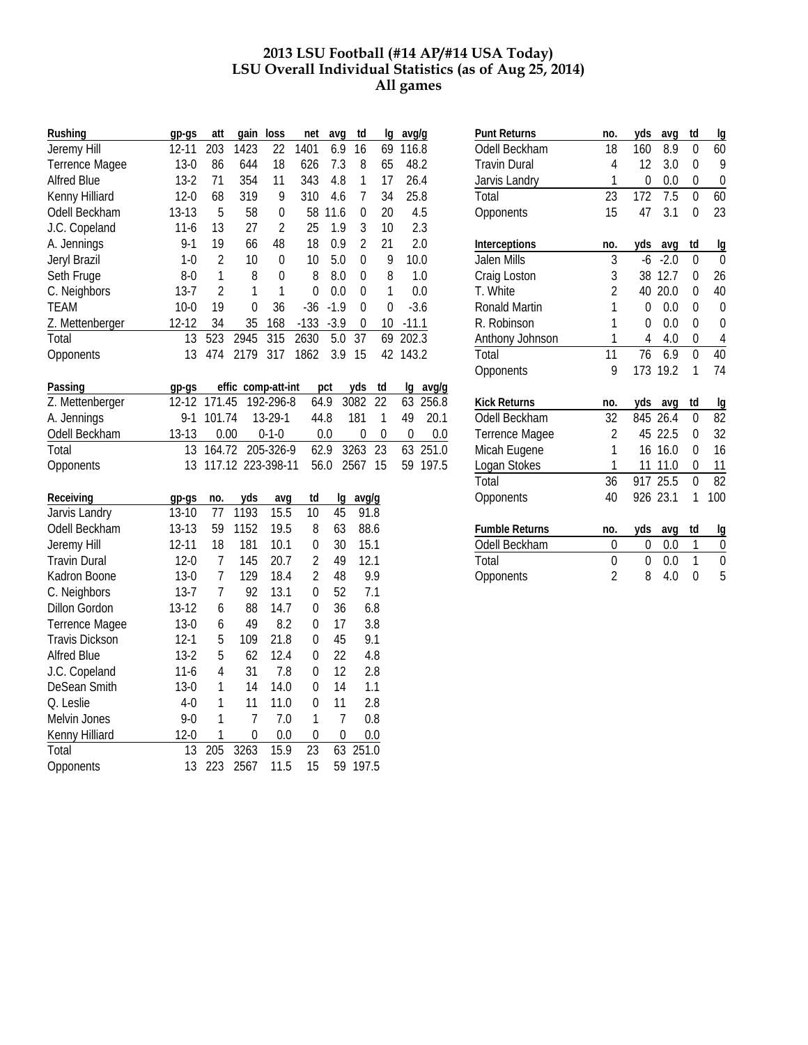#### **2013 LSU Football (#14 AP/#14 USA Today) LSU Overall Individual Statistics (as of Aug 25, 2014) All games**

| Rushing               | gp-gs     | att                      | gain               | loss             | net              | avg            | td               | lq           | avg/g          |        |
|-----------------------|-----------|--------------------------|--------------------|------------------|------------------|----------------|------------------|--------------|----------------|--------|
| Jeremy Hill           | $12 - 11$ | 203                      | 1423               | 22               | 1401             | 6.9            | 16               | 69           | 116.8          |        |
| <b>Terrence Magee</b> | $13 - 0$  | 86                       | 644                | 18               | 626              | 7.3            | 8                | 65           | 48.2           |        |
| <b>Alfred Blue</b>    | $13 - 2$  | 71                       | 354                | 11               | 343              | 4.8            | 1                | 17           | 26.4           |        |
| Kenny Hilliard        | $12 - 0$  | 68                       | 319                | 9                | 310              | 4.6            | 7                | 34           | 25.8           |        |
| Odell Beckham         | $13 - 13$ | 5                        | 58                 | $\mathbf 0$      | 58               | 11.6           | $\mathbf 0$      | 20           |                | 4.5    |
| J.C. Copeland         | $11-6$    | 13                       | 27                 | $\overline{2}$   | 25               | 1.9            | 3                | 10           |                | 2.3    |
| A. Jennings           | $9 - 1$   | 19                       | 66                 | 48               | 18               | 0.9            | $\overline{2}$   | 21           |                | 2.0    |
| Jeryl Brazil          | $1 - 0$   | $\overline{2}$           | 10                 | $\boldsymbol{0}$ | 10               | 5.0            | $\overline{0}$   | 9            | 10.0           |        |
| Seth Fruge            | $8-0$     | $\mathbf{1}$             | 8                  | $\mathbf 0$      | 8                | 8.0            | $\mathbf 0$      | 8            |                | 1.0    |
| C. Neighbors          | $13 - 7$  | $\overline{2}$           | $\mathbf{1}$       | 1                | $\mathbf 0$      | 0.0            | $\boldsymbol{0}$ | $\mathbf 1$  |                | 0.0    |
| TEAM                  | $10 - 0$  | 19                       | $\mathbf 0$        | 36               | $-36$            | $-1.9$         | $\mathbf 0$      | 0            |                | $-3.6$ |
| Z. Mettenberger       | 12-12     | 34                       | 35                 | 168              | $-133$           | $-3.9$         | $\boldsymbol{0}$ | 10           | $-11.1$        |        |
| Total                 | 13        | 523                      | 2945               | 315              | 2630             | 5.0            | 37               | 69           | 202.3          |        |
| Opponents             | 13        | 474                      | 2179               | 317              | 1862             | 3.9            | 15               | 42           | 143.2          |        |
| Passing               | gp-gs     |                          | effic comp-att-int |                  |                  | pct            | yds              | td           | lq             | avg/g  |
| Z. Mettenberger       | $12 - 12$ | 171.45                   |                    | 192-296-8        | 64.9             |                | 3082             | 22           | 63             | 256.8  |
| A. Jennings           | $9 - 1$   | 101.74                   |                    | 13-29-1          | 44.8             |                | 181              | $\mathbf{1}$ | 49             | 20.1   |
| Odell Beckham         | $13 - 13$ | 0.00                     |                    | $0 - 1 - 0$      |                  | 0.0            | 0                | $\mathbf 0$  | $\overline{0}$ | 0.0    |
| Total                 | 13        | 164.72                   |                    | 205-326-9        | 62.9             |                | 3263             | 23           | 63             | 251.0  |
| Opponents             | 13        |                          | 117.12 223-398-11  |                  | 56.0             |                | 2567             | 15           | 59             | 197.5  |
| Receiving             | gp-gs     | no.                      | yds                | avg              | td               | lg             | avg/g            |              |                |        |
| Jarvis Landry         | $13 - 10$ | 77                       | 1193               | 15.5             | 10               | 45             | 91.8             |              |                |        |
| Odell Beckham         | $13 - 13$ | 59                       | 1152               | 19.5             | 8                | 63             | 88.6             |              |                |        |
| Jeremy Hill           | $12 - 11$ | 18                       | 181                | 10.1             | $\mathbf 0$      | 30             | 15.1             |              |                |        |
| <b>Travin Dural</b>   | $12 - 0$  | $\overline{7}$           | 145                | 20.7             | $\overline{2}$   | 49             | 12.1             |              |                |        |
| Kadron Boone          | $13 - 0$  | $\overline{\mathcal{I}}$ | 129                | 18.4             | $\overline{2}$   | 48             |                  | 9.9          |                |        |
| C. Neighbors          | $13 - 7$  | $\overline{7}$           | 92                 | 13.1             | $\mathbf 0$      | 52             |                  | 7.1          |                |        |
| <b>Dillon Gordon</b>  | $13 - 12$ | 6                        | 88                 | 14.7             | $\mathbf 0$      | 36             |                  | 6.8          |                |        |
| Terrence Magee        | $13-0$    | 6                        | 49                 | 8.2              | $\overline{0}$   | 17             |                  | 3.8          |                |        |
| <b>Travis Dickson</b> | $12-1$    | 5                        | 109                | 21.8             | $\mathbf 0$      | 45             |                  | 9.1          |                |        |
| <b>Alfred Blue</b>    | $13 - 2$  | 5                        | 62                 | 12.4             | $\mathbf 0$      | 22             |                  | 4.8          |                |        |
| J.C. Copeland         | $11-6$    | $\overline{4}$           | 31                 | 7.8              | $\mathbf 0$      | 12             |                  | 2.8          |                |        |
| DeSean Smith          | $13 - 0$  | 1                        | 14                 | 14.0             | $\mathbf 0$      | 14             |                  | 1.1          |                |        |
| Q. Leslie             | $4 - 0$   | 1                        | 11                 | 11.0             | $\mathbf 0$      | 11             |                  | 2.8          |                |        |
| Melvin Jones          | $9 - 0$   | 1                        | 7                  | 7.0              | 1                | $\overline{1}$ |                  | 0.8          |                |        |
| Kenny Hilliard        | $12 - 0$  | $\mathbf{1}$             | $\mathbf 0$        | 0.0              | $\boldsymbol{0}$ | $\mathbf 0$    |                  | 0.0          |                |        |
| Total                 | 13        | 205                      | 3263               | 15.9             | 23               | 63             | 251.0            |              |                |        |
| Opponents             | 13        | 223                      | 2567               | 11.5             | 15               | 59             | 197.5            |              |                |        |

| <b>Punt Returns</b>   | no.            | yds | avq      | td             | lg             |
|-----------------------|----------------|-----|----------|----------------|----------------|
| Odell Beckham         | 18             | 160 | 8.9      | 0              | 60             |
| <b>Travin Dural</b>   | 4              | 12  | 3.0      | 0              | 9              |
| Jarvis Landry         | 1              | 0   | 0.0      | 0              | 0              |
| Total                 | 23             | 172 | 7.5      | 0              | 60             |
| Opponents             | 15             | 47  | 3.1      | 0              | 23             |
| Interceptions         | no.            | yds | avg      | td             | <u>lg</u>      |
| Jalen Mills           | 3              | -6  | $-2.0$   | 0              | 0              |
| Craig Loston          | 3              | 38  | 12.7     | 0              | 26             |
| T. White              | $\overline{c}$ | 40  | 20.0     | 0              | 40             |
| Ronald Martin         | $\mathbf{1}$   | 0   | 0.0      | 0              | 0              |
| R. Robinson           | $\mathbf{1}$   | 0   | 0.0      | 0              | 0              |
| Anthony Johnson       | 1              | 4   | 4.0      | $\overline{0}$ | 4              |
| Total                 | 11             | 76  | 6.9      | $\overline{0}$ | 40             |
| Opponents             | 9              |     | 173 19.2 | 1              | 74             |
| <b>Kick Returns</b>   | no.            | yds | avg      | td             | lg             |
| Odell Beckham         | 32             | 845 | 26.4     | 0              | 82             |
| <b>Terrence Magee</b> | $\overline{2}$ |     | 45 22.5  | $\overline{0}$ | 32             |
| Micah Eugene          | $\mathbf{1}$   | 16  | 16.0     | 0              | 16             |
| Logan Stokes          | 1              | 11  | 11.0     | $\mathbf{0}$   | 11             |
| Total                 | 36             | 917 | 25.5     | $\overline{0}$ | 82             |
| Opponents             | 40             |     | 926 23.1 | 1              | 100            |
| <b>Fumble Returns</b> | no.            | yds | avg      | td             | <u>lg</u>      |
| Odell Beckham         | 0              | 0   | 0.0      | 1              | 0              |
| Total                 | $\overline{0}$ | 0   | 0.0      | 1              | $\overline{0}$ |
| Opponents             | $\overline{2}$ | 8   | 4.0      | $\overline{0}$ | 5              |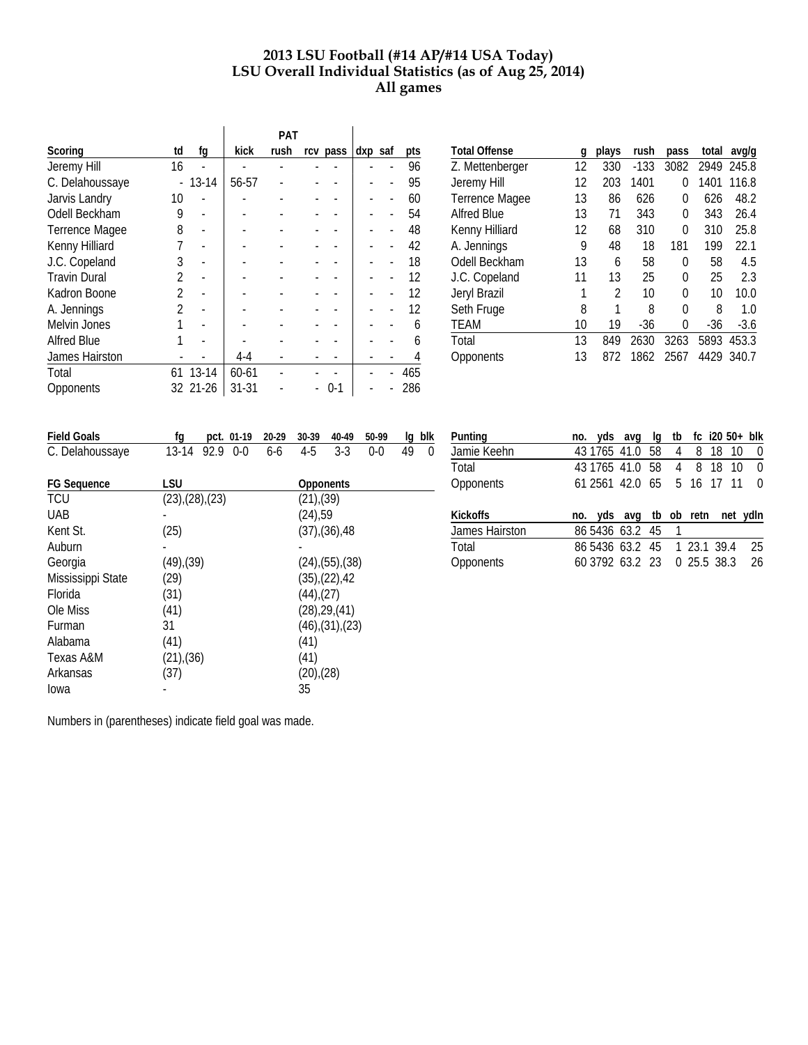#### **2013 LSU Football (#14 AP/#14 USA Today) LSU Overall Individual Statistics (as of Aug 25, 2014) All games**

|                       |    |           |           | <b>PAT</b> |          |         |     |
|-----------------------|----|-----------|-----------|------------|----------|---------|-----|
| Scoring               | td | fg        | kick      | rush       | rcv pass | dxp saf | pts |
| Jeremy Hill           | 16 |           |           |            |          |         | 96  |
| C. Delahoussaye       |    | 13-14     | 56-57     |            |          |         | 95  |
| Jarvis Landry         | 10 |           |           |            |          |         | 60  |
| Odell Beckham         | 9  |           |           |            |          |         | 54  |
| <b>Terrence Magee</b> | 8  |           |           |            |          |         | 48  |
| Kenny Hilliard        |    |           |           |            |          |         | 42  |
| J.C. Copeland         | 3  |           |           |            |          |         | 18  |
| <b>Travin Dural</b>   | 2  |           |           |            |          |         | 12  |
| Kadron Boone          | 2  |           |           |            |          |         | 12  |
| A. Jennings           | 2  |           |           |            |          |         | 12  |
| Melvin Jones          |    |           |           |            |          |         | 6   |
| <b>Alfred Blue</b>    |    |           |           |            |          |         | 6   |
| James Hairston        |    |           | $4 - 4$   |            |          |         |     |
| Total                 | 61 | $13 - 14$ | $60 - 61$ |            |          |         | 465 |
| Opponents             |    | 32 21-26  | $31 - 31$ |            | 0-1      |         | 286 |

| <b>Total Offense</b>  | g  | plays | rush   | pass | total | avg/g  |
|-----------------------|----|-------|--------|------|-------|--------|
| Z. Mettenberger       | 12 | 330   | $-133$ | 3082 | 2949  | 245.8  |
| Jeremy Hill           | 12 | 203   | 1401   | 0    | 1401  | 116.8  |
| <b>Terrence Magee</b> | 13 | 86    | 626    | O    | 626   | 48.2   |
| <b>Alfred Blue</b>    | 13 | 71    | 343    | 0    | 343   | 26.4   |
| Kenny Hilliard        | 12 | 68    | 310    | 0    | 310   | 25.8   |
| A. Jennings           | 9  | 48    | 18     | 181  | 199   | 22.1   |
| Odell Beckham         | 13 | 6     | 58     | O    | 58    | 4.5    |
| J.C. Copeland         | 11 | 13    | 25     | 0    | 25    | 2.3    |
| Jeryl Brazil          |    | 2     | 10     | U    | 10    | 10.0   |
| Seth Fruge            | 8  | 1     | 8      | 0    | 8     | 1.0    |
| <b>TEAM</b>           | 10 | 19    | -36    | 0    | $-36$ | $-3.6$ |
| Total                 | 13 | 849   | 2630   | 3263 | 5893  | 453.3  |
| Opponents             | 13 | 872   | 1862   | 2567 | 4429  | 340.7  |

| <b>Field Goals</b>   | fg                       | pct. 01-19    | 20-29 | 30-39                      | 40-49                    | 50-99 | Ig | blk      |
|----------------------|--------------------------|---------------|-------|----------------------------|--------------------------|-------|----|----------|
| C. Delahoussaye      | 13-14                    | 92.9<br>$0-0$ | 6-6   | $4-5$                      | $3 - 3$                  | $0-0$ | 49 | $\Omega$ |
|                      |                          |               |       |                            |                          |       |    |          |
| <b>FG Sequence</b>   | LSU                      |               |       | <b>Opponents</b>           |                          |       |    |          |
| <b>TCU</b>           | $(23)$ , $(28)$ , $(23)$ |               |       | $(21)$ <sub>,</sub> $(39)$ |                          |       |    |          |
| <b>UAB</b>           |                          |               |       | (24), 59                   |                          |       |    |          |
| Kent St.             | (25)                     |               |       |                            | $(37)$ , $(36)$ , $48$   |       |    |          |
| Auburn               |                          |               |       |                            |                          |       |    |          |
| Georgia              | $(49)$ , $(39)$          |               |       |                            | $(24)$ , $(55)$ , $(38)$ |       |    |          |
| Mississippi State    | (29)                     |               |       |                            | $(35)$ , $(22)$ , $42$   |       |    |          |
| Florida              | (31)                     |               |       | $(44)$ , $(27)$            |                          |       |    |          |
| Ole Miss             | (41)                     |               |       |                            | $(28)$ , $29$ , $(41)$   |       |    |          |
| Furman               | 31                       |               |       |                            | $(46)$ , $(31)$ , $(23)$ |       |    |          |
| Alabama              | (41)                     |               |       | (41)                       |                          |       |    |          |
| <b>Texas A&amp;M</b> | (21),(36)                |               |       | (41)                       |                          |       |    |          |
| Arkansas             | (37)                     |               |       | $(20)$ , $(28)$            |                          |       |    |          |
| lowa                 |                          |               |       | 35                         |                          |       |    |          |

| Punting          | no. yds avg lg tb fc i20 50+ blk |  |           |     |    |                |
|------------------|----------------------------------|--|-----------|-----|----|----------------|
| Jamie Keehn      | 43 1765 41.0 58                  |  | 4 8 18 10 |     |    | $\overline{0}$ |
| Total            | 43 1765 41.0 58 4                |  |           | 818 | 10 | $\bigcirc$     |
| <b>Opponents</b> | 61 2561 42.0 65 5 16 17 11 0     |  |           |     |    |                |
|                  |                                  |  |           |     |    |                |
| <b>Kickoffs</b>  | no. yds avg tb ob retn net ydln  |  |           |     |    |                |
| James Hairston   | 86 5436 63.2 45                  |  |           |     |    |                |
| Total            | 86 5436 63.2 45 1 23.1 39.4      |  |           |     |    | 25             |
| <b>Opponents</b> | 60 3792 63.2 23 0 25.5 38.3      |  |           |     |    | 26             |

Numbers in (parentheses) indicate field goal was made.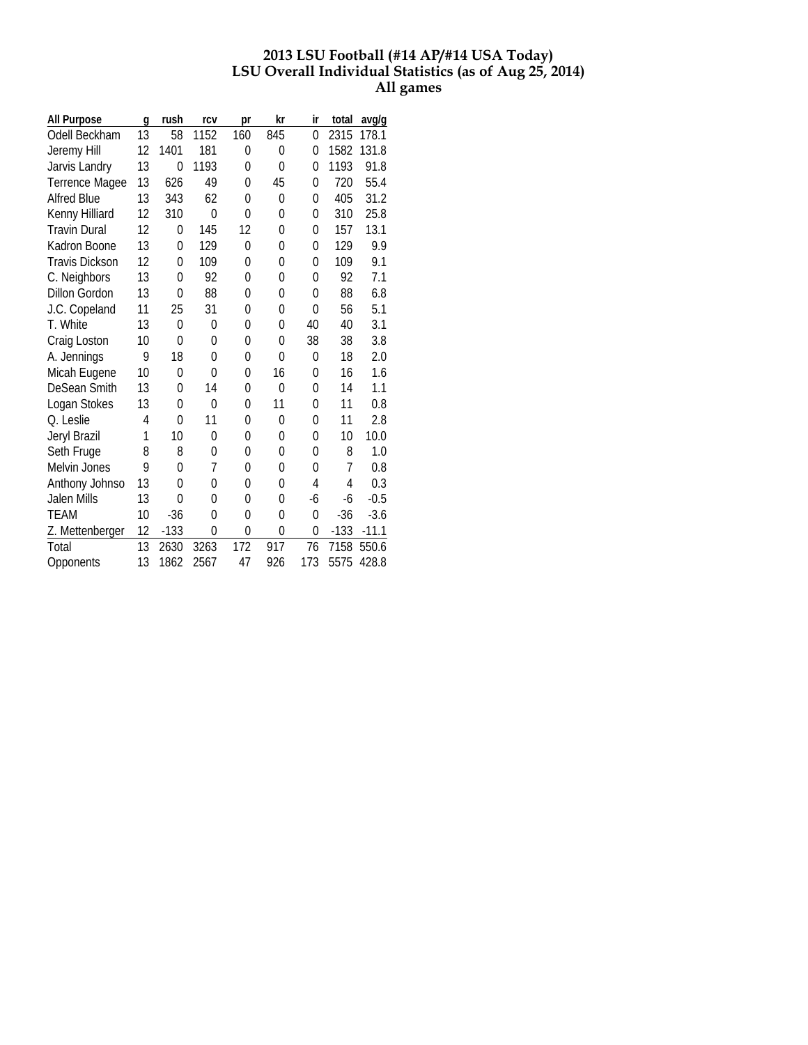#### **2013 LSU Football (#14 AP/#14 USA Today) LSU Overall Individual Statistics (as of Aug 25, 2014) All games**

| <b>All Purpose</b>    | g  | rush     | rcv      | pr             | kr             | ir       | total          | avg/g   |
|-----------------------|----|----------|----------|----------------|----------------|----------|----------------|---------|
| Odell Beckham         | 13 | 58       | 1152     | 160            | 845            | $\Omega$ | 2315           | 178.1   |
| Jeremy Hill           | 12 | 1401     | 181      | 0              | 0              | $\Omega$ | 1582           | 131.8   |
| Jarvis Landry         | 13 | 0        | 1193     | $\Omega$       | $\Omega$       | $\Omega$ | 1193           | 91.8    |
| Terrence Magee        | 13 | 626      | 49       | 0              | 45             | 0        | 720            | 55.4    |
| <b>Alfred Blue</b>    | 13 | 343      | 62       | 0              | 0              | 0        | 405            | 31.2    |
| Kenny Hilliard        | 12 | 310      | $\Omega$ | $\Omega$       | $\Omega$       | $\Omega$ | 310            | 25.8    |
| <b>Travin Dural</b>   | 12 | $\Omega$ | 145      | 12             | $\Omega$       | $\Omega$ | 157            | 13.1    |
| Kadron Boone          | 13 | $\Omega$ | 129      | $\overline{0}$ | $\overline{0}$ | $\Omega$ | 129            | 9.9     |
| <b>Travis Dickson</b> | 12 | 0        | 109      | 0              | 0              | $\Omega$ | 109            | 9.1     |
| C. Neighbors          | 13 | 0        | 92       | 0              | 0              | $\Omega$ | 92             | 7.1     |
| <b>Dillon Gordon</b>  | 13 | 0        | 88       | 0              | 0              | $\Omega$ | 88             | 6.8     |
| J.C. Copeland         | 11 | 25       | 31       | $\Omega$       | $\Omega$       | $\Omega$ | 56             | 5.1     |
| T. White              | 13 | $\Omega$ | $\Omega$ | 0              | 0              | 40       | 40             | 3.1     |
| Craig Loston          | 10 | $\Omega$ | $\Omega$ | 0              | 0              | 38       | 38             | 3.8     |
| A. Jennings           | 9  | 18       | $\Omega$ | $\Omega$       | $\Omega$       | $\Omega$ | 18             | 2.0     |
| Micah Eugene          | 10 | $\Omega$ | 0        | 0              | 16             | 0        | 16             | 1.6     |
| DeSean Smith          | 13 | 0        | 14       | 0              | 0              | $\Omega$ | 14             | 1.1     |
| Logan Stokes          | 13 | $\Omega$ | 0        | 0              | 11             | $\Omega$ | 11             | 0.8     |
| Q. Leslie             | 4  | $\Omega$ | 11       | $\Omega$       | $\Omega$       | $\Omega$ | 11             | 2.8     |
| Jeryl Brazil          | 1  | 10       | $\Omega$ | $\Omega$       | $\Omega$       | $\Omega$ | 10             | 10.0    |
| Seth Fruge            | 8  | 8        | 0        | 0              | 0              | $\Omega$ | 8              | 1.0     |
| Melvin Jones          | 9  | $\Omega$ | 7        | 0              | 0              | $\Omega$ | $\overline{7}$ | 0.8     |
| Anthony Johnso        | 13 | 0        | 0        | 0              | $\Omega$       | 4        | 4              | 0.3     |
| Jalen Mills           | 13 | $\Omega$ | $\Omega$ | 0              | 0              | -6       | -6             | $-0.5$  |
| <b>TEAM</b>           | 10 | $-36$    | $\Omega$ | 0              | $\Omega$       | $\Omega$ | $-36$          | $-3.6$  |
| Z. Mettenberger       | 12 | $-133$   | 0        | $\Omega$       | 0              | $\Omega$ | $-133$         | $-11.1$ |
| Total                 | 13 | 2630     | 3263     | 172            | 917            | 76       | 7158           | 550.6   |
| Opponents             | 13 | 1862     | 2567     | 47             | 926            | 173      | 5575           | 428.8   |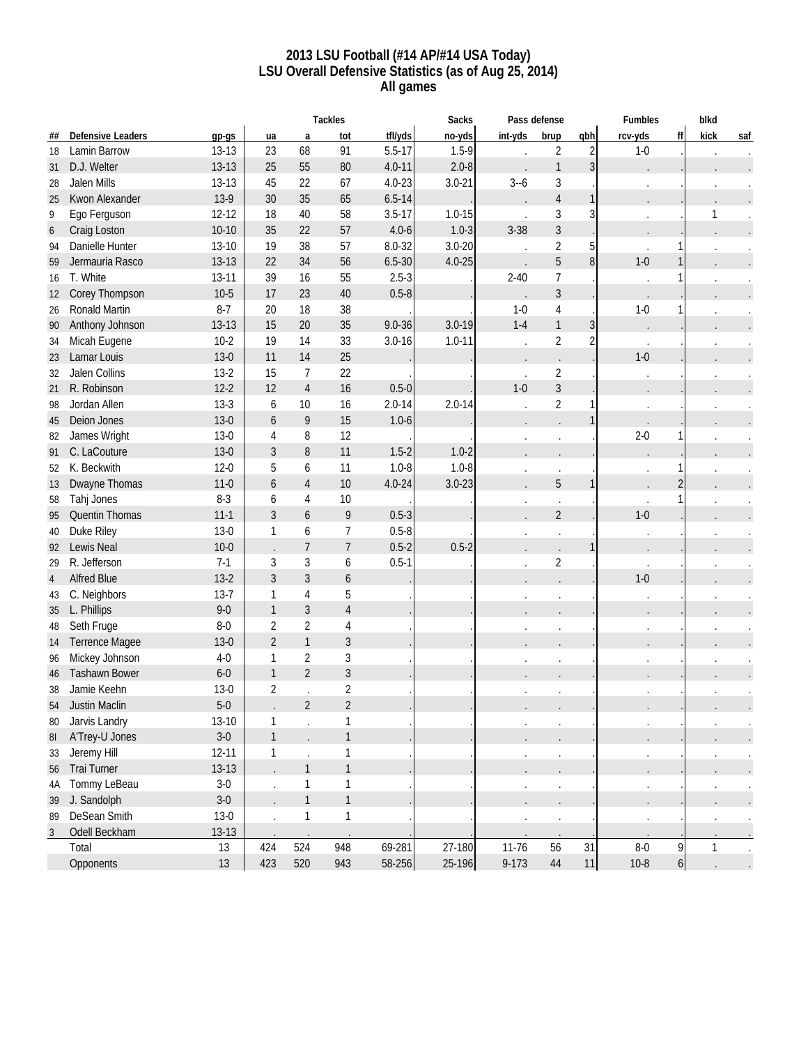#### **2013 LSU Football (#14 AP/#14 USA Today) LSU Overall Defensive Statistics (as of Aug 25, 2014) All games**

|                  |                          |           |                |                | <b>Tackles</b>   |            | <b>Sacks</b> |           | Pass defense   |            | Fumbles  |                  | blkd         |     |
|------------------|--------------------------|-----------|----------------|----------------|------------------|------------|--------------|-----------|----------------|------------|----------|------------------|--------------|-----|
| ##               | <b>Defensive Leaders</b> | gp-gs     | ua             | a              | tot              | tfl/yds    | no-yds       | int-yds   | brup           | qbh        | rcv-yds  | ff               | kick         | saf |
| 18               | Lamin Barrow             | $13-13$   | 23             | 68             | 91               | $5.5 - 17$ | $1.5 - 9$    |           | $\overline{2}$ | $\sqrt{2}$ | $1 - 0$  |                  |              |     |
| 31               | D.J. Welter              | 13-13     | 25             | 55             | 80               | $4.0 - 11$ | $2.0 - 8$    |           | $\mathbf{1}$   | 3          |          |                  |              |     |
| 28               | Jalen Mills              | $13-13$   | 45             | 22             | 67               | $4.0 - 23$ | $3.0 - 21$   | $3 - 6$   | $\sqrt{3}$     |            |          |                  |              |     |
| 25               | Kwon Alexander           | $13-9$    | 30             | 35             | 65               | $6.5 - 14$ |              |           | $\overline{4}$ | 1          |          |                  |              |     |
| 9                | Ego Ferguson             | $12 - 12$ | 18             | 40             | 58               | $3.5 - 17$ | $1.0 - 15$   |           | $\sqrt{3}$     |            |          |                  |              |     |
| $\boldsymbol{6}$ | Craig Loston             | $10 - 10$ | 35             | 22             | 57               | $4.0 - 6$  | $1.0 - 3$    | $3 - 38$  | $\overline{3}$ |            |          |                  |              |     |
| 94               | Danielle Hunter          | $13 - 10$ | 19             | 38             | 57               | $8.0 - 32$ | $3.0 - 20$   |           | $\overline{2}$ | 5          |          |                  |              |     |
| 59               | Jermauria Rasco          | 13-13     | 22             | 34             | 56               | $6.5 - 30$ | $4.0 - 25$   |           | 5              | 8          | $1-0$    |                  |              |     |
| 16               | T. White                 | $13 - 11$ | 39             | 16             | 55               | $2.5 - 3$  |              | $2 - 40$  | $\overline{7}$ |            |          |                  |              |     |
| 12               | Corey Thompson           | $10-5$    | 17             | 23             | 40               | $0.5 - 8$  |              |           | 3              |            |          |                  |              |     |
| 26               | Ronald Martin            | $8 - 7$   | 20             | 18             | 38               |            |              | $1 - 0$   | 4              |            | $1-0$    |                  |              |     |
| 90               | Anthony Johnson          | 13-13     | 15             | 20             | 35               | $9.0 - 36$ | $3.0 - 19$   | $1 - 4$   | $\mathbf{1}$   | 3          |          |                  |              |     |
| 34               | Micah Eugene             | $10 - 2$  | 19             | 14             | 33               | $3.0 - 16$ | $1.0 - 11$   | $\cdot$   | $\overline{2}$ |            |          |                  |              |     |
| 23               | Lamar Louis              | $13 - 0$  | 11             | 14             | 25               |            |              |           |                |            | $1-0$    |                  |              |     |
| 32               | Jalen Collins            | $13 - 2$  | 15             | 7              | 22               |            |              |           | 2              |            |          |                  |              |     |
| 21               | R. Robinson              | $12 - 2$  | 12             | $\overline{4}$ | 16               | $0.5 - 0$  |              | $1 - 0$   | $\mathfrak{Z}$ |            |          |                  |              |     |
| 98               | Jordan Allen             | $13-3$    | 6              | 10             | 16               | $2.0 - 14$ | $2.0 - 14$   |           | $\overline{2}$ |            |          |                  |              |     |
| 45               | Deion Jones              | $13 - 0$  | 6              | 9              | 15               | $1.0 - 6$  |              |           |                | 1          |          |                  |              |     |
| 82               | James Wright             | $13 - 0$  | 4              | 8              | 12               |            |              |           |                |            | $2-0$    |                  |              |     |
| 91               | C. LaCouture             | $13 - 0$  | 3              | 8              | 11               | $1.5 - 2$  | $1.0 - 2$    |           |                |            |          |                  |              |     |
| 52               | K. Beckwith              | $12 - 0$  | 5              | 6              | 11               | $1.0 - 8$  | $1.0 - 8$    |           |                |            |          |                  |              |     |
|                  | Dwayne Thomas            | $11-0$    | 6              | $\overline{4}$ | 10               | $4.0 - 24$ | $3.0 - 23$   |           | 5              | 1          |          |                  |              |     |
| 13               |                          | $8 - 3$   | 6              | 4              | 10               |            |              |           |                |            |          |                  |              |     |
| 58               | Tahj Jones               |           | 3              | 6              | $\mathsf{q}$     | $0.5 - 3$  |              |           |                |            | $1-0$    |                  |              |     |
| 95               | Quentin Thomas           | $11-1$    |                |                |                  |            |              |           | $\overline{2}$ |            |          |                  |              |     |
| 40               | Duke Riley               | $13 - 0$  | 1              | 6              | $\overline{7}$   | $0.5 - 8$  |              |           |                |            |          |                  |              |     |
| 92               | Lewis Neal               | $10 - 0$  |                | $\overline{7}$ | $\overline{7}$   | $0.5 - 2$  | $0.5 - 2$    |           |                |            |          |                  |              |     |
| 29               | R. Jefferson             | $7-1$     | 3              | $\mathfrak{Z}$ | $\boldsymbol{6}$ | $0.5 - 1$  |              |           | 2              |            |          |                  |              |     |
| $\overline{4}$   | <b>Alfred Blue</b>       | $13-2$    | 3              | 3              | 6                |            |              |           |                |            | $1-0$    |                  |              |     |
| 43               | C. Neighbors             | $13 - 7$  | 1              | $\overline{4}$ | 5                |            |              |           |                |            |          |                  |              |     |
| 35               | L. Phillips              | $9-0$     | $\mathbf{1}$   | $\overline{3}$ | $\overline{4}$   |            |              |           |                |            |          |                  |              |     |
| 48               | Seth Fruge               | $8-0$     | $\overline{2}$ | $\overline{2}$ | 4                |            |              |           |                |            |          |                  |              |     |
| 14               | Terrence Magee           | $13-0$    | $\overline{2}$ | $\mathbf{1}$   | 3                |            |              |           |                |            |          |                  |              |     |
| 96               | Mickey Johnson           | $4-0$     | 1              | $\sqrt{2}$     | $\sqrt{3}$       |            |              |           |                |            |          |                  |              |     |
| 46               | <b>Tashawn Bower</b>     | $6-0$     | $\mathbf{1}$   | $\overline{2}$ | 3                |            |              |           |                |            |          |                  |              |     |
| 38               | Jamie Keehn              | $13-0$    | 2              |                | $\overline{2}$   |            |              |           |                |            |          |                  |              |     |
|                  | 54 Justin Maclin         | $5-0$     |                | $\overline{2}$ | $\overline{2}$   |            |              |           |                |            |          |                  |              |     |
| 80               | Jarvis Landry            | $13 - 10$ | 1              |                | 1                |            |              |           |                |            | $\cdot$  |                  |              |     |
| 81               | A'Trey-U Jones           | $3-0$     | $\mathbf{1}$   |                | $\mathbf{1}$     |            |              |           |                |            |          |                  |              |     |
| 33               | Jeremy Hill              | $12 - 11$ | 1              |                | $\mathbf{1}$     |            |              |           |                |            | $\cdot$  |                  |              |     |
| 56               | Trai Turner              | 13-13     |                | $\mathbf{1}$   | $\overline{1}$   |            |              |           |                |            |          |                  |              |     |
| 4A               | Tommy LeBeau             | $3-0$     |                | 1              | 1                |            |              |           |                |            |          |                  |              |     |
| 39               | J. Sandolph              | $3-0$     |                | $\mathbf{1}$   | $\mathbf{1}$     |            |              |           |                |            |          |                  |              |     |
| 89               | DeSean Smith             | $13 - 0$  |                | 1              | 1                |            |              |           |                |            |          |                  |              |     |
| 3                | Odell Beckham            | 13-13     |                |                |                  |            |              |           |                |            |          |                  |              |     |
|                  | Total                    | 13        | 424            | 524            | 948              | 69-281     | 27-180       | $11 - 76$ | 56             | 31         | $8-0$    | 9                | $\mathbf{1}$ |     |
|                  | Opponents                | $13$      | 423            | 520            | 943              | 58-256     | 25-196       | $9 - 173$ | $44\,$         | $11$       | $10 - 8$ | $\boldsymbol{6}$ |              |     |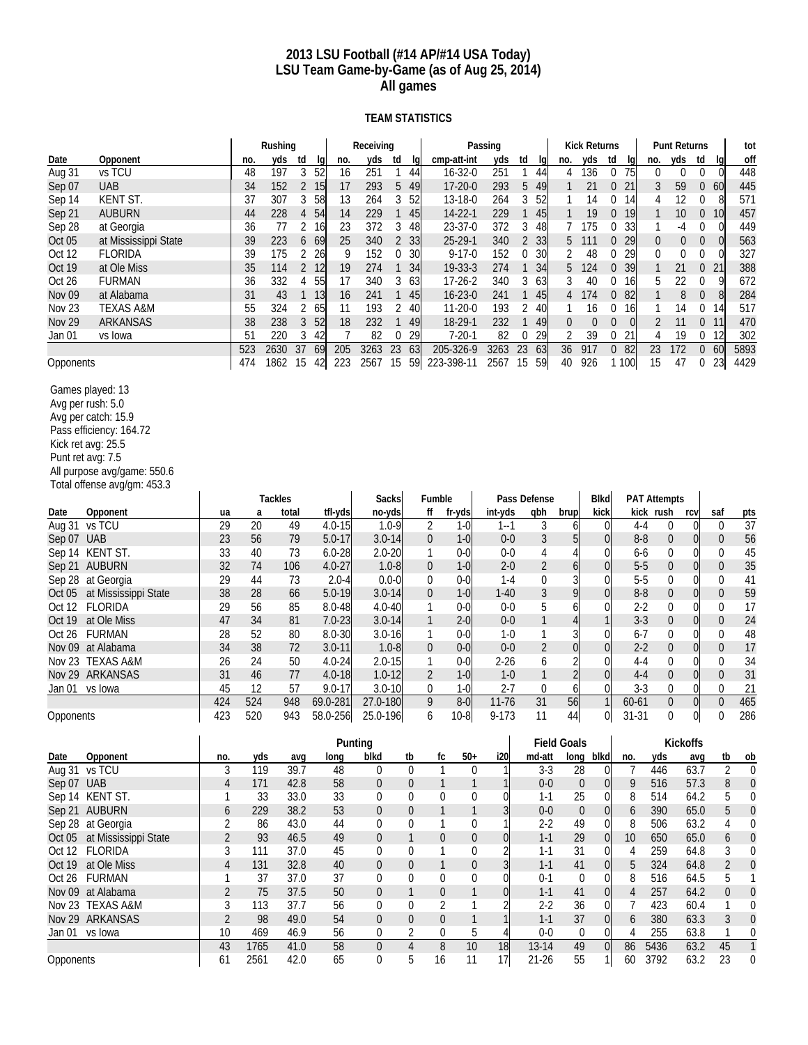#### **2013 LSU Football (#14 AP/#14 USA Today) LSU Team Game-by-Game (as of Aug 25, 2014) All games**

#### **TEAM STATISTICS**

|                      |                                                                                                                                  |                 |     | Rushing        |                 |            | Receiving  |                 |      |                             | Passing   |                 |                 |                 | <b>Kick Returns</b> |                |              |                     | <b>Punt Returns</b> |                  |                 | tot             |
|----------------------|----------------------------------------------------------------------------------------------------------------------------------|-----------------|-----|----------------|-----------------|------------|------------|-----------------|------|-----------------------------|-----------|-----------------|-----------------|-----------------|---------------------|----------------|--------------|---------------------|---------------------|------------------|-----------------|-----------------|
| Date                 | Opponent                                                                                                                         |                 | no. | yds            | td              | lq<br>no.  | yds        | td              | lq   | cmp-att-int                 | yds       | td              | lg              | no.             | yds                 | td             | la           | no.                 | yds                 | td               | lq              | off             |
| $\overline{A}$ ug 31 | vs TCU                                                                                                                           |                 | 48  | 197            | 3               | 52<br>16   | 251        |                 | 44   | $16 - 32 - 0$               | 251       | $\mathbf{1}$    | 44              | 4               | 136                 | $\theta$       | 75           | $\theta$            | 0                   | $\theta$         | $\Omega$        | 448             |
| Sep 07               | <b>UAB</b>                                                                                                                       |                 | 34  | 152            | 2 15            | 17         | 293        | 5               | 49   | $17-20-0$                   | 293       | 5 49            |                 | $\mathbf{1}$    | 21                  | $\mathbf 0$    | 21           | 3                   | 59                  | $\boldsymbol{0}$ | 60              | 445             |
| Sep 14               | <b>KENT ST.</b>                                                                                                                  |                 | 37  | 307            | 3               | 58<br>13   | 264        | 3               | 52   | $13 - 18 - 0$               | 264       | 3               | 52              | 1               | 14                  | 0              | 14           | $\overline{4}$      | 12                  | $\overline{0}$   | 8               | 571             |
| Sep 21               | <b>AUBURN</b>                                                                                                                    |                 | 44  | 228            | 4               | 54<br>14   | 229        | 1               | 45   | $14 - 22 - 1$               | 229       | $\mathbf{1}$    | 45              | $\mathbf{1}$    | 19                  | $\overline{0}$ | 19           | $\mathbf{1}$        | 10                  | $\overline{0}$   | 10              | 457             |
| Sep 28               | at Georgia                                                                                                                       |                 | 36  | 77             | 2               | 16<br>23   | 372        | 3               | 48   | 23-37-0                     | 372       | 3               | 48              | 7               | 175                 | 0              | 33           | $\mathbf{1}$        | $-4$                | 0                | $\Omega$        | 449             |
| Oct <sub>05</sub>    | at Mississippi State                                                                                                             |                 | 39  | 223            | 6 69            | 25         | 340        |                 | 2 33 | $25 - 29 - 1$               | 340       | $\overline{2}$  | 33              | 5               | 111                 | $\overline{0}$ | 29           | $\theta$            | $\overline{0}$      | $\overline{0}$   | $\Omega$        | 563             |
| Oct 12               | <b>FLORIDA</b>                                                                                                                   |                 | 39  | 175            | 2 26            | 9          | 152        | 0               | 30   | $9 - 17 - 0$                | 152       | $\overline{0}$  | 30              | 2               | 48                  | 0              | 29           | $\mathbf 0$         | 0                   | 0                | $\Omega$        | 327             |
| Oct 19               | at Ole Miss                                                                                                                      |                 | 35  | 114            | 2 <sub>12</sub> | 19         | 274        | $\mathbf{1}$    | 34   | 19-33-3                     | 274       | 1               | 34              | 5               | 124                 | $\overline{0}$ | 39           | $\mathbf{1}$        | 21                  | $\theta$         | 21              | 388             |
| Oct 26               | <b>FURMAN</b>                                                                                                                    |                 | 36  | 332            | 4               | 55<br>17   | 340        | 3               | 63   | $17-26-2$                   | 340       | 3               | 63              | 3               | 40                  | 0              | 16           | 5                   | 22                  | $\overline{0}$   | 9               | 672             |
| Nov <sub>09</sub>    | at Alabama                                                                                                                       |                 | 31  | 43             | 1 <sup>13</sup> | 16         | 241        |                 | 1 45 | $16 - 23 - 0$               | 241       | $\mathbf{1}$    | 45              | $\overline{4}$  | 174                 | 0              | 82           | $\mathbf{1}$        | 8                   | $\boldsymbol{0}$ | 8               | 284             |
| Nov <sub>23</sub>    | <b>TEXAS A&amp;M</b>                                                                                                             |                 | 55  | 324            | 2               | 11<br>65   | 193        | 2               | 40   | $11-20-0$                   | 193       | $\overline{2}$  | 40              | 1               | 16                  | 0              | 16           | 1                   | 14                  | $\overline{0}$   | 14              | 517             |
| <b>Nov 29</b>        | ARKANSAS                                                                                                                         |                 | 38  | 238            | 3               | 52<br>18   | 232        | $\mathbf{1}$    | 49   | 18-29-1                     | 232       | $\mathbf{1}$    | 49              | $\overline{0}$  | $\overline{0}$      | $\overline{0}$ | $\mathbf{0}$ | $\overline{2}$      | 11                  | $\boldsymbol{0}$ | 11              | 470             |
| Jan 01               | vs lowa                                                                                                                          |                 | 51  | 220            | 3 42            | 7          | 82         | 0               | 29   | $7 - 20 - 1$                | 82        | $\mathbf 0$     | 29              | 2               | 39                  | 0              | 21           | $\overline{4}$      | 19                  |                  | 0 <sub>12</sub> | 302             |
|                      |                                                                                                                                  |                 | 523 | 2630           | $\overline{37}$ | 69<br>205  | 3263       | $\overline{23}$ | 63   | 205-326-9                   | 3263      | $\overline{23}$ | 63              | $\overline{36}$ | 917                 | $\overline{0}$ | 82           | $\overline{23}$     | 172                 | $\overline{0}$   | 60              | 5893            |
| Opponents            |                                                                                                                                  |                 | 474 | 1862           | 15              | 223<br>42  | 2567       | 15              | 59   | 223-398-11                  | 2567      | 15              | 59              | 40              | 926                 |                | 1 100        | 15                  | 47                  | 0                | 23              | 4429            |
|                      | Pass efficiency: 164.72<br>Kick ret avg: 25.5<br>Punt ret avg: 7.5<br>All purpose avg/game: 550.6<br>Total offense avg/gm: 453.3 |                 |     | <b>Tackles</b> |                 |            |            | <b>Sacks</b>    |      | Fumble                      |           | Pass Defense    |                 |                 | <b>Blkd</b>         |                |              | <b>PAT Attempts</b> |                     |                  |                 |                 |
| Date                 | Opponent                                                                                                                         | ua              | a   |                | total           | tfl-yds    | no-yds     |                 |      | ff<br>fr-yds                | int-yds   |                 | qbh             | brup            | kick                |                |              | kick rush           |                     | rcv              | saf             | <u>pts</u>      |
|                      | Aug 31 vs TCU                                                                                                                    | $\overline{29}$ | 20  |                | 49              | $4.0 - 15$ |            | $1.0 - 9$       |      | $\overline{2}$<br>$1 - 0$   | $1 - 1$   |                 | 3               | 6               |                     | $\Omega$       | $4 - 4$      |                     | $\theta$            | $\Omega$         | 0               | $\overline{37}$ |
| Sep 07 UAB           |                                                                                                                                  | 23              | 56  |                | 79              | $5.0 - 17$ | $3.0 - 14$ |                 |      | $\overline{0}$<br>$1-0$     | $0-0$     |                 | 3               | 5               |                     | $\overline{0}$ | $8 - 8$      |                     | 0                   | $\overline{0}$   | 0               | 56              |
|                      | Sep 14 KENT ST.                                                                                                                  | 33              | 40  |                | 73              | $6.0 - 28$ | $2.0 - 20$ |                 |      | 1<br>$0 - 0$                | $0-0$     |                 | 4               | 4               |                     | $\Omega$       | 6-6          |                     | $\overline{0}$      | $\overline{0}$   | $\Omega$        | 45              |
|                      | Sep 21 AUBURN                                                                                                                    | 32              | 74  |                | 106             | $4.0 - 27$ |            | $1.0 - 8$       |      | $1 - 0$<br>$\theta$         | $2 - 0$   |                 | $\overline{2}$  | 6               |                     | $\Omega$       | $5-5$        |                     | $\mathbf 0$         | $\overline{0}$   | $\overline{0}$  | 35              |
|                      | Sep 28 at Georgia                                                                                                                | 29              | 44  |                | 73              | $2.0 - 4$  |            | $0.0 - 0$       |      | $\overline{0}$<br>$0 - 0$   | $1 - 4$   |                 | $\overline{0}$  | 3               |                     | $\Omega$       | $5-5$        |                     | $\overline{0}$      | $\overline{0}$   | 0               | 41              |
| Oct 05               | at Mississippi State                                                                                                             | 38              | 28  |                | 66              | $5.0 - 19$ | $3.0 - 14$ |                 |      | $\overline{0}$<br>$1 - 0$   | $1 - 40$  |                 | 3               | 9               |                     | $\Omega$       | $8 - 8$      |                     | $\overline{0}$      | $\overline{0}$   | $\Omega$        | 59              |
| Oct 12               | <b>FLORIDA</b>                                                                                                                   | 29              | 56  |                | 85              | $8.0 - 48$ | $4.0 - 40$ |                 |      | 1<br>$0 - 0$                | $0 - 0$   |                 | 5               | 6               |                     | $\Omega$       | $2 - 2$      |                     | $\boldsymbol{0}$    | $\Omega$         | 0               | 17              |
| Oct 19               | at Ole Miss                                                                                                                      | 47              | 34  |                | 81              | $7.0 - 23$ | $3.0 - 14$ |                 |      | $\mathbf{1}$<br>$2-0$       | $0 - 0$   |                 | $\mathbf{1}$    | $\overline{4}$  |                     |                | $3 - 3$      |                     | $\overline{0}$      | $\overline{0}$   | $\overline{0}$  | 24              |
|                      | Oct 26 FURMAN                                                                                                                    | 28              | 52  |                | 80              | $8.0 - 30$ | $3.0 - 16$ |                 |      | 1<br>$0 - 0$                | $1 - 0$   |                 | 1               | 3               |                     | $\Omega$       | $6 - 7$      |                     | 0                   | $\overline{0}$   | 0               | 48              |
|                      | Nov 09 at Alabama                                                                                                                | 34              | 38  |                | 72              | $3.0 - 11$ |            | $1.0 - 8$       |      | $\boldsymbol{0}$<br>$0-0$   | $0-0$     |                 | $\overline{2}$  | $\overline{0}$  |                     | $\overline{0}$ | $2 - 2$      |                     | $\boldsymbol{0}$    | $\overline{0}$   | $\overline{0}$  | 17              |
|                      | Nov 23 TEXAS A&M                                                                                                                 | 26              | 24  |                | 50              | $4.0 - 24$ | $2.0 - 15$ |                 |      | $\mathbf{1}$<br>$0 - 0$     | $2 - 26$  |                 | 6               | 2               |                     | $\Omega$       | 4-4          |                     | $\overline{0}$      | $\Omega$         | 0               | 34              |
|                      | Nov 29 ARKANSAS                                                                                                                  | 31              | 46  |                | 77              | $4.0 - 18$ | $1.0 - 12$ |                 |      | $\overline{2}$<br>$1 - 0$   | $1 - 0$   |                 | $\mathbf{1}$    | $\overline{c}$  |                     | $\Omega$       | $4 - 4$      |                     | $\mathbf 0$         | $\overline{0}$   | $\overline{0}$  | 31              |
| Jan 01               | vs Iowa                                                                                                                          | 45              | 12  |                | 57              | $9.0 - 17$ | $3.0 - 10$ |                 |      | $\boldsymbol{0}$<br>$1 - 0$ | $2 - 7$   |                 | 0               | 6               |                     | $\Omega$       | $3 - 3$      |                     | 0                   | $\overline{0}$   | 0               | 21              |
|                      |                                                                                                                                  | 424             | 524 |                | 948             | 69.0-281   | 27.0-180   |                 |      | 9<br>$8 - 0$                | $11 - 76$ |                 | $\overline{31}$ | $\overline{56}$ |                     | $\mathbf{1}$   | $60 - 61$    |                     | $\boldsymbol{0}$    | $\overline{0}$   | $\overline{0}$  | 465             |
| Opponents            |                                                                                                                                  | 423             | 520 |                | 943             | 58.0-256   | 25.0-196   |                 |      | $10-8$<br>6                 | 9-173     |                 | 11              | 44              |                     | 01             | $31 - 31$    |                     | 0                   | $\overline{0}$   | 0               | 286             |
|                      |                                                                                                                                  |                 |     |                |                 |            | $D$ unting |                 |      |                             |           |                 |                 | Eield Coole     |                     |                |              |                     | <b>Violioffe</b>    |                  |                 |                 |

|            |                      |     |      |      |      | Punting  |          |                |          |                 |           | <b>Field Goals</b> |      |               |      | <b>Kickoffs</b> |                |          |
|------------|----------------------|-----|------|------|------|----------|----------|----------------|----------|-----------------|-----------|--------------------|------|---------------|------|-----------------|----------------|----------|
| Date       | Opponent             | no. | yds  | avq  | lona | blkd     | tb       | fc             | $50+$    | i20             | md-att    | long               | blkd | no.           | yds  | avq             | tb             | ob       |
|            | Aug 31 vs TCU        |     | 119  | 39.7 | 48   | $\Omega$ | $\Omega$ |                | 0        |                 | $3-3$     | 28                 |      |               | 446  | 63.7            | 2              | $\Omega$ |
| Sep 07 UAB |                      |     | 171  | 42.8 | 58   | $\Omega$ | 0        |                |          |                 | $0 - 0$   | $\overline{0}$     | N    | 9             | 516  | 57.3            | 8              | $\Omega$ |
|            | Sep 14 KENT ST.      |     | 33   | 33.0 | 33   | 0        | 0        | 0              | 0        |                 | $1 - 1$   | 25                 |      | 8             | 514  | 64.2            | 5              | 0        |
|            | Sep 21 AUBURN        | 6   | 229  | 38.2 | 53   | 0        | 0        |                |          |                 | $0 - 0$   | $\overline{0}$     | OI   | b             | 390  | 65.0            | 5              | $\Omega$ |
|            | Sep 28 at Georgia    |     | 86   | 43.0 | 44   | $\Omega$ | 0        |                | 0        |                 | $2-2$     | 49                 | N    | 8             | 506  | 63.2            | 4              | 0        |
| Oct 05     | at Mississippi State |     | 93   | 46.5 | 49   | $\Omega$ |          | $\Omega$       | $\Omega$ |                 | $1 - 1$   | 29                 | 0l   | 10            | 650  | 65.0            | 6              | $\Omega$ |
| Oct $12$   | FLORIDA              |     | 111  | 37.0 | 45   | 0        | 0        |                | 0        |                 | $1 - 1$   | 31                 |      |               | 259  | 64.8            | 3              | $\Omega$ |
| Oct 19     | at Ole Miss          |     | 131  | 32.8 | 40   | 0        | 0        |                | 0        |                 | $1 - 1$   | 41                 | OI   | 5             | 324  | 64.8            | $\overline{2}$ | $\Omega$ |
|            | Oct 26 FURMAN        |     | 37   | 37.0 | 37   | 0        | 0        | 0              | 0        |                 | $0 - 1$   | $\theta$           |      | 8             | 516  | 64.5            | 5              |          |
|            | Nov 09 at Alabama    |     | 75   | 37.5 | 50   | $\Omega$ |          | $\Omega$       |          |                 | $1 - 1$   | 41                 | ΩI   | 4             | 257  | 64.2            | $\Omega$       | $\Omega$ |
|            | Nov 23 TEXAS A&M     |     | 113  | 37.7 | 56   | $\Omega$ | 0        | $\mathfrak{p}$ |          |                 | $2 - 2$   | 36                 |      |               | 423  | 60.4            |                | 0        |
|            | Nov 29 ARKANSAS      |     | 98   | 49.0 | 54   | $\Omega$ | 0        | $\Omega$       |          |                 | $1 - 1$   | 37                 |      | $\mathfrak b$ | 380  | 63.3            | $\overline{3}$ | $\Omega$ |
|            | Jan 01 vs lowa       | 10  | 469  | 46.9 | 56   | 0        | 2        | $\Omega$       | b.       |                 | $0-0$     | $\mathbf 0$        | N    |               | 255  | 63.8            |                | 0        |
|            |                      | 43  | 1765 | 41.0 | 58   | $\Omega$ | 4        | 8              | 10       | 18 <sup>l</sup> | $13 - 14$ | 49                 | 0I   | 86            | 5436 | 63.2            | 45             |          |
| Opponents  |                      | 61  | 2561 | 42.0 | 65   | 0        | 5        | 16             |          | 17              | $21 - 26$ | 55                 |      | 60            | 3792 | 63.2            | 23             | $\Omega$ |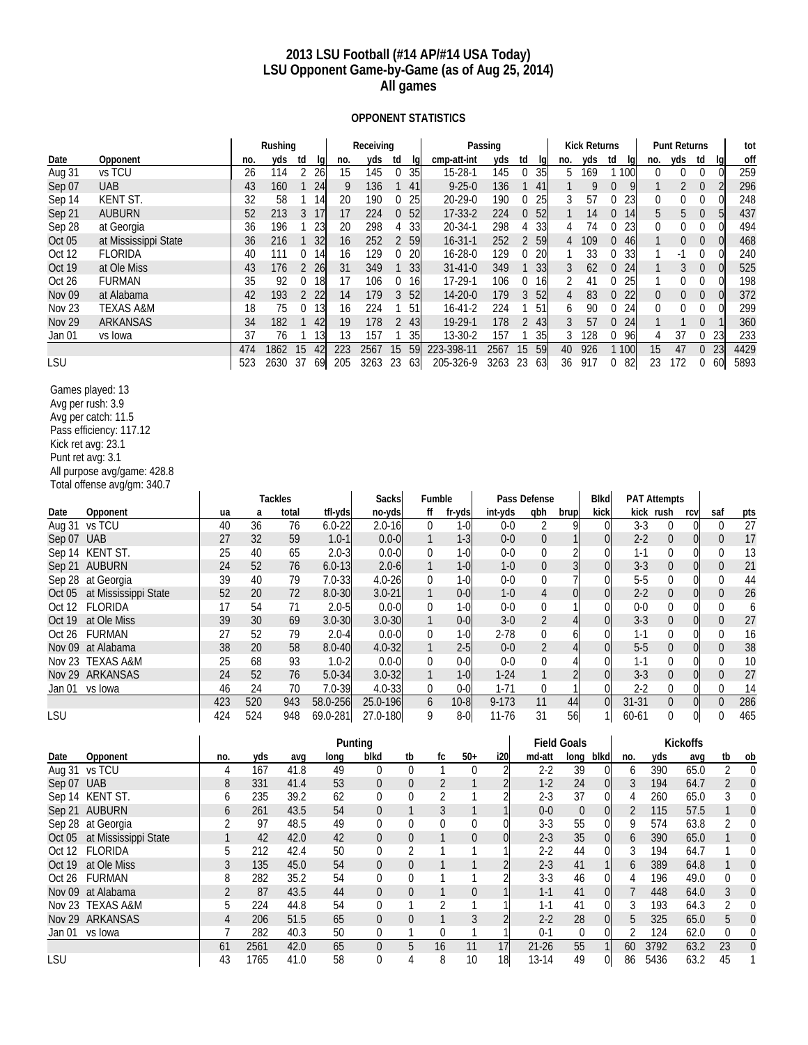#### **2013 LSU Football (#14 AP/#14 USA Today) LSU Opponent Game-by-Game (as of Aug 25, 2014) All games**

#### **OPPONENT STATISTICS**

|                   |                                                                                                                                                         |     |                 | Rushing        |                 |                 |                 | Receiving |                  |                 |                         | Passing   |                |                  |                | <b>Kick Returns</b> |                        |                     |                  | <b>Punt Returns</b> |                  |                 | tot             |
|-------------------|---------------------------------------------------------------------------------------------------------------------------------------------------------|-----|-----------------|----------------|-----------------|-----------------|-----------------|-----------|------------------|-----------------|-------------------------|-----------|----------------|------------------|----------------|---------------------|------------------------|---------------------|------------------|---------------------|------------------|-----------------|-----------------|
| Date              | Opponent                                                                                                                                                |     | no.             | yds            | td              | lq              | no.             | yds       | td               | lq              | cmp-att-int             | yds       | td             | lq               | no.            | yds                 | td                     | lq                  | no.              | yds                 | td               | la              | off             |
| Aug 31            | vs TCU                                                                                                                                                  |     | $\overline{26}$ | 114            | $\overline{2}$  | 26              | $\overline{15}$ | 145       | $\mathbf{0}$     | $\overline{35}$ | $15 - 28 - 1$           | 145       | 0              | $\overline{35}$  | 5              | 169                 | 1 1 0 0                |                     | 0                | 0                   | $\overline{0}$   | $\overline{0}$  | 259             |
| Sep 07            | <b>UAB</b>                                                                                                                                              |     | 43              | 160            | $\mathbf{1}$    | 24              | 9               | 136       | $\mathbf{1}$     | 41              | $9 - 25 - 0$            | 136       | $\mathbf{1}$   | 41               | 1              | 9                   | $\overline{0}$         | 9                   | $\mathbf{1}$     | $\overline{2}$      | $\overline{0}$   | $\overline{2}$  | 296             |
| Sep 14            | <b>KENT ST.</b>                                                                                                                                         |     | 32              | 58             | $\mathbf{1}$    | 14              | 20              | 190       | $\boldsymbol{0}$ | 25              | 20-29-0                 | 190       | $\overline{0}$ | 25               | 3              | 57                  | $\mathbf 0$<br>23      |                     | 0                | 0                   | $\overline{0}$   | $\Omega$        | 248             |
| Sep 21            | <b>AUBURN</b>                                                                                                                                           |     | 52              | 213            |                 | 3 17            | 17              | 224       | $\mathbf 0$      | 52              | $17 - 33 - 2$           | 224       | $\mathbf 0$    | 52               | $\mathbf{1}$   | 14                  | $\boldsymbol{0}$<br>14 |                     | 5                | 5                   | $\boldsymbol{0}$ | $5 \mid$        | 437             |
| Sep 28            | at Georgia                                                                                                                                              |     | 36              | 196            | $\mathbf{1}$    | 23              | 20              | 298       | $\overline{4}$   | 33              | $20 - 34 - 1$           | 298       | 4              | 33               | 4              | 74                  | $\mathbf 0$<br>23      |                     | $\theta$         | $\Omega$            | 0                | $\Omega$        | 494             |
| Oct <sub>05</sub> | at Mississippi State                                                                                                                                    |     | 36              | 216            | $\mathbf{1}$    | 32              | 16              | 252       | $\overline{2}$   | 59              | $16 - 31 - 1$           | 252       | $\overline{2}$ | 59               | $\overline{4}$ | 109                 | $\overline{0}$<br>46   |                     | $\mathbf{1}$     | 0                   | $\overline{0}$   | $\Omega$        | 468             |
| Oct 12            | <b>FLORIDA</b>                                                                                                                                          |     | 40              | 111            | $\mathbf 0$     | 14              | 16              | 129       | $\overline{0}$   | 20              | $16 - 28 - 0$           | 129       | 0              | 20               | 1              | 33                  | 33<br>$\mathbf 0$      |                     | $\mathbf{1}$     | $-1$                | $\mathbf 0$      | $\Omega$        | 240             |
| Oct 19            | at Ole Miss                                                                                                                                             |     | 43              | 176            |                 | 2 26            | 31              | 349       | $\mathbf{1}$     | 33              | $31 - 41 - 0$           | 349       | $\mathbf{1}$   | 33               | 3              | 62                  | $\boldsymbol{0}$<br>24 |                     | $\mathbf{1}$     | 3                   | $\overline{0}$   | $\Omega$        | 525             |
| Oct 26            | <b>FURMAN</b>                                                                                                                                           |     | 35              | 92             |                 | 0 <sub>18</sub> | 17              | 106       | $\overline{0}$   | 16              | 17-29-1                 | 106       | 0              | 16               | 2              | 41                  | 25<br>0                |                     | $\mathbf{1}$     | 0                   | 0                | $\Omega$        | 198             |
| Nov <sub>09</sub> | at Alabama                                                                                                                                              |     | 42              | 193            |                 | 22              | 14              | 179       | $\overline{3}$   | 52              | 14-20-0                 | 179       | 3              | 52               | $\overline{4}$ | 83                  | $\mathbf 0$<br>22      |                     | $\mathbf 0$      | 0                   | $\boldsymbol{0}$ | 0l              | 372             |
| Nov <sub>23</sub> | <b>TEXAS A&amp;M</b>                                                                                                                                    |     | 18              | 75             | 0               | 13              | 16              | 224       | $\mathbf{1}$     | 51              | $16 - 41 - 2$           | 224       | 1              | 51               | 6              | 90                  | 24<br>$\boldsymbol{0}$ |                     | $\mathbf 0$      | 0                   | $\overline{0}$   | 0               | 299             |
| <b>Nov 29</b>     | <b>ARKANSAS</b>                                                                                                                                         |     | 34              | 182            | $\mathbf{1}$    | 42              | 19              | 178       |                  | 2 43            | 19-29-1                 | 178       |                | 2 43             | 3              | 57                  | $\overline{0}$<br>24   |                     | $\mathbf{1}$     | $\mathbf{1}$        | $\overline{0}$   | $\mathbf{1}$    | 360             |
| Jan 01            | vs lowa                                                                                                                                                 |     | 37              | 76             | 1               | 13              | 13              | 157       | 1                | 35              | 13-30-2                 | 157       | 1              | 35               | 3              | 128                 | 0<br>96                |                     | 4                | 37                  | $\mathbf 0$      | 23              | 233             |
|                   |                                                                                                                                                         |     | 474             | 1862           | $\overline{15}$ | 42              | 223             | 2567      | $\overline{15}$  | 59              | 223-398-11              | 2567      | 15             | 59               | 40             | 926                 | 1 1 0 0                |                     | $\overline{15}$  | 47                  | $\overline{0}$   | $\overline{23}$ | 4429            |
| LSU               |                                                                                                                                                         |     | 523             | 2630           | 37              | 69              | 205             | 3263      | 23               | 63              | 205-326-9               | 3263 23   |                | -63              | 36             | 917                 | 0<br>82                |                     | 23               | 172                 | $\overline{0}$   | -60l            | 5893            |
|                   | Avg per catch: 11.5<br>Pass efficiency: 117.12<br>Kick ret avg: 23.1<br>Punt ret avg: 3.1<br>All purpose avg/game: 428.8<br>Total offense avg/gm: 340.7 |     |                 | <b>Tackles</b> |                 |                 |                 |           | Sacks            |                 | Fumble                  |           |                | Pass Defense     |                | <b>Blkd</b>         |                        | <b>PAT Attempts</b> |                  |                     |                  |                 |                 |
| Date              | Opponent                                                                                                                                                | ua  | a               | total          |                 |                 | tfl-yds         |           | no-yds           |                 | ff<br>fr-yds            | int-yds   |                | qbh              | brup           | kick                |                        | kick rush           |                  | rcvl                |                  | saf             | <u>pts</u>      |
| Aug 31 vs TCU     |                                                                                                                                                         | 40  | 36              |                | 76              | $6.0 - 22$      |                 |           | $2.0 - 16$       |                 | $\overline{0}$<br>$1-0$ | $0 - 0$   |                | 2                | 9              |                     | $\overline{0}$         | $3 - 3$             | $\mathbf{0}$     | $\overline{0}$      |                  | 0               | $\overline{27}$ |
| Sep 07 UAB        |                                                                                                                                                         | 27  | 32              |                | 59              |                 | $1.0 - 1$       |           | $0.0 - 0$        |                 | $\mathbf{1}$<br>$1-3$   | $0 - 0$   |                | $\overline{0}$   |                |                     | 0                      | $2 - 2$             | $\overline{0}$   | $\overline{0}$      |                  | $\Omega$        | 17              |
|                   | Sep 14 KENT ST.                                                                                                                                         | 25  | 40              |                | 65              |                 | $2.0 - 3$       |           | $0.0 - 0$        |                 | 0<br>$1-0$              | $0 - 0$   |                | 0                | 2              |                     | $\overline{0}$         | $1 - 1$             | $\mathbf 0$      | $\Omega$            |                  | $\Omega$        | 13              |
| Sep 21            | AUBURN                                                                                                                                                  | 24  | 52              |                | 76              |                 | $6.0 - 13$      |           | $2.0 - 6$        |                 | $\mathbf{1}$<br>$1-0$   | $1 - 0$   |                | $\boldsymbol{0}$ | $\overline{3}$ |                     | $\overline{0}$         | $3 - 3$             | $\boldsymbol{0}$ | $\overline{0}$      |                  | $\mathbf{0}$    | 21              |
|                   | Sep 28 at Georgia                                                                                                                                       | 39  | 40              |                | 79              |                 | $7.0 - 33$      |           | $4.0 - 26$       |                 | 0<br>$1 - 0$            | $0 - 0$   |                | 0                | 7              |                     | 0                      | $5-5$               | $\boldsymbol{0}$ | $\Omega$            |                  | 0               | 44              |
| Oct <sub>05</sub> | at Mississippi State                                                                                                                                    | 52  | 20              |                | 72              |                 | $8.0 - 30$      |           | $3.0 - 21$       |                 | $\mathbf{1}$<br>$0 - 0$ | $1 - 0$   |                | $\overline{4}$   | $\overline{0}$ |                     | $\overline{0}$         | $2 - 2$             | $\overline{0}$   | $\overline{0}$      |                  | $\Omega$        | 26              |
| Oct 12            | <b>FLORIDA</b>                                                                                                                                          | 17  | 54              |                | 71              |                 | $2.0 - 5$       |           | $0.0 - 0$        |                 | 0<br>$1-0$              | $0 - 0$   |                | $\overline{0}$   |                |                     | 0                      | $0 - 0$             | $\overline{0}$   | $\Omega$            |                  | $\Omega$        | 6               |
| Oct 19            | at Ole Miss                                                                                                                                             | 39  | 30              |                | 69              |                 | $3.0 - 30$      |           | $3.0 - 30$       |                 | $\mathbf{1}$<br>$0-0$   | $3-0$     |                | $\overline{2}$   | $\overline{4}$ |                     | $\overline{0}$         | $3 - 3$             | $\boldsymbol{0}$ | $\overline{0}$      |                  | $\overline{0}$  | 27              |
|                   | Oct 26 FURMAN                                                                                                                                           | 27  | 52              |                | 79              |                 | $2.0 - 4$       |           | $0.0 - 0$        |                 | 0<br>$1 - 0$            | 2-78      |                | 0                | 6              |                     | $\Omega$               | $1 - 1$             | 0                | $\Omega$            |                  | 0               | 16              |
|                   | Nov 09 at Alabama                                                                                                                                       | 38  | 20              |                | 58              |                 | $8.0 - 40$      |           | $4.0 - 32$       |                 | $\mathbf{1}$<br>$2 - 5$ | $0 - 0$   |                | $\overline{2}$   | $\overline{4}$ |                     | $\overline{0}$         | $5-5$               | $\boldsymbol{0}$ | $\overline{0}$      |                  | $\overline{0}$  | 38              |
|                   | Nov 23 TEXAS A&M                                                                                                                                        | 25  | 68              |                | 93              |                 | $1.0 - 2$       |           | $0.0 - 0$        |                 | 0<br>$0-0$              | $0 - 0$   |                | 0                | 4              |                     | 0                      | $1 - 1$             | $\mathbf 0$      | $\Omega$            |                  | $\Omega$        | 10              |
|                   | Nov 29 ARKANSAS                                                                                                                                         | 24  | 52              |                | 76              |                 | $5.0 - 34$      |           | $3.0 - 32$       |                 | $\mathbf{1}$<br>$1-0$   | $1 - 24$  |                | $\mathbf{1}$     | $\overline{2}$ |                     | $\overline{0}$         | $3 - 3$             | $\overline{0}$   | $\overline{0}$      |                  | $\overline{0}$  | 27              |
| Jan 01            | vs Iowa                                                                                                                                                 | 46  | 24              |                | 70              |                 | 7.0-39          |           | $4.0 - 33$       |                 | 0<br>$0 - 0$            | $1 - 71$  |                | 0                |                |                     | 0                      | $2 - 2$             | 0                | $\overline{0}$      |                  | 0               | 14              |
|                   |                                                                                                                                                         | 423 | 520             | 943            |                 | 58.0-256        |                 | 25.0-196  |                  |                 | 6<br>$10-8$             | $9 - 173$ |                | $\overline{11}$  | 44             |                     | $\overline{0}$         | $31 - 31$           | $\overline{0}$   | $\overline{0}$      |                  | $\overline{0}$  | 286             |
| LSU               |                                                                                                                                                         | 424 | 524             | 948            |                 | 69.0-281        |                 | 27.0-180  |                  |                 | 9<br>$8-0$              | 11-76     |                | 31               | 56             |                     | $\mathbf{1}$           | 60-61               | $\overline{0}$   | 01                  |                  | 0               | 465             |

|               |                             |              |      |      |      | Punting  |             |               |       |                 |           | <b>Field Goals</b> |      |              |      | <b>Kickoffs</b> |                |          |
|---------------|-----------------------------|--------------|------|------|------|----------|-------------|---------------|-------|-----------------|-----------|--------------------|------|--------------|------|-----------------|----------------|----------|
| Date          | Opponent                    | no.          | yds  | avq  | long | blkd     | tb          | fc            | $50+$ | i20             | md-att    | long               | blkd | no.          | yds  | avq             | tb             | ob       |
|               | Aug 31 vs TCU               |              | 167  | 41.8 | 49   |          | $\mathbf 0$ |               |       |                 | $2-2$     | 39                 |      | <sub>0</sub> | 390  | 65.0            |                | 0        |
| Sep 07 UAB    |                             | 8            | 331  | 41.4 | 53   | 0        | $\theta$    | 2             |       |                 | $1-2$     | 24                 |      |              | 194  | 64.7            | $\overline{2}$ | $\Omega$ |
|               | Sep 14 KENT ST.             | <sub>0</sub> | 235  | 39.2 | 62   |          | 0           |               |       |                 | $2 - 3$   | 37                 |      |              | 260  | 65.0            | 3              | 0        |
|               | Sep 21 AUBURN               | <sub>b</sub> | 261  | 43.5 | 54   | $\Omega$ |             | 3             |       |                 | $0 - 0$   | $\theta$           |      |              | 115  | 57.5            |                | $\Omega$ |
|               | Sep 28 at Georgia           |              | 97   | 48.5 | 49   |          | 0           | $\Omega$      |       |                 | $3-3$     | 55                 |      | q            | 574  | 63.8            | 2              | 0        |
|               | Oct 05 at Mississippi State |              | 42   | 42.0 | 42   | 0        | $\theta$    |               | 0     |                 | $2 - 3$   | 35                 |      | $\sigma$     | 390  | 65.0            |                | $\Omega$ |
| Oct 12        | FLORIDA                     | 5            | 212  | 42.4 | 50   |          | 2           |               |       |                 | $2-2$     | 44                 |      |              | 194  | 64.7            |                | 0        |
| Oct 19        | at Ole Miss                 |              | 135  | 45.0 | 54   | $\Omega$ | $\theta$    |               |       |                 | $2 - 3$   | 41                 |      | b.           | 389  | 64.8            |                | $\Omega$ |
| Oct 26        | FURMAN                      | 8            | 282  | 35.2 | 54   |          | 0           |               |       |                 | $3-3$     | 46                 |      | 4            | 196  | 49.0            | $\Omega$       | 0        |
|               | Nov 09 at Alabama           |              | 87   | 43.5 | 44   | $\Omega$ | $\theta$    |               |       |                 | $1 - 1$   | 41                 |      |              | 448  | 64.0            | 3              | 0        |
|               | Nov 23 TEXAS A&M            | 5            | 224  | 44.8 | 54   |          |             | $\mathcal{P}$ |       |                 | 1-1       | 41                 |      |              | 193  | 64.3            |                | 0        |
| <b>Nov 29</b> | ARKANSAS                    |              | 206  | 51.5 | 65   | 0        | $\theta$    |               |       |                 | $2 - 2$   | 28                 |      | b            | 325  | 65.0            | 5              | 0        |
| Jan 01        | vs Iowa                     |              | 282  | 40.3 | 50   | 0        |             | $\Omega$      |       |                 | $0 - 1$   | $\overline{0}$     |      |              | 124  | 62.0            | $\Omega$       | 0        |
|               |                             | 61           | 2561 | 42.0 | 65   | 0        | 5           | 16            | 11    | 17 <sup>1</sup> | $21 - 26$ | 55                 |      | 60           | 3792 | 63.2            | 23             | $\Omega$ |
| LSU           |                             | 43           | 1765 | 41.0 | 58   |          | 4           | 8             | 10    | 18              | $13 - 14$ | 49                 |      | 86           | 5436 | 63.2            | 45             |          |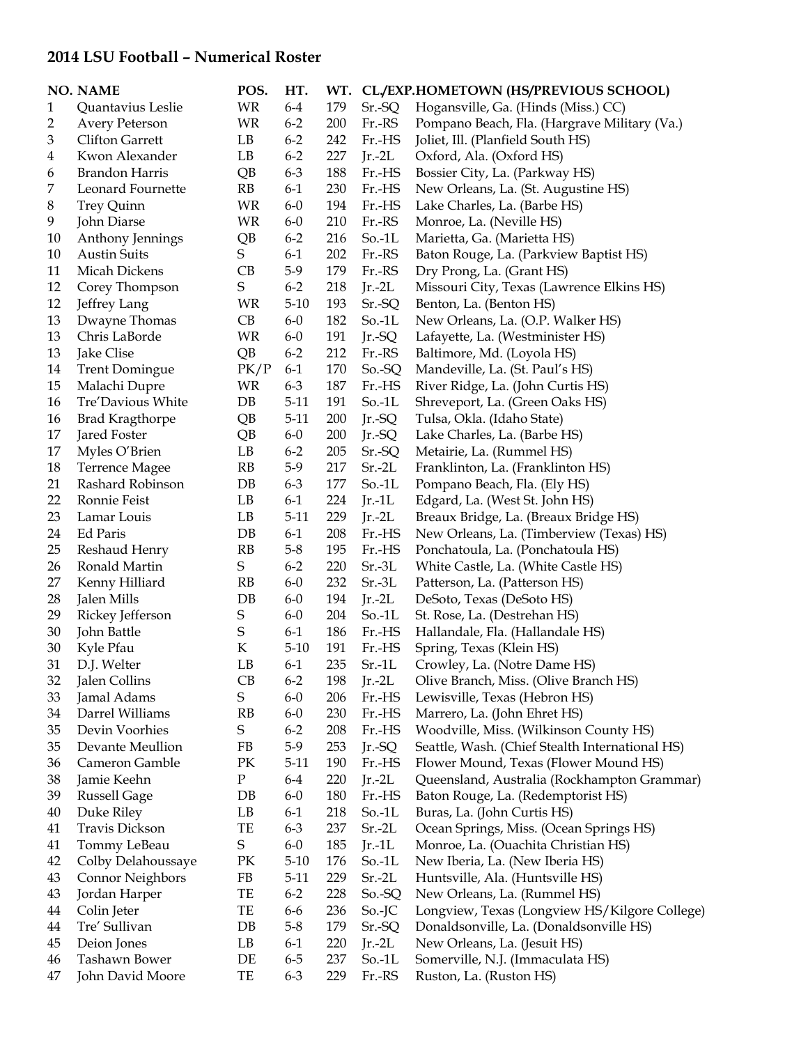#### **2014 LSU Football – Numerical Roster**

| CL/EXP.HOMETOWN (HS/PREVIOUS SCHOOL)<br>WR<br>$6-4$<br>$\mathbf{1}$<br>179<br>Sr.-SQ<br>Hogansville, Ga. (Hinds (Miss.) CC)<br>Quantavius Leslie<br>WR<br>200<br>Fr.-RS<br>Pompano Beach, Fla. (Hargrave Military (Va.)<br>2<br><b>Avery Peterson</b><br>$6 - 2$<br>3<br>Clifton Garrett<br>LB<br>Joliet, Ill. (Planfield South HS)<br>$6 - 2$<br>242<br>Fr.-HS<br>LB<br>227<br>Kwon Alexander<br>$6 - 2$<br>Jr.-2 $L$<br>Oxford, Ala. (Oxford HS)<br>4<br>188<br><b>Brandon Harris</b><br>QB<br>$6 - 3$<br>Fr.-HS<br>Bossier City, La. (Parkway HS)<br>6<br>7<br>RB<br>Leonard Fournette<br>$6-1$<br>230<br>Fr.-HS<br>New Orleans, La. (St. Augustine HS)<br>$\,8\,$<br>Trey Quinn<br>WR<br>$6 - 0$<br>194<br>Fr.-HS<br>Lake Charles, La. (Barbe HS)<br>9<br>WR<br>Fr.-RS<br>John Diarse<br>$6-0$<br>210<br>Monroe, La. (Neville HS)<br>Anthony Jennings<br>QB<br>$So.-1L$<br>Marietta, Ga. (Marietta HS)<br>$10\,$<br>$6 - 2$<br>216<br><b>Austin Suits</b><br>S<br>$6-1$<br>Fr.-RS<br>Baton Rouge, La. (Parkview Baptist HS)<br>10<br>202<br>CB<br>$5-9$<br>Fr.-RS<br>Micah Dickens<br>179<br>Dry Prong, La. (Grant HS)<br>11<br>$\mathsf S$<br>$6 - 2$<br>12<br>Corey Thompson<br>218<br>Jr.- $2L$<br>Missouri City, Texas (Lawrence Elkins HS)<br>12<br>Jeffrey Lang<br>WR<br>$5 - 10$<br>193<br>Sr.-SQ<br>Benton, La. (Benton HS)<br>Dwayne Thomas<br>182<br>$So.-1L$<br>13<br>CB<br>$6-0$<br>New Orleans, La. (O.P. Walker HS)<br>WR<br>13<br>Chris LaBorde<br>$6-0$<br>191<br>Lafayette, La. (Westminister HS)<br>Jr.-SQ<br>Jake Clise<br>QB<br>$6 - 2$<br>212<br>Fr.-RS<br>Baltimore, Md. (Loyola HS)<br>13<br><b>Trent Domingue</b><br>PK/P<br>$6-1$<br>Mandeville, La. (St. Paul's HS)<br>170<br>So.-SQ<br>14<br>WR<br>$6 - 3$<br>Fr.-HS<br>15<br>Malachi Dupre<br>187<br>River Ridge, La. (John Curtis HS)<br>Tre'Davious White<br>$DB$<br>$5-11$<br>$So.-1L$<br>16<br>191<br>Shreveport, La. (Green Oaks HS)<br>QB<br>$5 - 11$<br>Tulsa, Okla. (Idaho State)<br><b>Brad Kragthorpe</b><br>200<br>Jr.-SQ<br>16<br>Jared Foster<br>QB<br>$6-0$<br>200<br>17<br>Jr.-SQ<br>Lake Charles, La. (Barbe HS)<br>Myles O'Brien<br>LB<br>$6 - 2$<br>17<br>205<br>Sr.-SQ<br>Metairie, La. (Rummel HS)<br><b>Terrence Magee</b><br>RB<br>$5-9$<br>217<br>$Sr.-2L$<br>Franklinton, La. (Franklinton HS)<br>18<br>Rashard Robinson<br>DB<br>$So.-1L$<br>21<br>$6 - 3$<br>177<br>Pompano Beach, Fla. (Ely HS)<br>LB<br>$6 - 1$<br>22<br>Ronnie Feist<br>224<br>$Jr.-1L$<br>Edgard, La. (West St. John HS)<br>$5-11$<br>23<br>Lamar Louis<br>LB<br>229<br>Jr.- $2L$<br>Breaux Bridge, La. (Breaux Bridge HS)<br>24<br>Ed Paris<br>$DB$<br>$6 - 1$<br>208<br>Fr.-HS<br>New Orleans, La. (Timberview (Texas) HS)<br>RB<br>$5 - 8$<br>25<br>Reshaud Henry<br>195<br>Fr.-HS<br>Ponchatoula, La. (Ponchatoula HS)<br>${\sf S}$<br>$Sr.-3L$<br>Ronald Martin<br>$6 - 2$<br>220<br>White Castle, La. (White Castle HS)<br>26<br>RB<br>$Sr.-3L$<br>27<br>Kenny Hilliard<br>$6 - 0$<br>232<br>Patterson, La. (Patterson HS) |  |
|----------------------------------------------------------------------------------------------------------------------------------------------------------------------------------------------------------------------------------------------------------------------------------------------------------------------------------------------------------------------------------------------------------------------------------------------------------------------------------------------------------------------------------------------------------------------------------------------------------------------------------------------------------------------------------------------------------------------------------------------------------------------------------------------------------------------------------------------------------------------------------------------------------------------------------------------------------------------------------------------------------------------------------------------------------------------------------------------------------------------------------------------------------------------------------------------------------------------------------------------------------------------------------------------------------------------------------------------------------------------------------------------------------------------------------------------------------------------------------------------------------------------------------------------------------------------------------------------------------------------------------------------------------------------------------------------------------------------------------------------------------------------------------------------------------------------------------------------------------------------------------------------------------------------------------------------------------------------------------------------------------------------------------------------------------------------------------------------------------------------------------------------------------------------------------------------------------------------------------------------------------------------------------------------------------------------------------------------------------------------------------------------------------------------------------------------------------------------------------------------------------------------------------------------------------------------------------------------------------------------------------------------------------------------------------------------------------------------------------------------------------------------------------------------------------------------------------------------------------------------------------------------------------------------------------------------------------------------------------------------------------------|--|
|                                                                                                                                                                                                                                                                                                                                                                                                                                                                                                                                                                                                                                                                                                                                                                                                                                                                                                                                                                                                                                                                                                                                                                                                                                                                                                                                                                                                                                                                                                                                                                                                                                                                                                                                                                                                                                                                                                                                                                                                                                                                                                                                                                                                                                                                                                                                                                                                                                                                                                                                                                                                                                                                                                                                                                                                                                                                                                                                                                                                                |  |
|                                                                                                                                                                                                                                                                                                                                                                                                                                                                                                                                                                                                                                                                                                                                                                                                                                                                                                                                                                                                                                                                                                                                                                                                                                                                                                                                                                                                                                                                                                                                                                                                                                                                                                                                                                                                                                                                                                                                                                                                                                                                                                                                                                                                                                                                                                                                                                                                                                                                                                                                                                                                                                                                                                                                                                                                                                                                                                                                                                                                                |  |
|                                                                                                                                                                                                                                                                                                                                                                                                                                                                                                                                                                                                                                                                                                                                                                                                                                                                                                                                                                                                                                                                                                                                                                                                                                                                                                                                                                                                                                                                                                                                                                                                                                                                                                                                                                                                                                                                                                                                                                                                                                                                                                                                                                                                                                                                                                                                                                                                                                                                                                                                                                                                                                                                                                                                                                                                                                                                                                                                                                                                                |  |
|                                                                                                                                                                                                                                                                                                                                                                                                                                                                                                                                                                                                                                                                                                                                                                                                                                                                                                                                                                                                                                                                                                                                                                                                                                                                                                                                                                                                                                                                                                                                                                                                                                                                                                                                                                                                                                                                                                                                                                                                                                                                                                                                                                                                                                                                                                                                                                                                                                                                                                                                                                                                                                                                                                                                                                                                                                                                                                                                                                                                                |  |
|                                                                                                                                                                                                                                                                                                                                                                                                                                                                                                                                                                                                                                                                                                                                                                                                                                                                                                                                                                                                                                                                                                                                                                                                                                                                                                                                                                                                                                                                                                                                                                                                                                                                                                                                                                                                                                                                                                                                                                                                                                                                                                                                                                                                                                                                                                                                                                                                                                                                                                                                                                                                                                                                                                                                                                                                                                                                                                                                                                                                                |  |
|                                                                                                                                                                                                                                                                                                                                                                                                                                                                                                                                                                                                                                                                                                                                                                                                                                                                                                                                                                                                                                                                                                                                                                                                                                                                                                                                                                                                                                                                                                                                                                                                                                                                                                                                                                                                                                                                                                                                                                                                                                                                                                                                                                                                                                                                                                                                                                                                                                                                                                                                                                                                                                                                                                                                                                                                                                                                                                                                                                                                                |  |
|                                                                                                                                                                                                                                                                                                                                                                                                                                                                                                                                                                                                                                                                                                                                                                                                                                                                                                                                                                                                                                                                                                                                                                                                                                                                                                                                                                                                                                                                                                                                                                                                                                                                                                                                                                                                                                                                                                                                                                                                                                                                                                                                                                                                                                                                                                                                                                                                                                                                                                                                                                                                                                                                                                                                                                                                                                                                                                                                                                                                                |  |
|                                                                                                                                                                                                                                                                                                                                                                                                                                                                                                                                                                                                                                                                                                                                                                                                                                                                                                                                                                                                                                                                                                                                                                                                                                                                                                                                                                                                                                                                                                                                                                                                                                                                                                                                                                                                                                                                                                                                                                                                                                                                                                                                                                                                                                                                                                                                                                                                                                                                                                                                                                                                                                                                                                                                                                                                                                                                                                                                                                                                                |  |
|                                                                                                                                                                                                                                                                                                                                                                                                                                                                                                                                                                                                                                                                                                                                                                                                                                                                                                                                                                                                                                                                                                                                                                                                                                                                                                                                                                                                                                                                                                                                                                                                                                                                                                                                                                                                                                                                                                                                                                                                                                                                                                                                                                                                                                                                                                                                                                                                                                                                                                                                                                                                                                                                                                                                                                                                                                                                                                                                                                                                                |  |
|                                                                                                                                                                                                                                                                                                                                                                                                                                                                                                                                                                                                                                                                                                                                                                                                                                                                                                                                                                                                                                                                                                                                                                                                                                                                                                                                                                                                                                                                                                                                                                                                                                                                                                                                                                                                                                                                                                                                                                                                                                                                                                                                                                                                                                                                                                                                                                                                                                                                                                                                                                                                                                                                                                                                                                                                                                                                                                                                                                                                                |  |
|                                                                                                                                                                                                                                                                                                                                                                                                                                                                                                                                                                                                                                                                                                                                                                                                                                                                                                                                                                                                                                                                                                                                                                                                                                                                                                                                                                                                                                                                                                                                                                                                                                                                                                                                                                                                                                                                                                                                                                                                                                                                                                                                                                                                                                                                                                                                                                                                                                                                                                                                                                                                                                                                                                                                                                                                                                                                                                                                                                                                                |  |
|                                                                                                                                                                                                                                                                                                                                                                                                                                                                                                                                                                                                                                                                                                                                                                                                                                                                                                                                                                                                                                                                                                                                                                                                                                                                                                                                                                                                                                                                                                                                                                                                                                                                                                                                                                                                                                                                                                                                                                                                                                                                                                                                                                                                                                                                                                                                                                                                                                                                                                                                                                                                                                                                                                                                                                                                                                                                                                                                                                                                                |  |
|                                                                                                                                                                                                                                                                                                                                                                                                                                                                                                                                                                                                                                                                                                                                                                                                                                                                                                                                                                                                                                                                                                                                                                                                                                                                                                                                                                                                                                                                                                                                                                                                                                                                                                                                                                                                                                                                                                                                                                                                                                                                                                                                                                                                                                                                                                                                                                                                                                                                                                                                                                                                                                                                                                                                                                                                                                                                                                                                                                                                                |  |
|                                                                                                                                                                                                                                                                                                                                                                                                                                                                                                                                                                                                                                                                                                                                                                                                                                                                                                                                                                                                                                                                                                                                                                                                                                                                                                                                                                                                                                                                                                                                                                                                                                                                                                                                                                                                                                                                                                                                                                                                                                                                                                                                                                                                                                                                                                                                                                                                                                                                                                                                                                                                                                                                                                                                                                                                                                                                                                                                                                                                                |  |
|                                                                                                                                                                                                                                                                                                                                                                                                                                                                                                                                                                                                                                                                                                                                                                                                                                                                                                                                                                                                                                                                                                                                                                                                                                                                                                                                                                                                                                                                                                                                                                                                                                                                                                                                                                                                                                                                                                                                                                                                                                                                                                                                                                                                                                                                                                                                                                                                                                                                                                                                                                                                                                                                                                                                                                                                                                                                                                                                                                                                                |  |
|                                                                                                                                                                                                                                                                                                                                                                                                                                                                                                                                                                                                                                                                                                                                                                                                                                                                                                                                                                                                                                                                                                                                                                                                                                                                                                                                                                                                                                                                                                                                                                                                                                                                                                                                                                                                                                                                                                                                                                                                                                                                                                                                                                                                                                                                                                                                                                                                                                                                                                                                                                                                                                                                                                                                                                                                                                                                                                                                                                                                                |  |
|                                                                                                                                                                                                                                                                                                                                                                                                                                                                                                                                                                                                                                                                                                                                                                                                                                                                                                                                                                                                                                                                                                                                                                                                                                                                                                                                                                                                                                                                                                                                                                                                                                                                                                                                                                                                                                                                                                                                                                                                                                                                                                                                                                                                                                                                                                                                                                                                                                                                                                                                                                                                                                                                                                                                                                                                                                                                                                                                                                                                                |  |
|                                                                                                                                                                                                                                                                                                                                                                                                                                                                                                                                                                                                                                                                                                                                                                                                                                                                                                                                                                                                                                                                                                                                                                                                                                                                                                                                                                                                                                                                                                                                                                                                                                                                                                                                                                                                                                                                                                                                                                                                                                                                                                                                                                                                                                                                                                                                                                                                                                                                                                                                                                                                                                                                                                                                                                                                                                                                                                                                                                                                                |  |
|                                                                                                                                                                                                                                                                                                                                                                                                                                                                                                                                                                                                                                                                                                                                                                                                                                                                                                                                                                                                                                                                                                                                                                                                                                                                                                                                                                                                                                                                                                                                                                                                                                                                                                                                                                                                                                                                                                                                                                                                                                                                                                                                                                                                                                                                                                                                                                                                                                                                                                                                                                                                                                                                                                                                                                                                                                                                                                                                                                                                                |  |
|                                                                                                                                                                                                                                                                                                                                                                                                                                                                                                                                                                                                                                                                                                                                                                                                                                                                                                                                                                                                                                                                                                                                                                                                                                                                                                                                                                                                                                                                                                                                                                                                                                                                                                                                                                                                                                                                                                                                                                                                                                                                                                                                                                                                                                                                                                                                                                                                                                                                                                                                                                                                                                                                                                                                                                                                                                                                                                                                                                                                                |  |
|                                                                                                                                                                                                                                                                                                                                                                                                                                                                                                                                                                                                                                                                                                                                                                                                                                                                                                                                                                                                                                                                                                                                                                                                                                                                                                                                                                                                                                                                                                                                                                                                                                                                                                                                                                                                                                                                                                                                                                                                                                                                                                                                                                                                                                                                                                                                                                                                                                                                                                                                                                                                                                                                                                                                                                                                                                                                                                                                                                                                                |  |
|                                                                                                                                                                                                                                                                                                                                                                                                                                                                                                                                                                                                                                                                                                                                                                                                                                                                                                                                                                                                                                                                                                                                                                                                                                                                                                                                                                                                                                                                                                                                                                                                                                                                                                                                                                                                                                                                                                                                                                                                                                                                                                                                                                                                                                                                                                                                                                                                                                                                                                                                                                                                                                                                                                                                                                                                                                                                                                                                                                                                                |  |
|                                                                                                                                                                                                                                                                                                                                                                                                                                                                                                                                                                                                                                                                                                                                                                                                                                                                                                                                                                                                                                                                                                                                                                                                                                                                                                                                                                                                                                                                                                                                                                                                                                                                                                                                                                                                                                                                                                                                                                                                                                                                                                                                                                                                                                                                                                                                                                                                                                                                                                                                                                                                                                                                                                                                                                                                                                                                                                                                                                                                                |  |
|                                                                                                                                                                                                                                                                                                                                                                                                                                                                                                                                                                                                                                                                                                                                                                                                                                                                                                                                                                                                                                                                                                                                                                                                                                                                                                                                                                                                                                                                                                                                                                                                                                                                                                                                                                                                                                                                                                                                                                                                                                                                                                                                                                                                                                                                                                                                                                                                                                                                                                                                                                                                                                                                                                                                                                                                                                                                                                                                                                                                                |  |
|                                                                                                                                                                                                                                                                                                                                                                                                                                                                                                                                                                                                                                                                                                                                                                                                                                                                                                                                                                                                                                                                                                                                                                                                                                                                                                                                                                                                                                                                                                                                                                                                                                                                                                                                                                                                                                                                                                                                                                                                                                                                                                                                                                                                                                                                                                                                                                                                                                                                                                                                                                                                                                                                                                                                                                                                                                                                                                                                                                                                                |  |
|                                                                                                                                                                                                                                                                                                                                                                                                                                                                                                                                                                                                                                                                                                                                                                                                                                                                                                                                                                                                                                                                                                                                                                                                                                                                                                                                                                                                                                                                                                                                                                                                                                                                                                                                                                                                                                                                                                                                                                                                                                                                                                                                                                                                                                                                                                                                                                                                                                                                                                                                                                                                                                                                                                                                                                                                                                                                                                                                                                                                                |  |
|                                                                                                                                                                                                                                                                                                                                                                                                                                                                                                                                                                                                                                                                                                                                                                                                                                                                                                                                                                                                                                                                                                                                                                                                                                                                                                                                                                                                                                                                                                                                                                                                                                                                                                                                                                                                                                                                                                                                                                                                                                                                                                                                                                                                                                                                                                                                                                                                                                                                                                                                                                                                                                                                                                                                                                                                                                                                                                                                                                                                                |  |
|                                                                                                                                                                                                                                                                                                                                                                                                                                                                                                                                                                                                                                                                                                                                                                                                                                                                                                                                                                                                                                                                                                                                                                                                                                                                                                                                                                                                                                                                                                                                                                                                                                                                                                                                                                                                                                                                                                                                                                                                                                                                                                                                                                                                                                                                                                                                                                                                                                                                                                                                                                                                                                                                                                                                                                                                                                                                                                                                                                                                                |  |
|                                                                                                                                                                                                                                                                                                                                                                                                                                                                                                                                                                                                                                                                                                                                                                                                                                                                                                                                                                                                                                                                                                                                                                                                                                                                                                                                                                                                                                                                                                                                                                                                                                                                                                                                                                                                                                                                                                                                                                                                                                                                                                                                                                                                                                                                                                                                                                                                                                                                                                                                                                                                                                                                                                                                                                                                                                                                                                                                                                                                                |  |
|                                                                                                                                                                                                                                                                                                                                                                                                                                                                                                                                                                                                                                                                                                                                                                                                                                                                                                                                                                                                                                                                                                                                                                                                                                                                                                                                                                                                                                                                                                                                                                                                                                                                                                                                                                                                                                                                                                                                                                                                                                                                                                                                                                                                                                                                                                                                                                                                                                                                                                                                                                                                                                                                                                                                                                                                                                                                                                                                                                                                                |  |
| 28<br>Jalen Mills<br>$DB$<br>DeSoto, Texas (DeSoto HS)<br>$6-0$<br>194<br>Jr.- $2L$                                                                                                                                                                                                                                                                                                                                                                                                                                                                                                                                                                                                                                                                                                                                                                                                                                                                                                                                                                                                                                                                                                                                                                                                                                                                                                                                                                                                                                                                                                                                                                                                                                                                                                                                                                                                                                                                                                                                                                                                                                                                                                                                                                                                                                                                                                                                                                                                                                                                                                                                                                                                                                                                                                                                                                                                                                                                                                                            |  |
| $\mathbf S$<br>$6-0$<br>29<br>Rickey Jefferson<br>204<br>$So.-1L$<br>St. Rose, La. (Destrehan HS)                                                                                                                                                                                                                                                                                                                                                                                                                                                                                                                                                                                                                                                                                                                                                                                                                                                                                                                                                                                                                                                                                                                                                                                                                                                                                                                                                                                                                                                                                                                                                                                                                                                                                                                                                                                                                                                                                                                                                                                                                                                                                                                                                                                                                                                                                                                                                                                                                                                                                                                                                                                                                                                                                                                                                                                                                                                                                                              |  |
| $\mathbf S$<br>$6 - 1$<br>30<br>John Battle<br>186<br>Fr.-HS<br>Hallandale, Fla. (Hallandale HS)                                                                                                                                                                                                                                                                                                                                                                                                                                                                                                                                                                                                                                                                                                                                                                                                                                                                                                                                                                                                                                                                                                                                                                                                                                                                                                                                                                                                                                                                                                                                                                                                                                                                                                                                                                                                                                                                                                                                                                                                                                                                                                                                                                                                                                                                                                                                                                                                                                                                                                                                                                                                                                                                                                                                                                                                                                                                                                               |  |
| $\rm K$<br>Kyle Pfau<br>$5 - 10$<br>30<br>191<br>Fr.-HS<br>Spring, Texas (Klein HS)                                                                                                                                                                                                                                                                                                                                                                                                                                                                                                                                                                                                                                                                                                                                                                                                                                                                                                                                                                                                                                                                                                                                                                                                                                                                                                                                                                                                                                                                                                                                                                                                                                                                                                                                                                                                                                                                                                                                                                                                                                                                                                                                                                                                                                                                                                                                                                                                                                                                                                                                                                                                                                                                                                                                                                                                                                                                                                                            |  |
| 31<br>D.J. Welter<br>LB<br>$6-1$<br>235<br>$Sr.-1L$<br>Crowley, La. (Notre Dame HS)                                                                                                                                                                                                                                                                                                                                                                                                                                                                                                                                                                                                                                                                                                                                                                                                                                                                                                                                                                                                                                                                                                                                                                                                                                                                                                                                                                                                                                                                                                                                                                                                                                                                                                                                                                                                                                                                                                                                                                                                                                                                                                                                                                                                                                                                                                                                                                                                                                                                                                                                                                                                                                                                                                                                                                                                                                                                                                                            |  |
| $Jr.-2L$<br>Olive Branch, Miss. (Olive Branch HS)<br>Jalen Collins<br>CB<br>$6 - 2$<br>198<br>32                                                                                                                                                                                                                                                                                                                                                                                                                                                                                                                                                                                                                                                                                                                                                                                                                                                                                                                                                                                                                                                                                                                                                                                                                                                                                                                                                                                                                                                                                                                                                                                                                                                                                                                                                                                                                                                                                                                                                                                                                                                                                                                                                                                                                                                                                                                                                                                                                                                                                                                                                                                                                                                                                                                                                                                                                                                                                                               |  |
| Jamal Adams<br>${\sf S}$<br>Lewisville, Texas (Hebron HS)<br>$6 - 0$<br>Fr.-HS<br>33<br>206                                                                                                                                                                                                                                                                                                                                                                                                                                                                                                                                                                                                                                                                                                                                                                                                                                                                                                                                                                                                                                                                                                                                                                                                                                                                                                                                                                                                                                                                                                                                                                                                                                                                                                                                                                                                                                                                                                                                                                                                                                                                                                                                                                                                                                                                                                                                                                                                                                                                                                                                                                                                                                                                                                                                                                                                                                                                                                                    |  |
| Darrel Williams<br>RB<br>Fr.-HS<br>Marrero, La. (John Ehret HS)<br>$6 - 0$<br>230<br>34                                                                                                                                                                                                                                                                                                                                                                                                                                                                                                                                                                                                                                                                                                                                                                                                                                                                                                                                                                                                                                                                                                                                                                                                                                                                                                                                                                                                                                                                                                                                                                                                                                                                                                                                                                                                                                                                                                                                                                                                                                                                                                                                                                                                                                                                                                                                                                                                                                                                                                                                                                                                                                                                                                                                                                                                                                                                                                                        |  |
| ${\sf S}$<br>Woodville, Miss. (Wilkinson County HS)<br>35<br>Devin Voorhies<br>$6 - 2$<br>Fr.-HS<br>208                                                                                                                                                                                                                                                                                                                                                                                                                                                                                                                                                                                                                                                                                                                                                                                                                                                                                                                                                                                                                                                                                                                                                                                                                                                                                                                                                                                                                                                                                                                                                                                                                                                                                                                                                                                                                                                                                                                                                                                                                                                                                                                                                                                                                                                                                                                                                                                                                                                                                                                                                                                                                                                                                                                                                                                                                                                                                                        |  |
| $5-9$<br>FB<br>Seattle, Wash. (Chief Stealth International HS)<br>35<br>Devante Meullion<br>253<br>Jr.-SQ                                                                                                                                                                                                                                                                                                                                                                                                                                                                                                                                                                                                                                                                                                                                                                                                                                                                                                                                                                                                                                                                                                                                                                                                                                                                                                                                                                                                                                                                                                                                                                                                                                                                                                                                                                                                                                                                                                                                                                                                                                                                                                                                                                                                                                                                                                                                                                                                                                                                                                                                                                                                                                                                                                                                                                                                                                                                                                      |  |
| PK<br>Fr.-HS<br>Flower Mound, Texas (Flower Mound HS)<br>Cameron Gamble<br>$5-11$<br>190<br>36                                                                                                                                                                                                                                                                                                                                                                                                                                                                                                                                                                                                                                                                                                                                                                                                                                                                                                                                                                                                                                                                                                                                                                                                                                                                                                                                                                                                                                                                                                                                                                                                                                                                                                                                                                                                                                                                                                                                                                                                                                                                                                                                                                                                                                                                                                                                                                                                                                                                                                                                                                                                                                                                                                                                                                                                                                                                                                                 |  |
| 38<br>Jamie Keehn<br>$\rm P$<br>Queensland, Australia (Rockhampton Grammar)<br>$6-4$<br>220<br>$Jr.-2L$                                                                                                                                                                                                                                                                                                                                                                                                                                                                                                                                                                                                                                                                                                                                                                                                                                                                                                                                                                                                                                                                                                                                                                                                                                                                                                                                                                                                                                                                                                                                                                                                                                                                                                                                                                                                                                                                                                                                                                                                                                                                                                                                                                                                                                                                                                                                                                                                                                                                                                                                                                                                                                                                                                                                                                                                                                                                                                        |  |
| <b>Russell Gage</b><br>$6-0$<br>Fr.-HS<br>Baton Rouge, La. (Redemptorist HS)<br>39<br>$DB$<br>180                                                                                                                                                                                                                                                                                                                                                                                                                                                                                                                                                                                                                                                                                                                                                                                                                                                                                                                                                                                                                                                                                                                                                                                                                                                                                                                                                                                                                                                                                                                                                                                                                                                                                                                                                                                                                                                                                                                                                                                                                                                                                                                                                                                                                                                                                                                                                                                                                                                                                                                                                                                                                                                                                                                                                                                                                                                                                                              |  |
| Duke Riley<br>LB<br>$6-1$<br>$So.-1L$<br>Buras, La. (John Curtis HS)<br>40<br>218                                                                                                                                                                                                                                                                                                                                                                                                                                                                                                                                                                                                                                                                                                                                                                                                                                                                                                                                                                                                                                                                                                                                                                                                                                                                                                                                                                                                                                                                                                                                                                                                                                                                                                                                                                                                                                                                                                                                                                                                                                                                                                                                                                                                                                                                                                                                                                                                                                                                                                                                                                                                                                                                                                                                                                                                                                                                                                                              |  |
| Travis Dickson<br>TE<br>237<br>$Sr.-2L$<br>Ocean Springs, Miss. (Ocean Springs HS)<br>41<br>$6 - 3$                                                                                                                                                                                                                                                                                                                                                                                                                                                                                                                                                                                                                                                                                                                                                                                                                                                                                                                                                                                                                                                                                                                                                                                                                                                                                                                                                                                                                                                                                                                                                                                                                                                                                                                                                                                                                                                                                                                                                                                                                                                                                                                                                                                                                                                                                                                                                                                                                                                                                                                                                                                                                                                                                                                                                                                                                                                                                                            |  |
| ${\sf S}$<br>Monroe, La. (Ouachita Christian HS)<br>Tommy LeBeau<br>$6-0$<br>185<br>$Jr.-1L$<br>41                                                                                                                                                                                                                                                                                                                                                                                                                                                                                                                                                                                                                                                                                                                                                                                                                                                                                                                                                                                                                                                                                                                                                                                                                                                                                                                                                                                                                                                                                                                                                                                                                                                                                                                                                                                                                                                                                                                                                                                                                                                                                                                                                                                                                                                                                                                                                                                                                                                                                                                                                                                                                                                                                                                                                                                                                                                                                                             |  |
| Colby Delahoussaye<br>New Iberia, La. (New Iberia HS)<br>PK<br>$5 - 10$<br>$So.-1L$<br>42<br>176                                                                                                                                                                                                                                                                                                                                                                                                                                                                                                                                                                                                                                                                                                                                                                                                                                                                                                                                                                                                                                                                                                                                                                                                                                                                                                                                                                                                                                                                                                                                                                                                                                                                                                                                                                                                                                                                                                                                                                                                                                                                                                                                                                                                                                                                                                                                                                                                                                                                                                                                                                                                                                                                                                                                                                                                                                                                                                               |  |
| <b>Connor Neighbors</b><br>FB<br>$5 - 11$<br>$Sr.-2L$<br>Huntsville, Ala. (Huntsville HS)<br>43<br>229                                                                                                                                                                                                                                                                                                                                                                                                                                                                                                                                                                                                                                                                                                                                                                                                                                                                                                                                                                                                                                                                                                                                                                                                                                                                                                                                                                                                                                                                                                                                                                                                                                                                                                                                                                                                                                                                                                                                                                                                                                                                                                                                                                                                                                                                                                                                                                                                                                                                                                                                                                                                                                                                                                                                                                                                                                                                                                         |  |
| Jordan Harper<br>TE<br>$6 - 2$<br>228<br>So.-SQ<br>New Orleans, La. (Rummel HS)<br>43                                                                                                                                                                                                                                                                                                                                                                                                                                                                                                                                                                                                                                                                                                                                                                                                                                                                                                                                                                                                                                                                                                                                                                                                                                                                                                                                                                                                                                                                                                                                                                                                                                                                                                                                                                                                                                                                                                                                                                                                                                                                                                                                                                                                                                                                                                                                                                                                                                                                                                                                                                                                                                                                                                                                                                                                                                                                                                                          |  |
| Colin Jeter<br>TE<br>$6 - 6$<br>So.-JC<br>Longview, Texas (Longview HS/Kilgore College)<br>44<br>236                                                                                                                                                                                                                                                                                                                                                                                                                                                                                                                                                                                                                                                                                                                                                                                                                                                                                                                                                                                                                                                                                                                                                                                                                                                                                                                                                                                                                                                                                                                                                                                                                                                                                                                                                                                                                                                                                                                                                                                                                                                                                                                                                                                                                                                                                                                                                                                                                                                                                                                                                                                                                                                                                                                                                                                                                                                                                                           |  |
| Tre' Sullivan<br>DB<br>$5 - 8$<br>179<br>Sr.-SQ<br>Donaldsonville, La. (Donaldsonville HS)<br>44                                                                                                                                                                                                                                                                                                                                                                                                                                                                                                                                                                                                                                                                                                                                                                                                                                                                                                                                                                                                                                                                                                                                                                                                                                                                                                                                                                                                                                                                                                                                                                                                                                                                                                                                                                                                                                                                                                                                                                                                                                                                                                                                                                                                                                                                                                                                                                                                                                                                                                                                                                                                                                                                                                                                                                                                                                                                                                               |  |
| Deion Jones<br>LB<br>New Orleans, La. (Jesuit HS)<br>45<br>$6 - 1$<br>220<br>Jr.- $2L$                                                                                                                                                                                                                                                                                                                                                                                                                                                                                                                                                                                                                                                                                                                                                                                                                                                                                                                                                                                                                                                                                                                                                                                                                                                                                                                                                                                                                                                                                                                                                                                                                                                                                                                                                                                                                                                                                                                                                                                                                                                                                                                                                                                                                                                                                                                                                                                                                                                                                                                                                                                                                                                                                                                                                                                                                                                                                                                         |  |
| Tashawn Bower<br>DE<br>$6 - 5$<br>$So.-1L$<br>Somerville, N.J. (Immaculata HS)<br>237<br>46                                                                                                                                                                                                                                                                                                                                                                                                                                                                                                                                                                                                                                                                                                                                                                                                                                                                                                                                                                                                                                                                                                                                                                                                                                                                                                                                                                                                                                                                                                                                                                                                                                                                                                                                                                                                                                                                                                                                                                                                                                                                                                                                                                                                                                                                                                                                                                                                                                                                                                                                                                                                                                                                                                                                                                                                                                                                                                                    |  |
| John David Moore<br>TE<br>Fr.-RS<br>Ruston, La. (Ruston HS)<br>47<br>$6 - 3$<br>229                                                                                                                                                                                                                                                                                                                                                                                                                                                                                                                                                                                                                                                                                                                                                                                                                                                                                                                                                                                                                                                                                                                                                                                                                                                                                                                                                                                                                                                                                                                                                                                                                                                                                                                                                                                                                                                                                                                                                                                                                                                                                                                                                                                                                                                                                                                                                                                                                                                                                                                                                                                                                                                                                                                                                                                                                                                                                                                            |  |